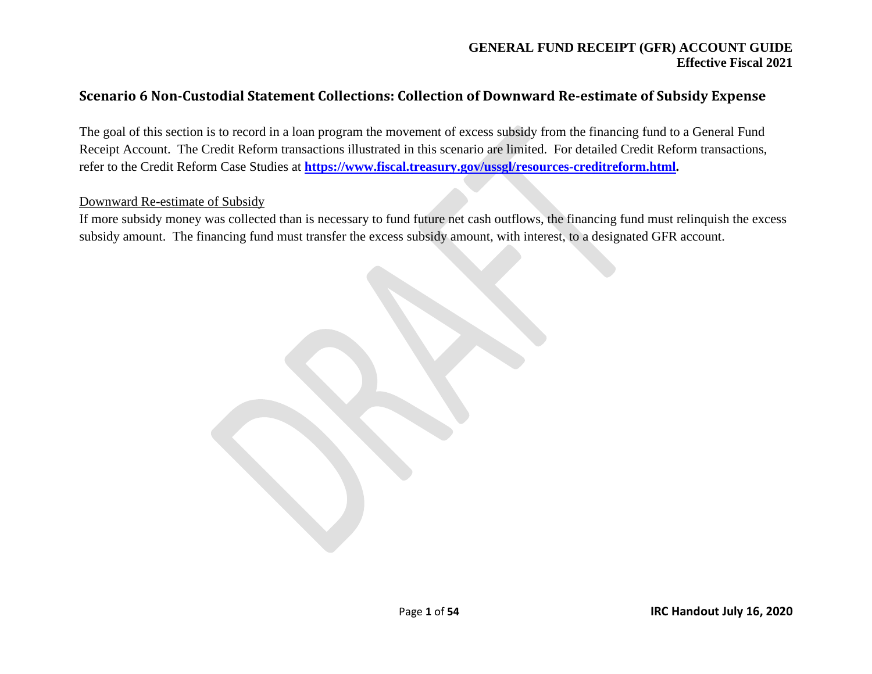# **Scenario 6 Non-Custodial Statement Collections: Collection of Downward Re-estimate of Subsidy Expense**

The goal of this section is to record in a loan program the movement of excess subsidy from the financing fund to a General Fund Receipt Account. The Credit Reform transactions illustrated in this scenario are limited. For detailed Credit Reform transactions, refer to the Credit Reform Case Studies at **[https://www.fiscal.treasury.gov/ussgl/resources-creditreform.html.](https://www.fiscal.treasury.gov/ussgl/resources-creditreform.html)**

#### Downward Re-estimate of Subsidy

If more subsidy money was collected than is necessary to fund future net cash outflows, the financing fund must relinquish the excess subsidy amount. The financing fund must transfer the excess subsidy amount, with interest, to a designated GFR account.

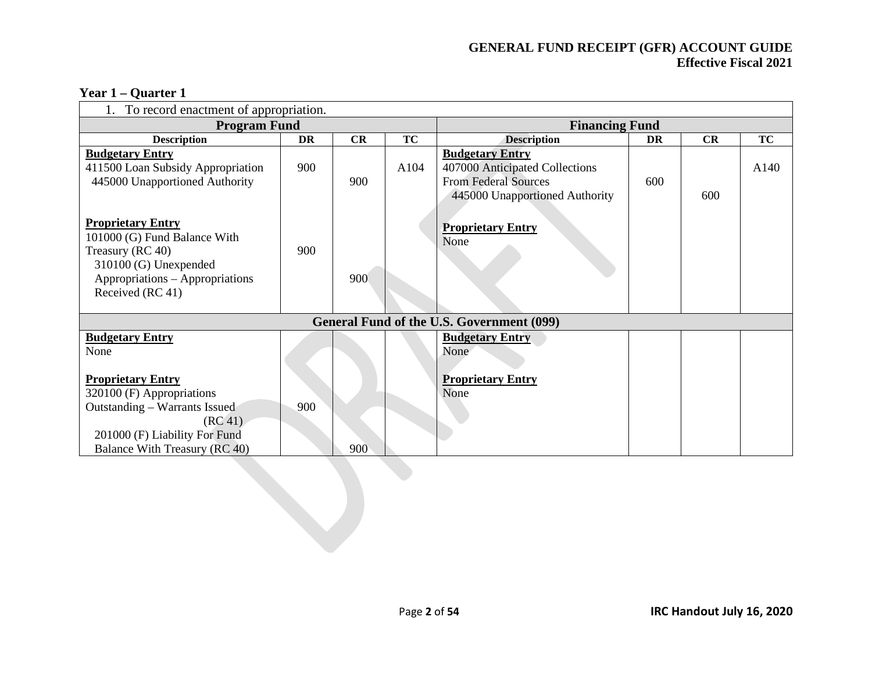| $1$ tal $1 -$ Vualtt $1$              |                     |  |  |  |  |  |  |  |  |
|---------------------------------------|---------------------|--|--|--|--|--|--|--|--|
| To record enactment of appropriation. |                     |  |  |  |  |  |  |  |  |
|                                       | <b>Program Fund</b> |  |  |  |  |  |  |  |  |
| <b>Description</b>                    | DR                  |  |  |  |  |  |  |  |  |
|                                       |                     |  |  |  |  |  |  |  |  |

#### **Year 1 – Quarter 1**

| TO record chacument or appropriation.                                                                                                                               |     |     |           |                                                                                                                           |     |     |           |
|---------------------------------------------------------------------------------------------------------------------------------------------------------------------|-----|-----|-----------|---------------------------------------------------------------------------------------------------------------------------|-----|-----|-----------|
| <b>Program Fund</b>                                                                                                                                                 |     |     |           | <b>Financing Fund</b>                                                                                                     |     |     |           |
| <b>Description</b>                                                                                                                                                  | DR  | CR  | <b>TC</b> | <b>Description</b>                                                                                                        | DR  | CR  | <b>TC</b> |
| <b>Budgetary Entry</b><br>411500 Loan Subsidy Appropriation<br>445000 Unapportioned Authority                                                                       | 900 | 900 | A104      | <b>Budgetary Entry</b><br>407000 Anticipated Collections<br><b>From Federal Sources</b><br>445000 Unapportioned Authority | 600 | 600 | A140      |
| <b>Proprietary Entry</b><br>101000 (G) Fund Balance With<br>Treasury (RC 40)<br>310100 (G) Unexpended<br>Appropriations - Appropriations<br>Received (RC 41)        | 900 | 900 |           | <b>Proprietary Entry</b><br>None                                                                                          |     |     |           |
|                                                                                                                                                                     |     |     |           | General Fund of the U.S. Government (099)                                                                                 |     |     |           |
| <b>Budgetary Entry</b><br>None                                                                                                                                      |     |     |           | <b>Budgetary Entry</b><br>None                                                                                            |     |     |           |
| <b>Proprietary Entry</b><br>320100 (F) Appropriations<br>Outstanding – Warrants Issued<br>(RC 41)<br>201000 (F) Liability For Fund<br>Balance With Treasury (RC 40) | 900 | 900 |           | <b>Proprietary Entry</b><br>None                                                                                          |     |     |           |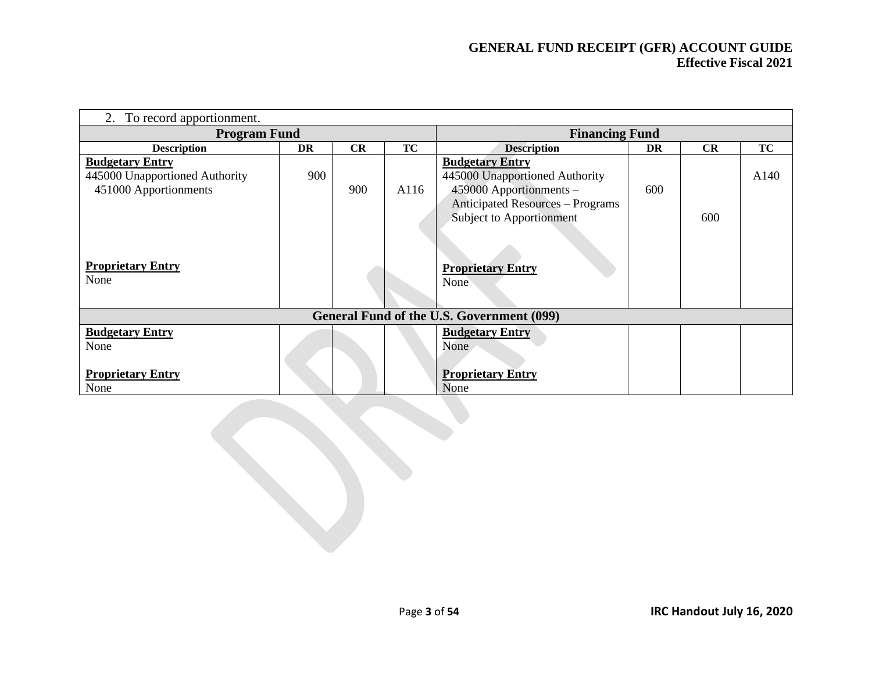| To record apportionment.<br>2.                                                                                |     |     |           |                                                                                                                                                            |     |     |           |  |
|---------------------------------------------------------------------------------------------------------------|-----|-----|-----------|------------------------------------------------------------------------------------------------------------------------------------------------------------|-----|-----|-----------|--|
| <b>Program Fund</b>                                                                                           |     |     |           | <b>Financing Fund</b>                                                                                                                                      |     |     |           |  |
| <b>Description</b>                                                                                            | DR  | CR  | <b>TC</b> | <b>Description</b><br><b>CR</b><br>DR                                                                                                                      |     |     | <b>TC</b> |  |
| <b>Budgetary Entry</b><br>445000 Unapportioned Authority<br>451000 Apportionments<br><b>Proprietary Entry</b> | 900 | 900 | A116      | <b>Budgetary Entry</b><br>445000 Unapportioned Authority<br>459000 Apportionments -<br><b>Anticipated Resources - Programs</b><br>Subject to Apportionment | 600 | 600 | A140      |  |
| None                                                                                                          |     |     |           | <b>Proprietary Entry</b><br>None                                                                                                                           |     |     |           |  |
|                                                                                                               |     |     |           | General Fund of the U.S. Government (099)                                                                                                                  |     |     |           |  |
| <b>Budgetary Entry</b><br>None                                                                                |     |     |           | <b>Budgetary Entry</b><br>None                                                                                                                             |     |     |           |  |
| <b>Proprietary Entry</b><br>None                                                                              |     |     |           | <b>Proprietary Entry</b><br>None                                                                                                                           |     |     |           |  |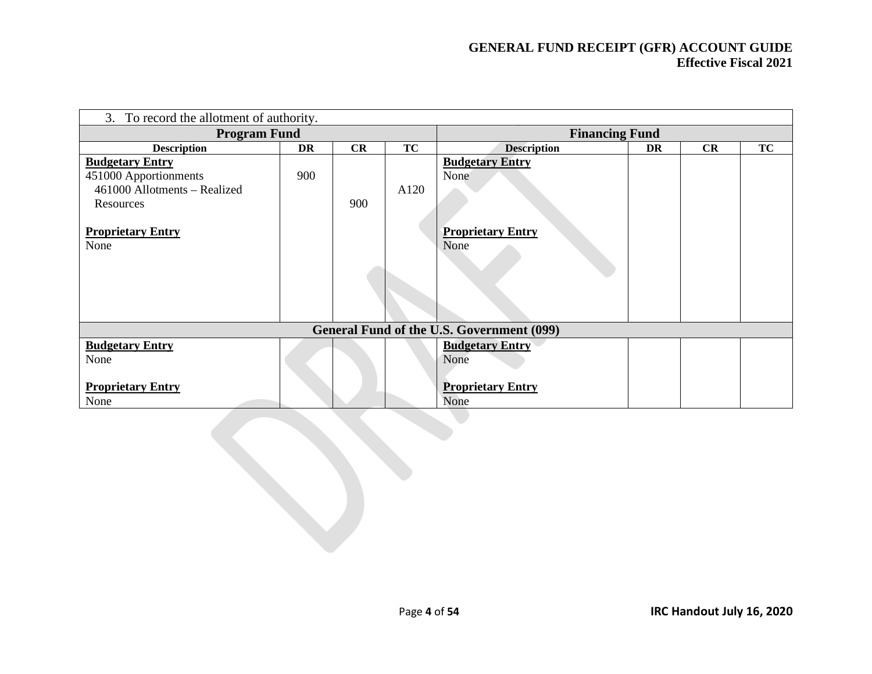| 3. To record the allotment of authority.                                                                                         |     |     |           |                                                                    |           |    |           |  |
|----------------------------------------------------------------------------------------------------------------------------------|-----|-----|-----------|--------------------------------------------------------------------|-----------|----|-----------|--|
| <b>Program Fund</b>                                                                                                              |     |     |           | <b>Financing Fund</b>                                              |           |    |           |  |
| <b>Description</b>                                                                                                               | DR  | CR  | <b>TC</b> | <b>Description</b>                                                 | <b>DR</b> | CR | <b>TC</b> |  |
| <b>Budgetary Entry</b><br>451000 Apportionments<br>461000 Allotments - Realized<br>Resources<br><b>Proprietary Entry</b><br>None | 900 | 900 | A120      | <b>Budgetary Entry</b><br>None<br><b>Proprietary Entry</b><br>None |           |    |           |  |
|                                                                                                                                  |     |     |           | General Fund of the U.S. Government (099)                          |           |    |           |  |
| <b>Budgetary Entry</b><br>None<br><b>Proprietary Entry</b><br>None                                                               |     |     |           | <b>Budgetary Entry</b><br>None<br><b>Proprietary Entry</b><br>None |           |    |           |  |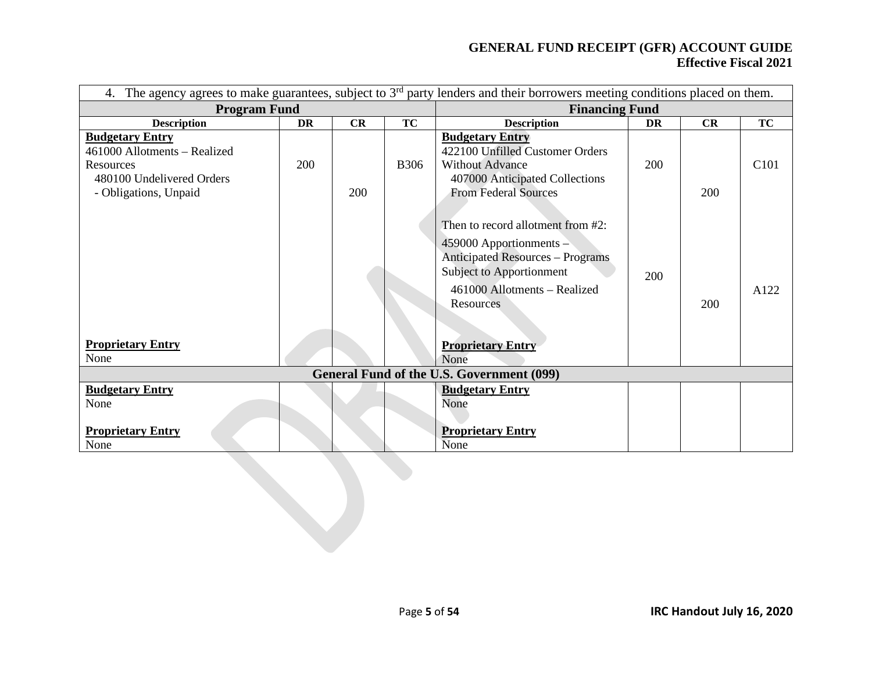| 4.                                                                                                                        |     |     |             | The agency agrees to make guarantees, subject to $3rd$ party lenders and their borrowers meeting conditions placed on them.                                                                                  |     |     |                  |  |
|---------------------------------------------------------------------------------------------------------------------------|-----|-----|-------------|--------------------------------------------------------------------------------------------------------------------------------------------------------------------------------------------------------------|-----|-----|------------------|--|
| <b>Program Fund</b>                                                                                                       |     |     |             | <b>Financing Fund</b>                                                                                                                                                                                        |     |     |                  |  |
| <b>Description</b>                                                                                                        | DR  | CR  | <b>TC</b>   | <b>Description</b>                                                                                                                                                                                           | DR  | CR  | <b>TC</b>        |  |
| <b>Budgetary Entry</b><br>461000 Allotments – Realized<br>Resources<br>480100 Undelivered Orders<br>- Obligations, Unpaid | 200 | 200 | <b>B306</b> | <b>Budgetary Entry</b><br>422100 Unfilled Customer Orders<br><b>Without Advance</b><br>407000 Anticipated Collections<br><b>From Federal Sources</b>                                                         | 200 | 200 | C <sub>101</sub> |  |
| <b>Proprietary Entry</b>                                                                                                  |     |     |             | Then to record allotment from #2:<br>459000 Apportionments -<br><b>Anticipated Resources - Programs</b><br>Subject to Apportionment<br>461000 Allotments - Realized<br>Resources<br><b>Proprietary Entry</b> | 200 | 200 | A122             |  |
| None                                                                                                                      |     |     |             | None                                                                                                                                                                                                         |     |     |                  |  |
|                                                                                                                           |     |     |             | <b>General Fund of the U.S. Government (099)</b>                                                                                                                                                             |     |     |                  |  |
| <b>Budgetary Entry</b><br>None<br><b>Proprietary Entry</b><br>None                                                        |     |     |             | <b>Budgetary Entry</b><br>None<br><b>Proprietary Entry</b><br>None                                                                                                                                           |     |     |                  |  |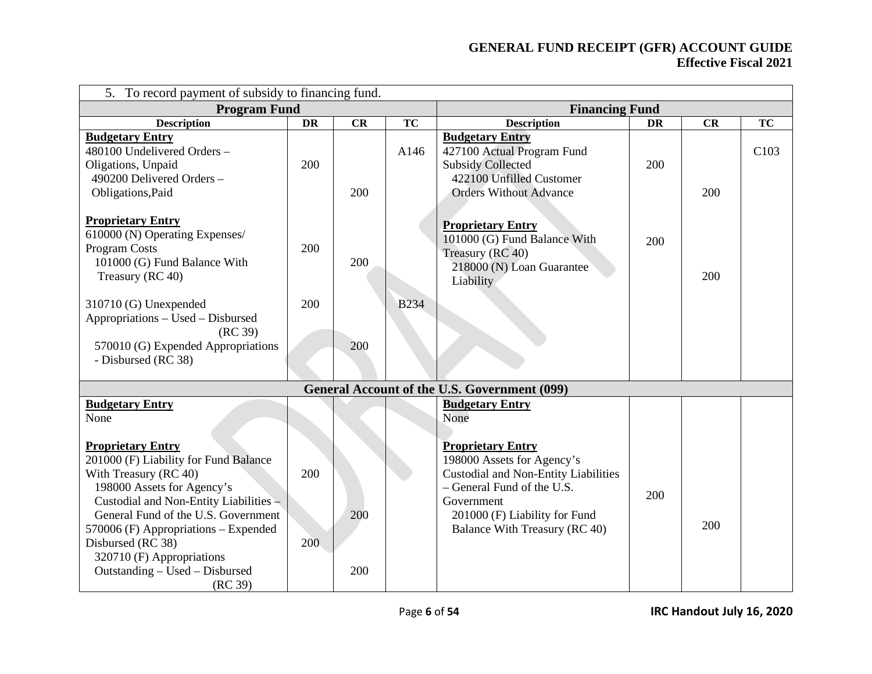| To record payment of subsidy to financing fund.<br>5 <sub>1</sub>                                                                                                                                                                           |           |     |             |                                                                                                                                                                                                                      |     |     |                  |
|---------------------------------------------------------------------------------------------------------------------------------------------------------------------------------------------------------------------------------------------|-----------|-----|-------------|----------------------------------------------------------------------------------------------------------------------------------------------------------------------------------------------------------------------|-----|-----|------------------|
| <b>Program Fund</b>                                                                                                                                                                                                                         |           |     |             | <b>Financing Fund</b>                                                                                                                                                                                                |     |     |                  |
| <b>Description</b>                                                                                                                                                                                                                          | <b>DR</b> | CR  | <b>TC</b>   | <b>Description</b>                                                                                                                                                                                                   | DR  | CR  | <b>TC</b>        |
| <b>Budgetary Entry</b><br>480100 Undelivered Orders -<br>Oligations, Unpaid<br>490200 Delivered Orders -<br>Obligations, Paid                                                                                                               | 200       | 200 | A146        | <b>Budgetary Entry</b><br>427100 Actual Program Fund<br><b>Subsidy Collected</b><br>422100 Unfilled Customer<br><b>Orders Without Advance</b>                                                                        | 200 | 200 | C <sub>103</sub> |
| <b>Proprietary Entry</b><br>610000 (N) Operating Expenses/<br><b>Program Costs</b><br>101000 (G) Fund Balance With<br>Treasury (RC 40)                                                                                                      | 200       | 200 |             | <b>Proprietary Entry</b><br>101000 (G) Fund Balance With<br>Treasury (RC 40)<br>218000 (N) Loan Guarantee<br>Liability                                                                                               | 200 | 200 |                  |
| 310710 (G) Unexpended<br>Appropriations – Used – Disbursed<br>(RC 39)<br>570010 (G) Expended Appropriations<br>- Disbursed (RC 38)                                                                                                          | 200       | 200 | <b>B234</b> |                                                                                                                                                                                                                      |     |     |                  |
|                                                                                                                                                                                                                                             |           |     |             | <b>General Account of the U.S. Government (099)</b>                                                                                                                                                                  |     |     |                  |
| <b>Budgetary Entry</b><br>None<br><b>Proprietary Entry</b><br>201000 (F) Liability for Fund Balance<br>With Treasury (RC 40)<br>198000 Assets for Agency's<br>Custodial and Non-Entity Liabilities -<br>General Fund of the U.S. Government | 200       | 200 |             | <b>Budgetary Entry</b><br>None<br><b>Proprietary Entry</b><br>198000 Assets for Agency's<br><b>Custodial and Non-Entity Liabilities</b><br>- General Fund of the U.S.<br>Government<br>201000 (F) Liability for Fund | 200 |     |                  |
| 570006 (F) Appropriations - Expended<br>Disbursed (RC 38)<br>320710 (F) Appropriations<br>Outstanding - Used - Disbursed<br>(RC 39)                                                                                                         | 200       | 200 |             | Balance With Treasury (RC 40)                                                                                                                                                                                        |     | 200 |                  |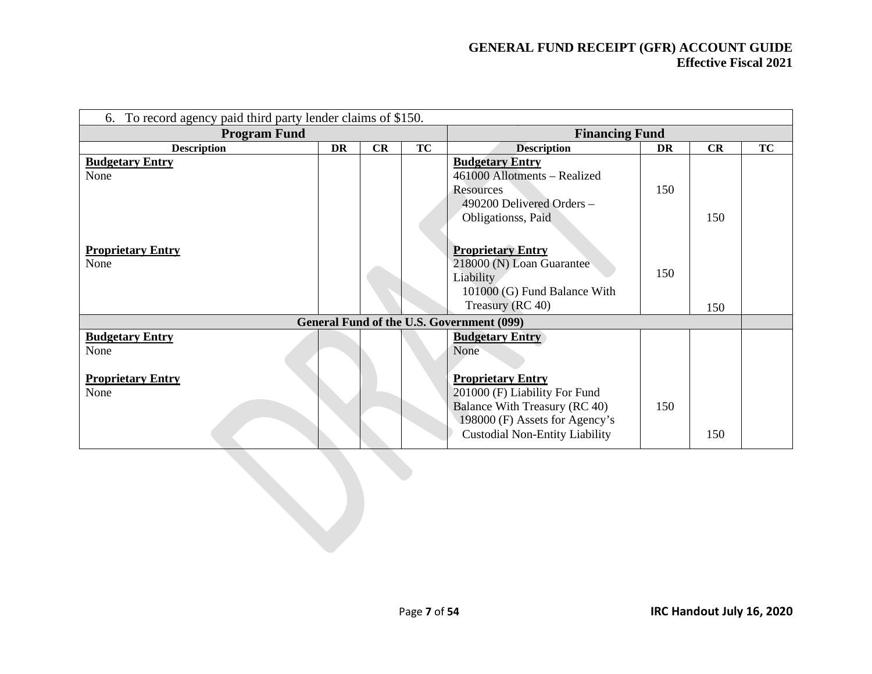| 6. To record agency paid third party lender claims of \$150. |           |    |           |                                                                                                                                                                       |           |     |           |  |  |
|--------------------------------------------------------------|-----------|----|-----------|-----------------------------------------------------------------------------------------------------------------------------------------------------------------------|-----------|-----|-----------|--|--|
| <b>Program Fund</b>                                          |           |    |           | <b>Financing Fund</b>                                                                                                                                                 |           |     |           |  |  |
| <b>Description</b>                                           | <b>DR</b> | CR | <b>TC</b> | <b>Description</b>                                                                                                                                                    | <b>DR</b> | CR  | <b>TC</b> |  |  |
| <b>Budgetary Entry</b><br>None                               |           |    |           | <b>Budgetary Entry</b><br>461000 Allotments - Realized<br>Resources<br>490200 Delivered Orders -<br>Obligationss, Paid                                                | 150       | 150 |           |  |  |
| <b>Proprietary Entry</b><br>None                             |           |    |           | <b>Proprietary Entry</b><br>218000 (N) Loan Guarantee<br><b>Liability</b><br>101000 (G) Fund Balance With<br>Treasury (RC 40)                                         | 150       | 150 |           |  |  |
|                                                              |           |    |           | General Fund of the U.S. Government (099)                                                                                                                             |           |     |           |  |  |
| <b>Budgetary Entry</b><br>None                               |           |    |           | <b>Budgetary Entry</b><br>None                                                                                                                                        |           |     |           |  |  |
| <b>Proprietary Entry</b><br>None                             |           |    |           | <b>Proprietary Entry</b><br>201000 (F) Liability For Fund<br>Balance With Treasury (RC 40)<br>198000 (F) Assets for Agency's<br><b>Custodial Non-Entity Liability</b> | 150       | 150 |           |  |  |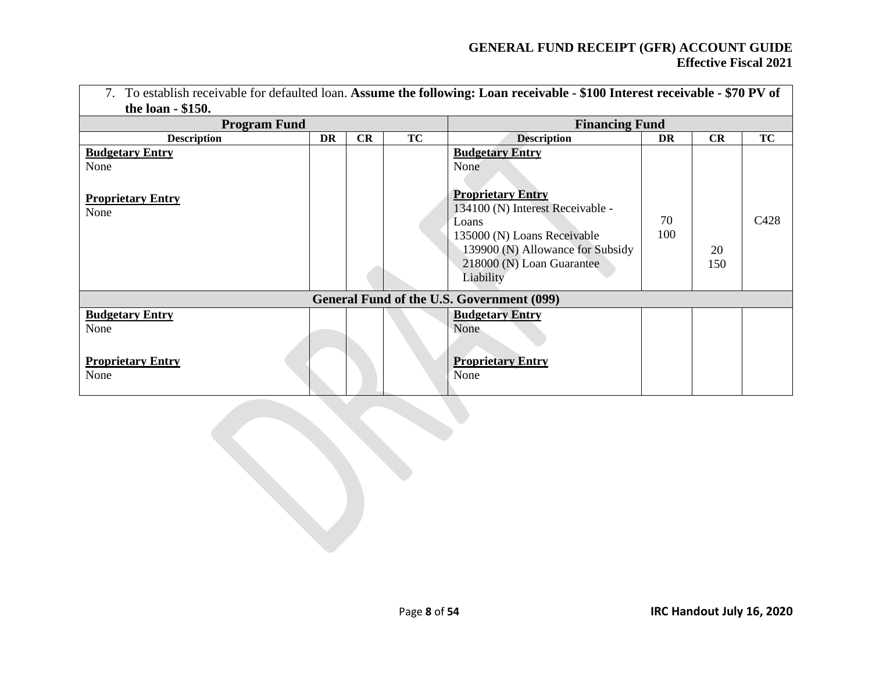| 7. To establish receivable for defaulted loan. Assume the following: Loan receivable - \$100 Interest receivable - \$70 PV of |    |    |           |                                                                                                                                                                                                                      |           |           |           |  |
|-------------------------------------------------------------------------------------------------------------------------------|----|----|-----------|----------------------------------------------------------------------------------------------------------------------------------------------------------------------------------------------------------------------|-----------|-----------|-----------|--|
| the loan - \$150.                                                                                                             |    |    |           |                                                                                                                                                                                                                      |           |           |           |  |
| <b>Program Fund</b>                                                                                                           |    |    |           | <b>Financing Fund</b>                                                                                                                                                                                                |           |           |           |  |
| <b>Description</b>                                                                                                            | DR | CR | <b>TC</b> | <b>Description</b>                                                                                                                                                                                                   | DR        | CR        | <b>TC</b> |  |
| <b>Budgetary Entry</b><br>None<br><b>Proprietary Entry</b><br>None                                                            |    |    |           | <b>Budgetary Entry</b><br>None<br><b>Proprietary Entry</b><br>134100 (N) Interest Receivable -<br>Loans<br>135000 (N) Loans Receivable<br>139900 (N) Allowance for Subsidy<br>218000 (N) Loan Guarantee<br>Liability | 70<br>100 | 20<br>150 | C428      |  |
|                                                                                                                               |    |    |           | General Fund of the U.S. Government (099)                                                                                                                                                                            |           |           |           |  |
| <b>Budgetary Entry</b><br>None                                                                                                |    |    |           | <b>Budgetary Entry</b><br>None                                                                                                                                                                                       |           |           |           |  |
| <b>Proprietary Entry</b><br>None                                                                                              |    |    |           | <b>Proprietary Entry</b><br>None                                                                                                                                                                                     |           |           |           |  |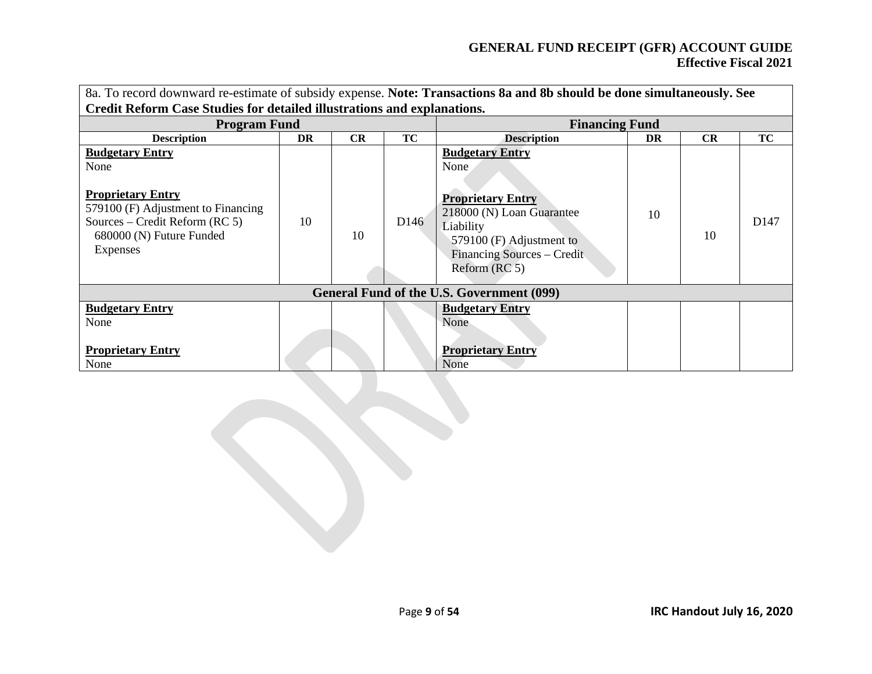| 8a. To record downward re-estimate of subsidy expense. Note: Transactions 8a and 8b should be done simultaneously. See<br>Credit Reform Case Studies for detailed illustrations and explanations. |    |           |                  |                                                                                                                                                                                 |           |           |                  |  |
|---------------------------------------------------------------------------------------------------------------------------------------------------------------------------------------------------|----|-----------|------------------|---------------------------------------------------------------------------------------------------------------------------------------------------------------------------------|-----------|-----------|------------------|--|
| <b>Program Fund</b>                                                                                                                                                                               |    |           |                  | <b>Financing Fund</b>                                                                                                                                                           |           |           |                  |  |
| <b>Description</b>                                                                                                                                                                                | DR | <b>CR</b> | TC               | <b>Description</b>                                                                                                                                                              | <b>DR</b> | <b>CR</b> | TC               |  |
| <b>Budgetary Entry</b><br>None<br><b>Proprietary Entry</b><br>579100 (F) Adjustment to Financing<br>Sources – Credit Reform (RC 5)<br>680000 (N) Future Funded<br>Expenses                        | 10 | 10        | D <sub>146</sub> | <b>Budgetary Entry</b><br>None<br><b>Proprietary Entry</b><br>218000 (N) Loan Guarantee<br>Liability<br>579100 (F) Adjustment to<br>Financing Sources – Credit<br>Reform (RC 5) | 10        | 10        | D <sub>147</sub> |  |
|                                                                                                                                                                                                   |    |           |                  | General Fund of the U.S. Government (099)                                                                                                                                       |           |           |                  |  |
| <b>Budgetary Entry</b><br>None                                                                                                                                                                    |    |           |                  | <b>Budgetary Entry</b><br>None                                                                                                                                                  |           |           |                  |  |
| <b>Proprietary Entry</b><br>None                                                                                                                                                                  |    |           |                  | <b>Proprietary Entry</b><br>None                                                                                                                                                |           |           |                  |  |

Page **9** of **54 IRC Handout July 16, 2020**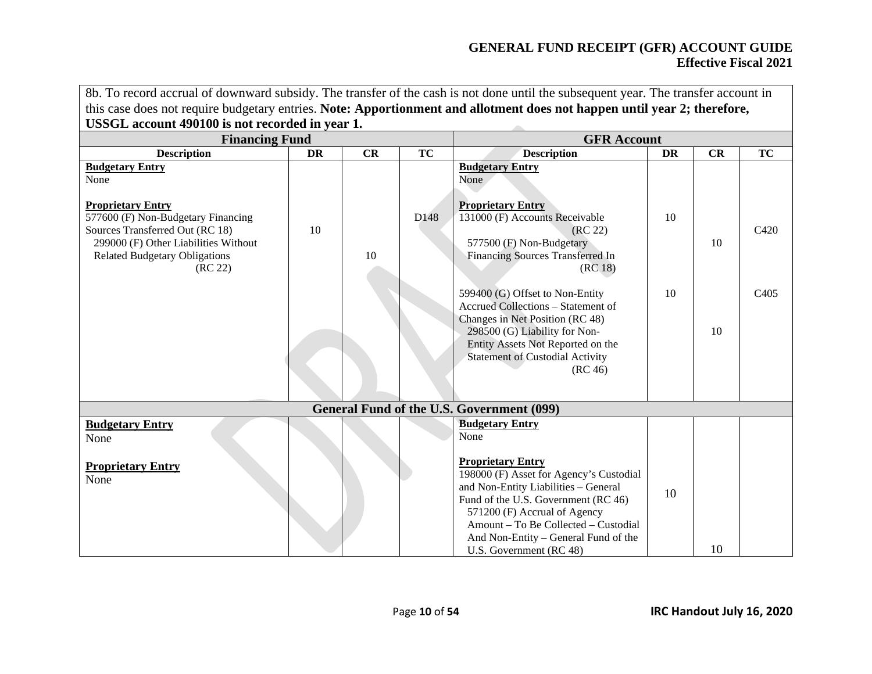8b. To record accrual of downward subsidy. The transfer of the cash is not done until the subsequent year. The transfer account in this case does not require budgetary entries. **Note: Apportionment and allotment does not happen until year 2; therefore, USSGL account 490100 is not recorded in year 1.**  $\overline{\mathcal{L}}$ 

| <b>Financing Fund</b>                                                                                                                                                                                                          |    |    | <b>GFR Account</b> |                                                                                                                                                                                                                                                                                                                                 |    |    |                  |
|--------------------------------------------------------------------------------------------------------------------------------------------------------------------------------------------------------------------------------|----|----|--------------------|---------------------------------------------------------------------------------------------------------------------------------------------------------------------------------------------------------------------------------------------------------------------------------------------------------------------------------|----|----|------------------|
| <b>Description</b>                                                                                                                                                                                                             | DR | CR | <b>TC</b>          | <b>Description</b>                                                                                                                                                                                                                                                                                                              | DR | CR | <b>TC</b>        |
| <b>Budgetary Entry</b><br>None<br><b>Proprietary Entry</b><br>577600 (F) Non-Budgetary Financing<br>Sources Transferred Out (RC 18)<br>299000 (F) Other Liabilities Without<br><b>Related Budgetary Obligations</b><br>(RC 22) | 10 | 10 | D148               | <b>Budgetary Entry</b><br>None<br><b>Proprietary Entry</b><br>131000 (F) Accounts Receivable<br>(RC 22)<br>577500 (F) Non-Budgetary<br>Financing Sources Transferred In<br>(RC 18)                                                                                                                                              | 10 | 10 | C <sub>420</sub> |
|                                                                                                                                                                                                                                |    |    |                    | 599400 (G) Offset to Non-Entity<br>Accrued Collections - Statement of<br>Changes in Net Position (RC 48)<br>298500 (G) Liability for Non-<br>Entity Assets Not Reported on the<br><b>Statement of Custodial Activity</b><br>(RC 46)                                                                                             | 10 | 10 | C <sub>405</sub> |
|                                                                                                                                                                                                                                |    |    |                    | General Fund of the U.S. Government (099)                                                                                                                                                                                                                                                                                       |    |    |                  |
| <b>Budgetary Entry</b><br>None<br><b>Proprietary Entry</b><br>None                                                                                                                                                             |    |    |                    | <b>Budgetary Entry</b><br>None<br><b>Proprietary Entry</b><br>198000 (F) Asset for Agency's Custodial<br>and Non-Entity Liabilities - General<br>Fund of the U.S. Government (RC 46)<br>571200 (F) Accrual of Agency<br>Amount – To Be Collected – Custodial<br>And Non-Entity - General Fund of the<br>U.S. Government (RC 48) | 10 | 10 |                  |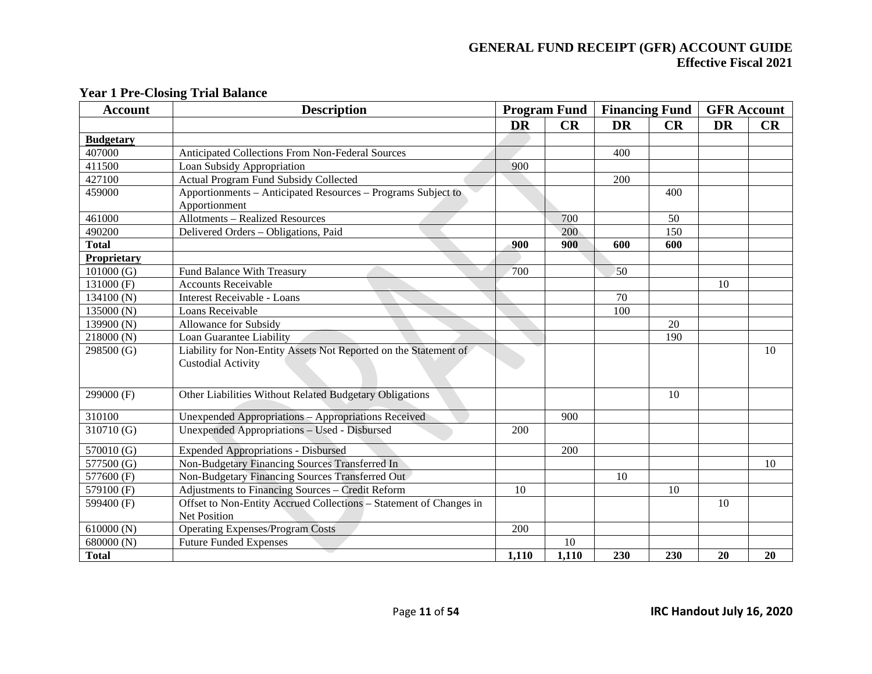| <b>Account</b>   | <b>Description</b>                                                 |           | <b>Program Fund</b> |           | <b>Financing Fund</b> | <b>GFR</b> Account |    |
|------------------|--------------------------------------------------------------------|-----------|---------------------|-----------|-----------------------|--------------------|----|
|                  |                                                                    | <b>DR</b> | CR                  | <b>DR</b> | CR                    | <b>DR</b>          | CR |
| <b>Budgetary</b> |                                                                    |           |                     |           |                       |                    |    |
| 407000           | Anticipated Collections From Non-Federal Sources                   |           |                     | 400       |                       |                    |    |
| 411500           | Loan Subsidy Appropriation                                         | 900       |                     |           |                       |                    |    |
| 427100           | <b>Actual Program Fund Subsidy Collected</b>                       |           |                     | 200       |                       |                    |    |
| 459000           | Apportionments – Anticipated Resources – Programs Subject to       |           |                     |           | 400                   |                    |    |
|                  | Apportionment                                                      |           |                     |           |                       |                    |    |
| 461000           | <b>Allotments - Realized Resources</b>                             |           | 700                 |           | 50                    |                    |    |
| 490200           | Delivered Orders - Obligations, Paid                               |           | 200                 |           | 150                   |                    |    |
| <b>Total</b>     |                                                                    | 900       | 900                 | 600       | 600                   |                    |    |
| Proprietary      |                                                                    |           |                     |           |                       |                    |    |
| 101000(G)        | Fund Balance With Treasury                                         | 700       |                     | 50        |                       |                    |    |
| $131000$ (F)     | <b>Accounts Receivable</b>                                         |           |                     |           |                       | 10                 |    |
| 134100(N)        | <b>Interest Receivable - Loans</b>                                 |           |                     | 70        |                       |                    |    |
| 135000 (N)       | Loans Receivable                                                   |           |                     | 100       |                       |                    |    |
| 139900 (N)       | Allowance for Subsidy                                              |           |                     |           | 20                    |                    |    |
| 218000(N)        | Loan Guarantee Liability                                           |           |                     |           | 190                   |                    |    |
| 298500 (G)       | Liability for Non-Entity Assets Not Reported on the Statement of   |           |                     |           |                       |                    | 10 |
|                  | <b>Custodial Activity</b>                                          |           |                     |           |                       |                    |    |
|                  |                                                                    |           |                     |           |                       |                    |    |
| 299000 (F)       | Other Liabilities Without Related Budgetary Obligations            |           |                     |           | 10                    |                    |    |
|                  |                                                                    |           |                     |           |                       |                    |    |
| 310100           | Unexpended Appropriations - Appropriations Received                |           | 900                 |           |                       |                    |    |
| 310710 (G)       | Unexpended Appropriations - Used - Disbursed                       | 200       |                     |           |                       |                    |    |
| 570010 (G)       | <b>Expended Appropriations - Disbursed</b>                         |           | 200                 |           |                       |                    |    |
| 577500 (G)       | Non-Budgetary Financing Sources Transferred In                     |           |                     |           |                       |                    | 10 |
| 577600 (F)       | Non-Budgetary Financing Sources Transferred Out                    |           |                     | 10        |                       |                    |    |
| 579100 (F)       | Adjustments to Financing Sources - Credit Reform                   | 10        |                     |           | 10                    |                    |    |
| 599400 (F)       | Offset to Non-Entity Accrued Collections - Statement of Changes in |           |                     |           |                       | 10                 |    |
|                  | Net Position                                                       |           |                     |           |                       |                    |    |
| 610000(N)        | <b>Operating Expenses/Program Costs</b>                            | 200       |                     |           |                       |                    |    |
| 680000 (N)       | <b>Future Funded Expenses</b>                                      |           | 10                  |           |                       |                    |    |
| <b>Total</b>     |                                                                    | 1,110     | 1,110               | 230       | 230                   | 20                 | 20 |

#### **Year 1 Pre-Closing Trial Balance**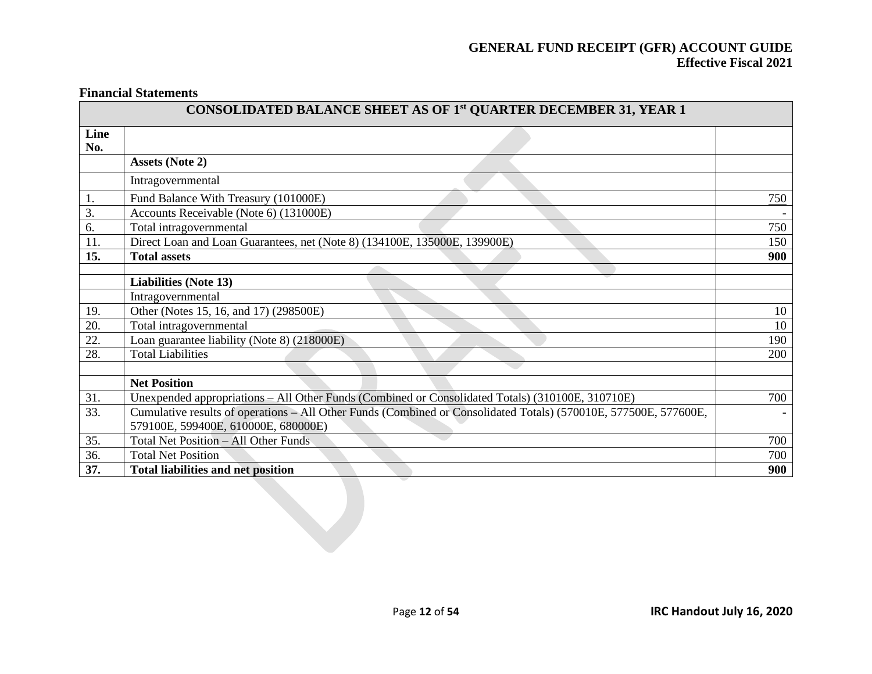**Financial Statements**

|             | CONSOLIDATED BALANCE SHEET AS OF 1st QUARTER DECEMBER 31, YEAR 1                                                 |                          |  |  |  |  |  |
|-------------|------------------------------------------------------------------------------------------------------------------|--------------------------|--|--|--|--|--|
| Line<br>No. |                                                                                                                  |                          |  |  |  |  |  |
|             | <b>Assets (Note 2)</b>                                                                                           |                          |  |  |  |  |  |
|             | Intragovernmental                                                                                                |                          |  |  |  |  |  |
| 1.          | Fund Balance With Treasury (101000E)                                                                             | 750                      |  |  |  |  |  |
| 3.          | Accounts Receivable (Note 6) (131000E)                                                                           |                          |  |  |  |  |  |
| 6.          | Total intragovernmental                                                                                          | 750                      |  |  |  |  |  |
| 11.         | Direct Loan and Loan Guarantees, net (Note 8) (134100E, 135000E, 139900E)                                        | 150                      |  |  |  |  |  |
| 15.         | <b>Total assets</b>                                                                                              | 900                      |  |  |  |  |  |
|             |                                                                                                                  |                          |  |  |  |  |  |
|             | <b>Liabilities (Note 13)</b>                                                                                     |                          |  |  |  |  |  |
|             | Intragovernmental                                                                                                |                          |  |  |  |  |  |
| 19.         | Other (Notes 15, 16, and 17) (298500E)                                                                           | 10                       |  |  |  |  |  |
| 20.         | Total intragovernmental                                                                                          | 10                       |  |  |  |  |  |
| 22.         | Loan guarantee liability (Note 8) (218000E)                                                                      | 190                      |  |  |  |  |  |
| 28.         | <b>Total Liabilities</b>                                                                                         | 200                      |  |  |  |  |  |
|             |                                                                                                                  |                          |  |  |  |  |  |
|             | <b>Net Position</b>                                                                                              |                          |  |  |  |  |  |
| 31.         | Unexpended appropriations - All Other Funds (Combined or Consolidated Totals) (310100E, 310710E)                 | 700                      |  |  |  |  |  |
| 33.         | Cumulative results of operations - All Other Funds (Combined or Consolidated Totals) (570010E, 577500E, 577600E, | $\overline{\phantom{0}}$ |  |  |  |  |  |
|             | 579100E, 599400E, 610000E, 680000E)                                                                              |                          |  |  |  |  |  |
| 35.         | <b>Total Net Position - All Other Funds</b>                                                                      | 700                      |  |  |  |  |  |
| 36.         | <b>Total Net Position</b>                                                                                        | 700                      |  |  |  |  |  |
| 37.         | <b>Total liabilities and net position</b>                                                                        | 900                      |  |  |  |  |  |
|             |                                                                                                                  |                          |  |  |  |  |  |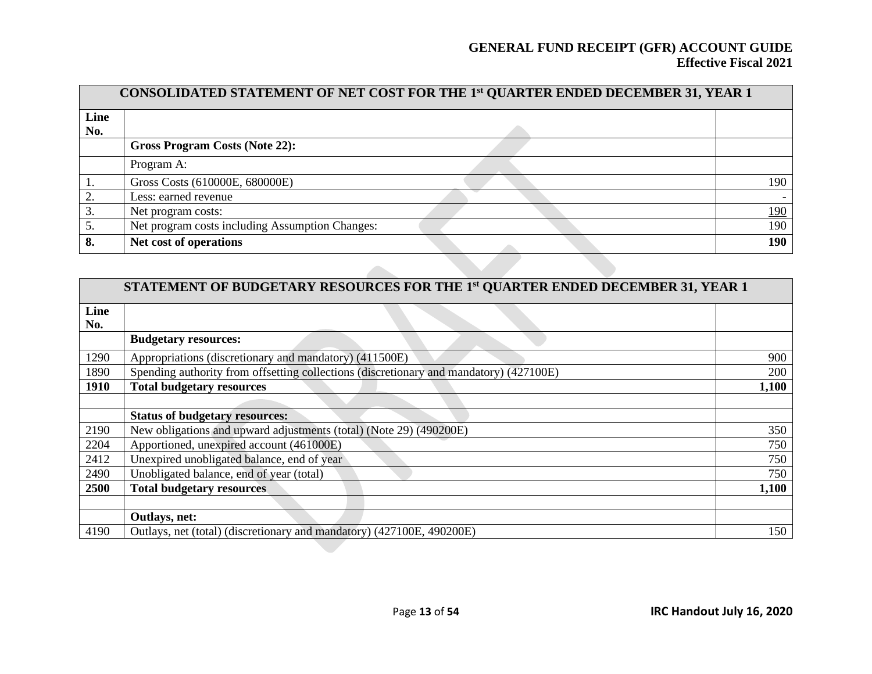|      | CONSOLIDATED STATEMENT OF NET COST FOR THE 1st QUARTER ENDED DECEMBER 31, YEAR 1 |            |
|------|----------------------------------------------------------------------------------|------------|
| Line |                                                                                  |            |
| No.  |                                                                                  |            |
|      | <b>Gross Program Costs (Note 22):</b>                                            |            |
|      | Program A:                                                                       |            |
|      | Gross Costs (610000E, 680000E)                                                   | 190        |
|      | Less: earned revenue                                                             |            |
|      | Net program costs:                                                               | <u>190</u> |
| 5.   | Net program costs including Assumption Changes:                                  | 190        |
| 8.   | Net cost of operations                                                           | 190        |

|             | STATEMENT OF BUDGETARY RESOURCES FOR THE 1st QUARTER ENDED DECEMBER 31, YEAR 1         |       |
|-------------|----------------------------------------------------------------------------------------|-------|
| Line<br>No. |                                                                                        |       |
|             | <b>Budgetary resources:</b>                                                            |       |
| 1290        | Appropriations (discretionary and mandatory) (411500E)                                 | 900   |
| 1890        | Spending authority from offsetting collections (discretionary and mandatory) (427100E) | 200   |
| <b>1910</b> | <b>Total budgetary resources</b>                                                       | 1,100 |
|             |                                                                                        |       |
|             | <b>Status of budgetary resources:</b>                                                  |       |
| 2190        | New obligations and upward adjustments (total) (Note 29) (490200E)                     | 350   |
| 2204        | Apportioned, unexpired account (461000E)                                               | 750   |
| 2412        | Unexpired unobligated balance, end of year                                             | 750   |
| 2490        | Unobligated balance, end of year (total)                                               | 750   |
| 2500        | <b>Total budgetary resources</b>                                                       | 1,100 |
|             |                                                                                        |       |
|             | Outlays, net:                                                                          |       |
| 4190        | Outlays, net (total) (discretionary and mandatory) (427100E, 490200E)                  | 150   |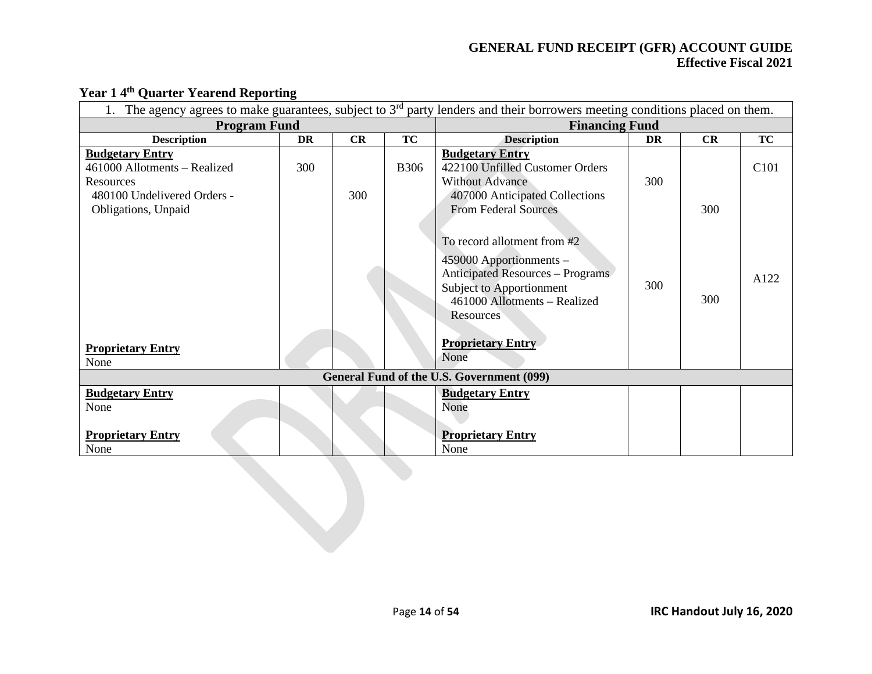| The agency agrees to make guarantees, subject to $3rd$ party lenders and their borrowers meeting conditions placed on them. |           |     |             |                                                                                                                                                                                                                                                      |     |            |                  |
|-----------------------------------------------------------------------------------------------------------------------------|-----------|-----|-------------|------------------------------------------------------------------------------------------------------------------------------------------------------------------------------------------------------------------------------------------------------|-----|------------|------------------|
| <b>Program Fund</b>                                                                                                         |           |     |             | <b>Financing Fund</b>                                                                                                                                                                                                                                |     |            |                  |
| <b>Description</b>                                                                                                          | <b>DR</b> | CR  | <b>TC</b>   | <b>Description</b>                                                                                                                                                                                                                                   | DR  | CR         | <b>TC</b>        |
| <b>Budgetary Entry</b><br>461000 Allotments - Realized<br>Resources<br>480100 Undelivered Orders -                          | 300       | 300 | <b>B306</b> | <b>Budgetary Entry</b><br>422100 Unfilled Customer Orders<br><b>Without Advance</b><br>407000 Anticipated Collections                                                                                                                                | 300 |            | C <sub>101</sub> |
| Obligations, Unpaid<br><b>Proprietary Entry</b><br>None                                                                     |           |     |             | <b>From Federal Sources</b><br>To record allotment from #2<br>459000 Apportionments -<br><b>Anticipated Resources - Programs</b><br><b>Subject to Apportionment</b><br>461000 Allotments - Realized<br>Resources<br><b>Proprietary Entry</b><br>None | 300 | 300<br>300 | A122             |
|                                                                                                                             |           |     |             | General Fund of the U.S. Government (099)                                                                                                                                                                                                            |     |            |                  |
| <b>Budgetary Entry</b><br>None<br><b>Proprietary Entry</b><br>None                                                          |           |     |             | <b>Budgetary Entry</b><br>None<br><b>Proprietary Entry</b><br>None                                                                                                                                                                                   |     |            |                  |
|                                                                                                                             |           |     |             |                                                                                                                                                                                                                                                      |     |            |                  |

# **Year 1 4th Quarter Yearend Reporting**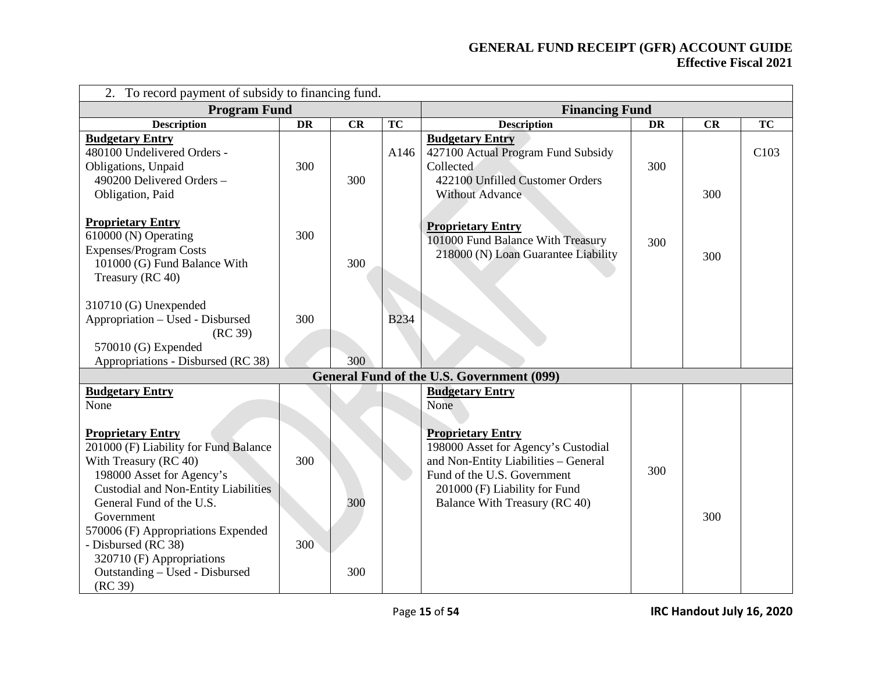| <b>Program Fund</b> |            |             |                                                                                                                                                                                                                                            |                                                  |                       |                  |
|---------------------|------------|-------------|--------------------------------------------------------------------------------------------------------------------------------------------------------------------------------------------------------------------------------------------|--------------------------------------------------|-----------------------|------------------|
| <b>DR</b>           | CR         | TC          | <b>Description</b>                                                                                                                                                                                                                         | <b>DR</b>                                        | CR                    | TC               |
| 300                 | 300        | A146        | <b>Budgetary Entry</b><br>427100 Actual Program Fund Subsidy<br>Collected<br>422100 Unfilled Customer Orders<br><b>Without Advance</b>                                                                                                     | 300                                              | 300                   | C <sub>103</sub> |
| 300                 | 300        |             | <b>Proprietary Entry</b><br>101000 Fund Balance With Treasury<br>218000 (N) Loan Guarantee Liability                                                                                                                                       | 300                                              | 300                   |                  |
| 300                 | 300        | <b>B234</b> |                                                                                                                                                                                                                                            |                                                  |                       |                  |
|                     |            |             |                                                                                                                                                                                                                                            |                                                  |                       |                  |
| 300<br>300          | 300<br>300 |             | <b>Budgetary Entry</b><br>None<br><b>Proprietary Entry</b><br>198000 Asset for Agency's Custodial<br>and Non-Entity Liabilities - General<br>Fund of the U.S. Government<br>201000 (F) Liability for Fund<br>Balance With Treasury (RC 40) | 300                                              | 300                   |                  |
|                     |            |             |                                                                                                                                                                                                                                            | <b>General Fund of the U.S. Government (099)</b> | <b>Financing Fund</b> |                  |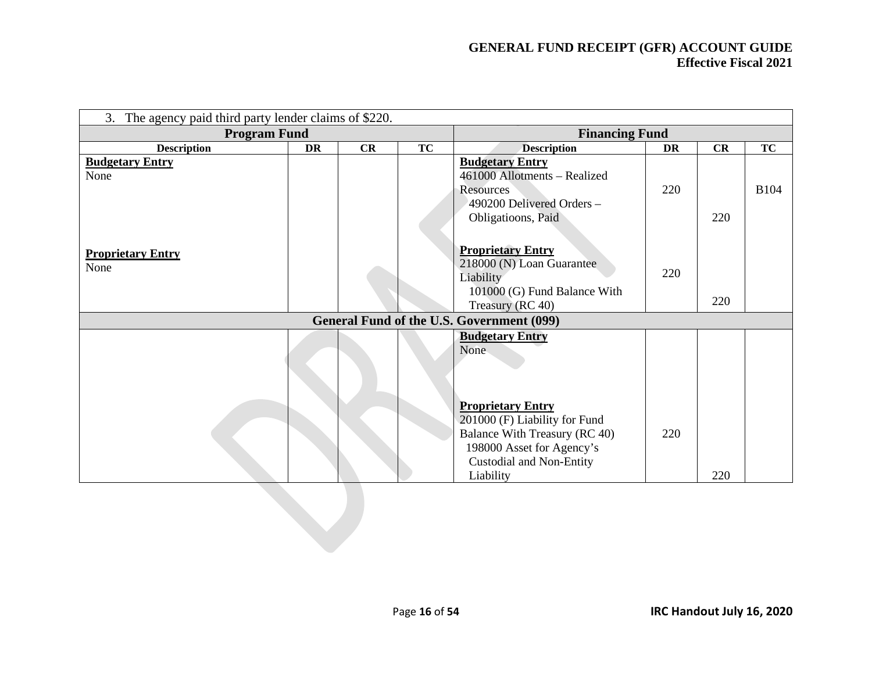| 3. The agency paid third party lender claims of \$220. |           |    |           |                                                  |           |     |             |
|--------------------------------------------------------|-----------|----|-----------|--------------------------------------------------|-----------|-----|-------------|
| <b>Program Fund</b>                                    |           |    |           | <b>Financing Fund</b>                            |           |     |             |
| <b>Description</b>                                     | <b>DR</b> | CR | <b>TC</b> | <b>Description</b>                               | <b>DR</b> | CR  | <b>TC</b>   |
| <b>Budgetary Entry</b>                                 |           |    |           | <b>Budgetary Entry</b>                           |           |     |             |
| None                                                   |           |    |           | 461000 Allotments - Realized                     |           |     |             |
|                                                        |           |    |           | Resources                                        | 220       |     | <b>B104</b> |
|                                                        |           |    |           | 490200 Delivered Orders -                        |           |     |             |
|                                                        |           |    |           | Obligatioons, Paid                               |           | 220 |             |
|                                                        |           |    |           |                                                  |           |     |             |
| <b>Proprietary Entry</b>                               |           |    |           | <b>Proprietary Entry</b>                         |           |     |             |
| None                                                   |           |    |           | 218000 (N) Loan Guarantee                        | 220       |     |             |
|                                                        |           |    |           | Liability                                        |           |     |             |
|                                                        |           |    |           | 101000 (G) Fund Balance With                     |           | 220 |             |
|                                                        |           |    |           | Treasury (RC 40)                                 |           |     |             |
|                                                        |           |    |           | <b>General Fund of the U.S. Government (099)</b> |           |     |             |
|                                                        |           |    |           | <b>Budgetary Entry</b>                           |           |     |             |
|                                                        |           |    |           | None                                             |           |     |             |
|                                                        |           |    |           |                                                  |           |     |             |
|                                                        |           |    |           |                                                  |           |     |             |
|                                                        |           |    |           | <b>Proprietary Entry</b>                         |           |     |             |
|                                                        |           |    |           | 201000 (F) Liability for Fund                    |           |     |             |
|                                                        |           |    |           | <b>Balance With Treasury (RC 40)</b>             | 220       |     |             |
|                                                        |           |    |           | 198000 Asset for Agency's                        |           |     |             |
|                                                        |           |    |           | Custodial and Non-Entity                         |           |     |             |
|                                                        |           |    |           | Liability                                        |           | 220 |             |
|                                                        |           |    |           |                                                  |           |     |             |
|                                                        |           |    |           |                                                  |           |     |             |
|                                                        |           |    |           |                                                  |           |     |             |
|                                                        |           |    |           |                                                  |           |     |             |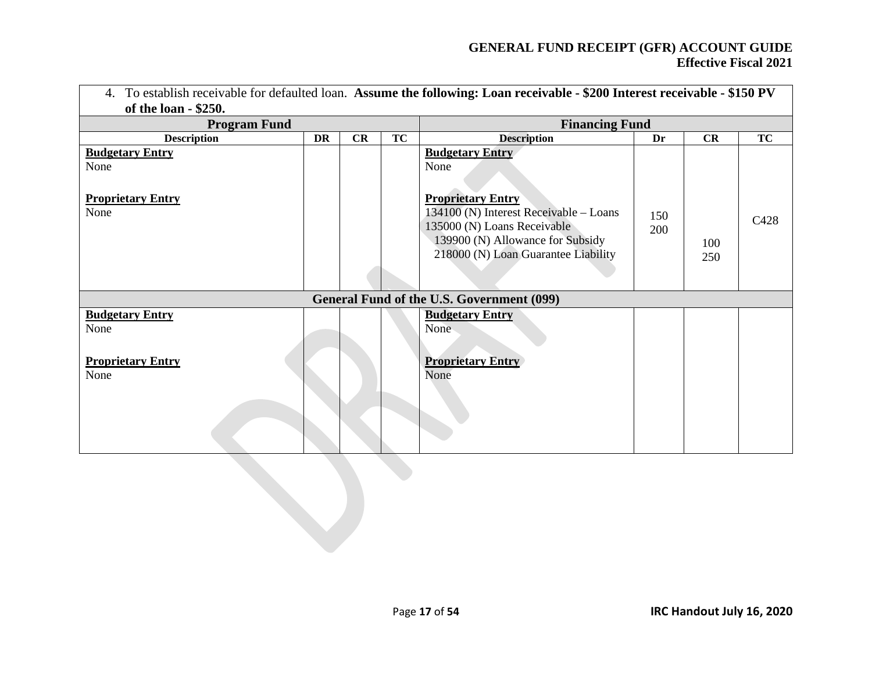| 4. To establish receivable for defaulted loan. Assume the following: Loan receivable - \$200 Interest receivable - \$150 PV<br>of the loan - \$250. |           |                       |           |                                                                                                                                                  |            |            |           |
|-----------------------------------------------------------------------------------------------------------------------------------------------------|-----------|-----------------------|-----------|--------------------------------------------------------------------------------------------------------------------------------------------------|------------|------------|-----------|
| <b>Program Fund</b>                                                                                                                                 |           | <b>Financing Fund</b> |           |                                                                                                                                                  |            |            |           |
| <b>Description</b>                                                                                                                                  | <b>DR</b> | CR                    | <b>TC</b> | <b>Description</b>                                                                                                                               | Dr         | CR         | <b>TC</b> |
| <b>Budgetary Entry</b><br>None<br><b>Proprietary Entry</b>                                                                                          |           |                       |           | <b>Budgetary Entry</b><br>None<br><b>Proprietary Entry</b>                                                                                       |            |            |           |
| None                                                                                                                                                |           |                       |           | 134100 (N) Interest Receivable - Loans<br>135000 (N) Loans Receivable<br>139900 (N) Allowance for Subsidy<br>218000 (N) Loan Guarantee Liability | 150<br>200 | 100<br>250 | C428      |
|                                                                                                                                                     |           |                       |           | General Fund of the U.S. Government (099)                                                                                                        |            |            |           |
| <b>Budgetary Entry</b><br>None                                                                                                                      |           |                       |           | <b>Budgetary Entry</b><br>None                                                                                                                   |            |            |           |
| <b>Proprietary Entry</b><br>None                                                                                                                    |           |                       |           | <b>Proprietary Entry</b><br>None                                                                                                                 |            |            |           |
|                                                                                                                                                     |           |                       |           |                                                                                                                                                  |            |            |           |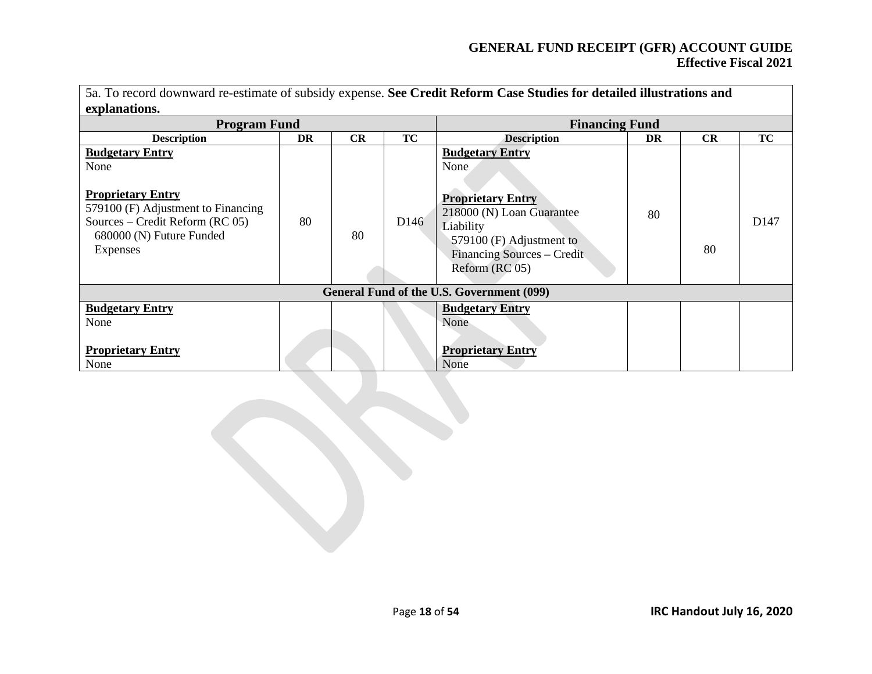| 5a. To record downward re-estimate of subsidy expense. See Credit Reform Case Studies for detailed illustrations and<br>explanations.                                          |    |    |                  |                                                                                                                                                                                  |    |    |                  |
|--------------------------------------------------------------------------------------------------------------------------------------------------------------------------------|----|----|------------------|----------------------------------------------------------------------------------------------------------------------------------------------------------------------------------|----|----|------------------|
| <b>Program Fund</b>                                                                                                                                                            |    |    |                  | <b>Financing Fund</b>                                                                                                                                                            |    |    |                  |
| <b>Description</b>                                                                                                                                                             | DR | CR | TC               | <b>Description</b>                                                                                                                                                               | DR | CR | TC               |
| <b>Budgetary Entry</b><br>None<br><b>Proprietary Entry</b><br>579100 (F) Adjustment to Financing<br>Sources – Credit Reform (RC $05$ )<br>680000 (N) Future Funded<br>Expenses | 80 | 80 | D <sub>146</sub> | <b>Budgetary Entry</b><br>None<br><b>Proprietary Entry</b><br>218000 (N) Loan Guarantee<br>Liability<br>579100 (F) Adjustment to<br>Financing Sources – Credit<br>Reform (RC 05) | 80 | 80 | D <sub>147</sub> |
|                                                                                                                                                                                |    |    |                  | General Fund of the U.S. Government (099)                                                                                                                                        |    |    |                  |
| <b>Budgetary Entry</b><br>None                                                                                                                                                 |    |    |                  | <b>Budgetary Entry</b><br>None                                                                                                                                                   |    |    |                  |
| <b>Proprietary Entry</b><br>None                                                                                                                                               |    |    |                  | <b>Proprietary Entry</b><br>None                                                                                                                                                 |    |    |                  |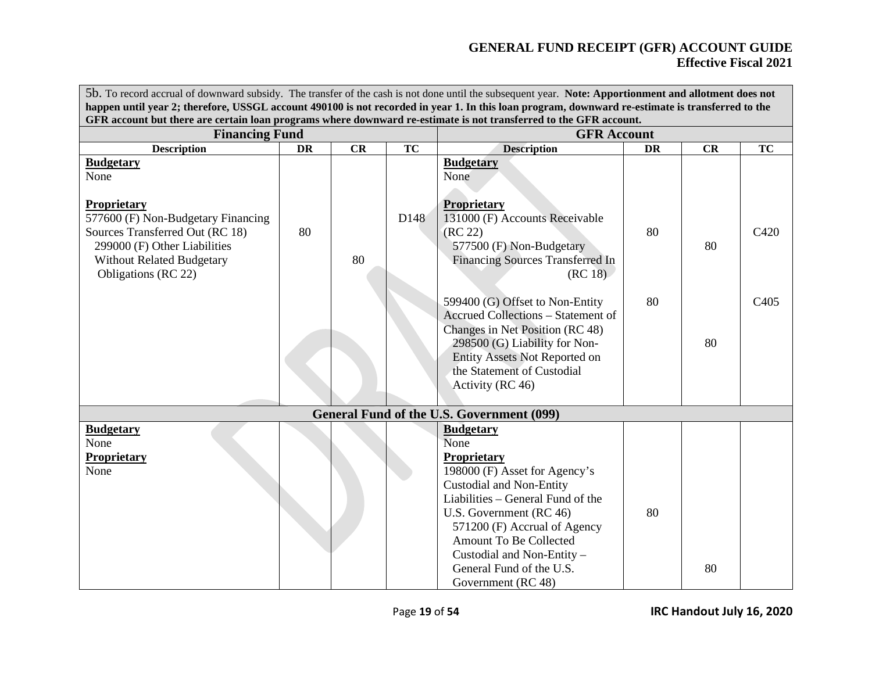| 5b. To record accrual of downward subsidy. The transfer of the cash is not done until the subsequent year. Note: Apportionment and allotment does not                                  |                                                                                                                                                                                                                                                                       |    |           |                                                                                                                                                                                                                                                                                                                       |           |    |                          |  |
|----------------------------------------------------------------------------------------------------------------------------------------------------------------------------------------|-----------------------------------------------------------------------------------------------------------------------------------------------------------------------------------------------------------------------------------------------------------------------|----|-----------|-----------------------------------------------------------------------------------------------------------------------------------------------------------------------------------------------------------------------------------------------------------------------------------------------------------------------|-----------|----|--------------------------|--|
|                                                                                                                                                                                        | happen until year 2; therefore, USSGL account 490100 is not recorded in year 1. In this loan program, downward re-estimate is transferred to the<br>GFR account but there are certain loan programs where downward re-estimate is not transferred to the GFR account. |    |           |                                                                                                                                                                                                                                                                                                                       |           |    |                          |  |
| <b>Financing Fund</b>                                                                                                                                                                  |                                                                                                                                                                                                                                                                       |    |           | <b>GFR Account</b>                                                                                                                                                                                                                                                                                                    |           |    |                          |  |
| <b>Description</b>                                                                                                                                                                     | <b>DR</b>                                                                                                                                                                                                                                                             | CR | <b>TC</b> | <b>Description</b>                                                                                                                                                                                                                                                                                                    | <b>DR</b> | CR | TC                       |  |
| <b>Budgetary</b><br>None                                                                                                                                                               |                                                                                                                                                                                                                                                                       |    |           | <b>Budgetary</b><br>None                                                                                                                                                                                                                                                                                              |           |    |                          |  |
| <b>Proprietary</b><br>577600 (F) Non-Budgetary Financing<br>Sources Transferred Out (RC 18)<br>299000 (F) Other Liabilities<br><b>Without Related Budgetary</b><br>Obligations (RC 22) | 80                                                                                                                                                                                                                                                                    | 80 | D148      | <b>Proprietary</b><br>131000 (F) Accounts Receivable<br>(RC 22)<br>577500 (F) Non-Budgetary<br><b>Financing Sources Transferred In</b><br>(RC 18)<br>599400 (G) Offset to Non-Entity<br><b>Accrued Collections - Statement of</b><br>Changes in Net Position (RC 48)                                                  | 80<br>80  | 80 | C420<br>C <sub>405</sub> |  |
|                                                                                                                                                                                        |                                                                                                                                                                                                                                                                       |    |           | 298500 (G) Liability for Non-<br>Entity Assets Not Reported on<br>the Statement of Custodial<br>Activity (RC 46)                                                                                                                                                                                                      |           | 80 |                          |  |
|                                                                                                                                                                                        |                                                                                                                                                                                                                                                                       |    |           | <b>General Fund of the U.S. Government (099)</b>                                                                                                                                                                                                                                                                      |           |    |                          |  |
| <b>Budgetary</b><br>None<br>Proprietary<br>None                                                                                                                                        |                                                                                                                                                                                                                                                                       |    |           | <b>Budgetary</b><br>None<br>Proprietary<br>198000 (F) Asset for Agency's<br><b>Custodial and Non-Entity</b><br>Liabilities – General Fund of the<br>U.S. Government (RC 46)<br>571200 (F) Accrual of Agency<br>Amount To Be Collected<br>Custodial and Non-Entity -<br>General Fund of the U.S.<br>Government (RC 48) | 80        | 80 |                          |  |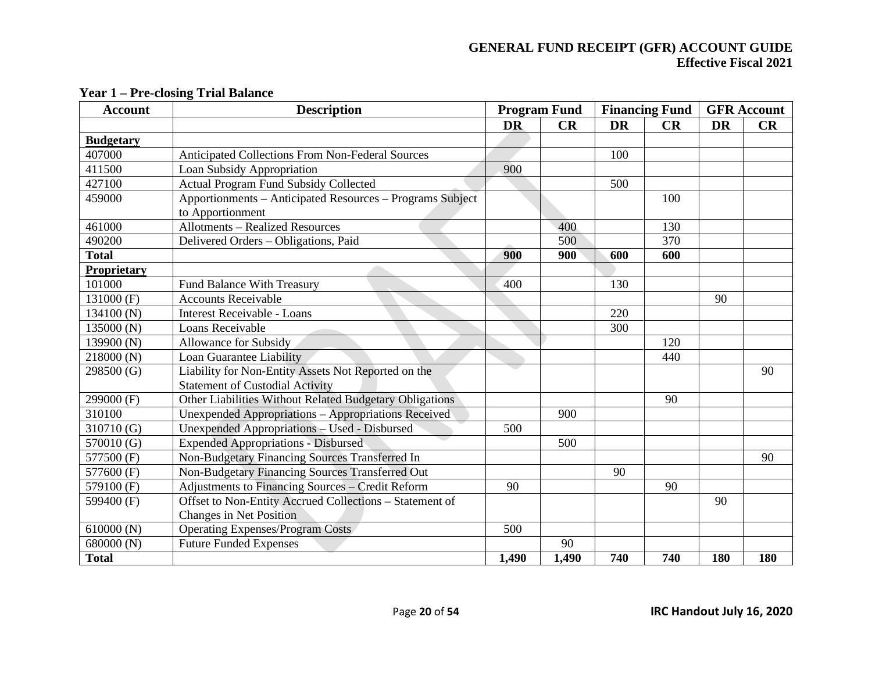| <b>Account</b>   | <b>Description</b>                                                                            |           | <b>Program Fund</b> |           | <b>Financing Fund</b> |           | <b>GFR</b> Account |
|------------------|-----------------------------------------------------------------------------------------------|-----------|---------------------|-----------|-----------------------|-----------|--------------------|
|                  |                                                                                               | <b>DR</b> | CR                  | <b>DR</b> | CR                    | <b>DR</b> | CR                 |
| <b>Budgetary</b> |                                                                                               |           |                     |           |                       |           |                    |
| 407000           | <b>Anticipated Collections From Non-Federal Sources</b>                                       |           |                     | 100       |                       |           |                    |
| 411500           | Loan Subsidy Appropriation                                                                    | 900       |                     |           |                       |           |                    |
| 427100           | <b>Actual Program Fund Subsidy Collected</b>                                                  |           |                     | 500       |                       |           |                    |
| 459000           | Apportionments - Anticipated Resources - Programs Subject<br>to Apportionment                 |           |                     |           | 100                   |           |                    |
| 461000           | <b>Allotments - Realized Resources</b>                                                        |           | 400                 |           | 130                   |           |                    |
| 490200           | Delivered Orders - Obligations, Paid                                                          |           | 500                 |           | 370                   |           |                    |
| <b>Total</b>     |                                                                                               | 900       | 900                 | 600       | 600                   |           |                    |
| Proprietary      |                                                                                               |           |                     |           |                       |           |                    |
| 101000           | <b>Fund Balance With Treasury</b>                                                             | 400       |                     | 130       |                       |           |                    |
| 131000 (F)       | <b>Accounts Receivable</b>                                                                    |           |                     |           |                       | 90        |                    |
| 134100 (N)       | <b>Interest Receivable - Loans</b>                                                            |           |                     | 220       |                       |           |                    |
| 135000 (N)       | Loans Receivable                                                                              |           |                     | 300       |                       |           |                    |
| 139900 (N)       | <b>Allowance for Subsidy</b>                                                                  |           |                     |           | 120                   |           |                    |
| 218000 (N)       | Loan Guarantee Liability                                                                      |           |                     |           | 440                   |           |                    |
| 298500 (G)       | Liability for Non-Entity Assets Not Reported on the<br><b>Statement of Custodial Activity</b> |           |                     |           |                       |           | 90                 |
| 299000 (F)       | Other Liabilities Without Related Budgetary Obligations                                       |           |                     |           | 90                    |           |                    |
| 310100           | Unexpended Appropriations - Appropriations Received                                           |           | 900                 |           |                       |           |                    |
| 310710 (G)       | Unexpended Appropriations - Used - Disbursed                                                  | 500       |                     |           |                       |           |                    |
| 570010 (G)       | <b>Expended Appropriations - Disbursed</b>                                                    |           | 500                 |           |                       |           |                    |
| 577500 (F)       | Non-Budgetary Financing Sources Transferred In                                                |           |                     |           |                       |           | 90                 |
| 577600 (F)       | Non-Budgetary Financing Sources Transferred Out                                               |           |                     | 90        |                       |           |                    |
| 579100 (F)       | Adjustments to Financing Sources - Credit Reform                                              | 90        |                     |           | 90                    |           |                    |
| 599400 (F)       | Offset to Non-Entity Accrued Collections - Statement of                                       |           |                     |           |                       | 90        |                    |
|                  | <b>Changes in Net Position</b>                                                                |           |                     |           |                       |           |                    |
| 610000(N)        | <b>Operating Expenses/Program Costs</b>                                                       | 500       |                     |           |                       |           |                    |
| 680000 (N)       | <b>Future Funded Expenses</b>                                                                 |           | 90                  |           |                       |           |                    |
| <b>Total</b>     |                                                                                               | 1,490     | 1,490               | 740       | 740                   | 180       | 180                |

#### **Year 1 – Pre-closing Trial Balance**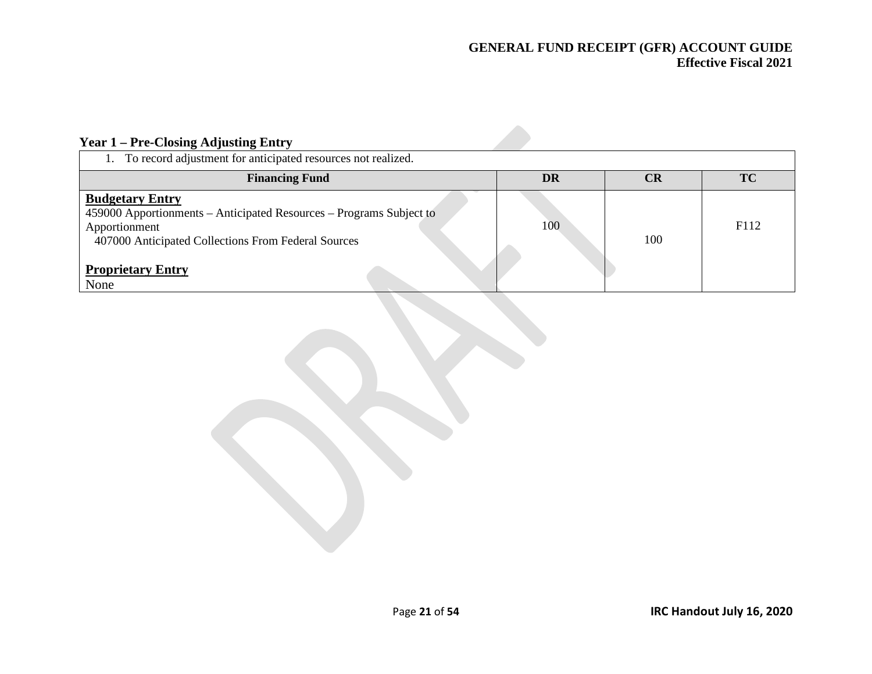# **Year 1 – Pre-Closing Adjusting Entry**

| To record adjustment for anticipated resources not realized.                                                                                                                                              |     |                      |           |
|-----------------------------------------------------------------------------------------------------------------------------------------------------------------------------------------------------------|-----|----------------------|-----------|
| <b>Financing Fund</b>                                                                                                                                                                                     | DR  | $\mathbf C\mathbf R$ | <b>TC</b> |
| <b>Budgetary Entry</b><br>459000 Apportionments – Anticipated Resources – Programs Subject to<br>Apportionment<br>407000 Anticipated Collections From Federal Sources<br><b>Proprietary Entry</b><br>None | 100 | 100                  | F112      |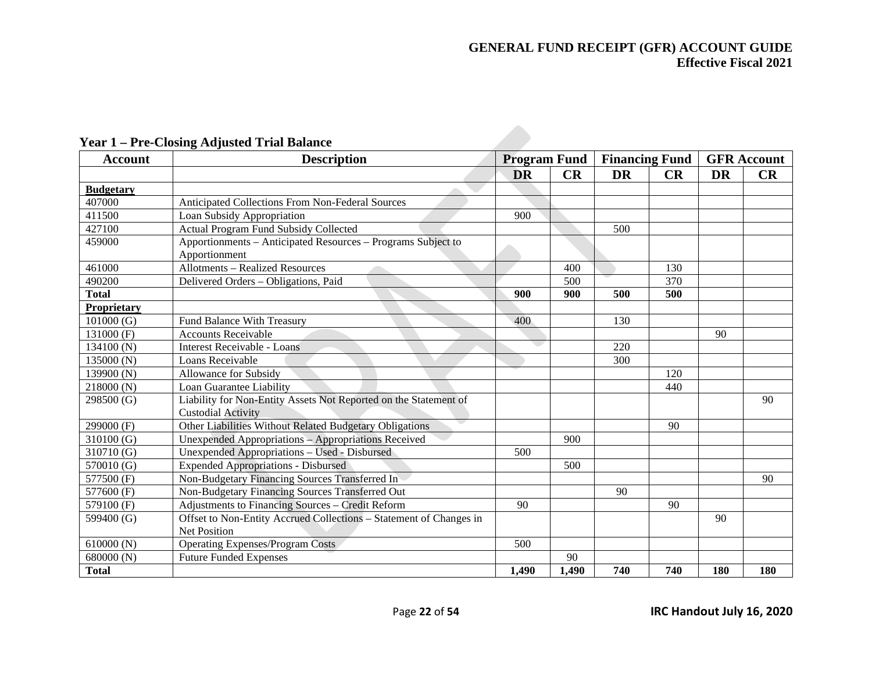| <b>Account</b>   | <b>Description</b>                                                 | <b>Program Fund</b> |       |           | <b>Financing Fund</b> |           | <b>GFR</b> Account |
|------------------|--------------------------------------------------------------------|---------------------|-------|-----------|-----------------------|-----------|--------------------|
|                  |                                                                    | <b>DR</b>           | CR    | <b>DR</b> | CR                    | <b>DR</b> | CR                 |
| <b>Budgetary</b> |                                                                    |                     |       |           |                       |           |                    |
| 407000           | Anticipated Collections From Non-Federal Sources                   |                     |       |           |                       |           |                    |
| 411500           | Loan Subsidy Appropriation                                         | 900                 |       |           |                       |           |                    |
| 427100           | <b>Actual Program Fund Subsidy Collected</b>                       |                     |       | 500       |                       |           |                    |
| 459000           | Apportionments – Anticipated Resources – Programs Subject to       |                     |       |           |                       |           |                    |
|                  | Apportionment                                                      |                     |       |           |                       |           |                    |
| 461000           | <b>Allotments - Realized Resources</b>                             |                     | 400   |           | 130                   |           |                    |
| 490200           | Delivered Orders - Obligations, Paid                               |                     | 500   |           | 370                   |           |                    |
| <b>Total</b>     |                                                                    | 900                 | 900   | 500       | 500                   |           |                    |
| Proprietary      |                                                                    |                     |       |           |                       |           |                    |
| 101000(G)        | Fund Balance With Treasury                                         | 400                 |       | 130       |                       |           |                    |
| 131000 (F)       | <b>Accounts Receivable</b>                                         |                     |       |           |                       | 90        |                    |
| 134100 (N)       | <b>Interest Receivable - Loans</b>                                 | e e                 |       | 220       |                       |           |                    |
| 135000 (N)       | Loans Receivable                                                   |                     |       | 300       |                       |           |                    |
| 139900 (N)       | Allowance for Subsidy                                              |                     |       |           | 120                   |           |                    |
| 218000 (N)       | Loan Guarantee Liability                                           |                     |       |           | 440                   |           |                    |
| 298500 (G)       | Liability for Non-Entity Assets Not Reported on the Statement of   |                     |       |           |                       |           | 90                 |
|                  | <b>Custodial Activity</b>                                          |                     |       |           |                       |           |                    |
| 299000 (F)       | Other Liabilities Without Related Budgetary Obligations            |                     |       |           | 90                    |           |                    |
| 310100(G)        | Unexpended Appropriations - Appropriations Received                |                     | 900   |           |                       |           |                    |
| 310710 (G)       | Unexpended Appropriations - Used - Disbursed                       | 500                 |       |           |                       |           |                    |
| 570010 (G)       | <b>Expended Appropriations - Disbursed</b>                         |                     | 500   |           |                       |           |                    |
| 577500 (F)       | Non-Budgetary Financing Sources Transferred In                     |                     |       |           |                       |           | 90                 |
| 577600 (F)       | Non-Budgetary Financing Sources Transferred Out                    |                     |       | 90        |                       |           |                    |
| 579100 (F)       | Adjustments to Financing Sources - Credit Reform                   | 90                  |       |           | 90                    |           |                    |
| 599400 (G)       | Offset to Non-Entity Accrued Collections - Statement of Changes in |                     |       |           |                       | 90        |                    |
|                  | <b>Net Position</b>                                                |                     |       |           |                       |           |                    |
| 610000 (N)       | <b>Operating Expenses/Program Costs</b>                            | 500                 |       |           |                       |           |                    |
| 680000 (N)       | <b>Future Funded Expenses</b>                                      |                     | 90    |           |                       |           |                    |
| <b>Total</b>     |                                                                    | 1,490               | 1,490 | 740       | 740                   | 180       | 180                |

# **Year 1 – Pre-Closing Adjusted Trial Balance**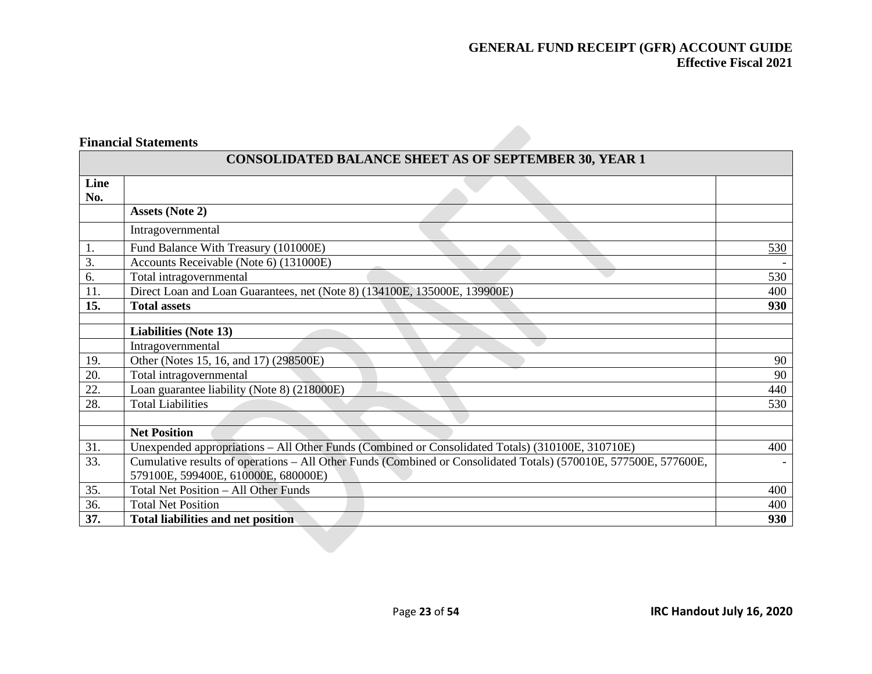### **Financial Statements**

|             | <b>CONSOLIDATED BALANCE SHEET AS OF SEPTEMBER 30, YEAR 1</b>                                                     |     |
|-------------|------------------------------------------------------------------------------------------------------------------|-----|
| Line<br>No. |                                                                                                                  |     |
|             | <b>Assets (Note 2)</b>                                                                                           |     |
|             | Intragovernmental                                                                                                |     |
| 1.          | Fund Balance With Treasury (101000E)                                                                             | 530 |
| 3.          | Accounts Receivable (Note 6) (131000E)                                                                           |     |
| 6.          | Total intragovernmental                                                                                          | 530 |
| 11.         | Direct Loan and Loan Guarantees, net (Note 8) (134100E, 135000E, 139900E)                                        | 400 |
| 15.         | <b>Total assets</b>                                                                                              | 930 |
|             |                                                                                                                  |     |
|             | <b>Liabilities (Note 13)</b>                                                                                     |     |
|             | Intragovernmental                                                                                                |     |
| 19.         | Other (Notes 15, 16, and 17) (298500E)                                                                           | 90  |
| 20.         | Total intragovernmental                                                                                          | 90  |
| 22.         | Loan guarantee liability (Note 8) (218000E)                                                                      | 440 |
| 28.         | <b>Total Liabilities</b>                                                                                         | 530 |
|             |                                                                                                                  |     |
|             | <b>Net Position</b>                                                                                              |     |
| 31.         | Unexpended appropriations – All Other Funds (Combined or Consolidated Totals) (310100E, 310710E)                 | 400 |
| 33.         | Cumulative results of operations – All Other Funds (Combined or Consolidated Totals) (570010E, 577500E, 577600E, |     |
|             | 579100E, 599400E, 610000E, 680000E)                                                                              |     |
| 35.         | Total Net Position - All Other Funds                                                                             | 400 |
| 36.         | <b>Total Net Position</b>                                                                                        | 400 |
| 37.         | <b>Total liabilities and net position</b>                                                                        | 930 |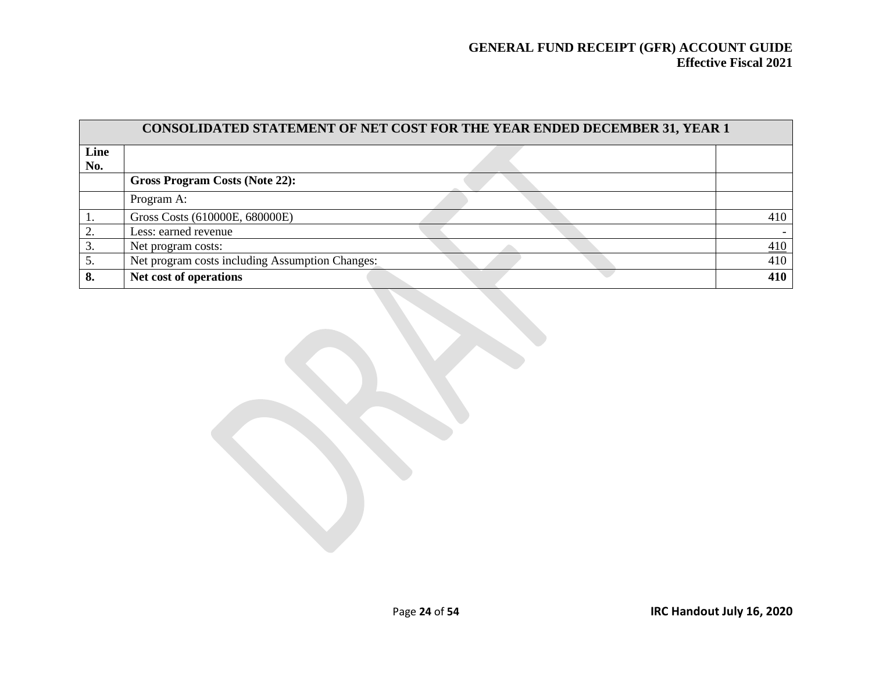|             | CONSOLIDATED STATEMENT OF NET COST FOR THE YEAR ENDED DECEMBER 31, YEAR 1 |                   |  |  |  |  |  |  |
|-------------|---------------------------------------------------------------------------|-------------------|--|--|--|--|--|--|
| Line<br>No. |                                                                           |                   |  |  |  |  |  |  |
|             | Gross Program Costs (Note 22):                                            |                   |  |  |  |  |  |  |
|             | Program A:                                                                |                   |  |  |  |  |  |  |
|             | Gross Costs (610000E, 680000E)                                            | 410               |  |  |  |  |  |  |
|             | Less: earned revenue                                                      |                   |  |  |  |  |  |  |
|             | Net program costs:                                                        | $\underline{410}$ |  |  |  |  |  |  |
| 5.          | Net program costs including Assumption Changes:                           | 410               |  |  |  |  |  |  |
| 8.          | Net cost of operations                                                    | 410               |  |  |  |  |  |  |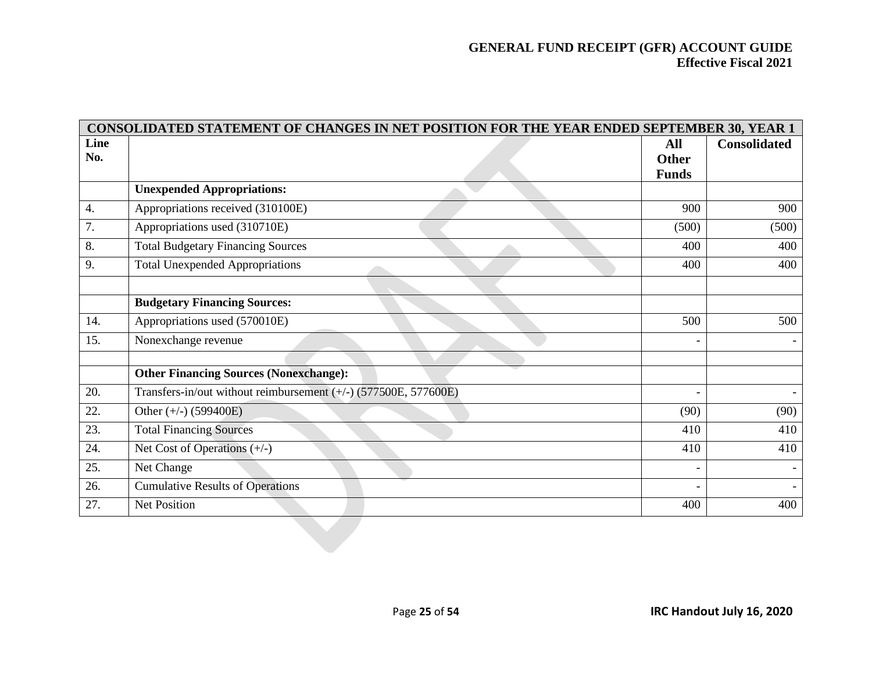| Line<br>No.      |                                                                 | All<br><b>Other</b> | <b>Consolidated</b> |
|------------------|-----------------------------------------------------------------|---------------------|---------------------|
|                  |                                                                 | <b>Funds</b>        |                     |
|                  | <b>Unexpended Appropriations:</b>                               |                     |                     |
| $\overline{4}$ . | Appropriations received (310100E)                               | 900                 | 900                 |
| 7.               | Appropriations used (310710E)                                   | (500)               | (500)               |
| 8.               | <b>Total Budgetary Financing Sources</b>                        | 400                 | 400                 |
| 9.               | <b>Total Unexpended Appropriations</b>                          | 400                 | 400                 |
|                  | <b>Budgetary Financing Sources:</b>                             |                     |                     |
| 14.              | Appropriations used (570010E)                                   | 500                 | 500                 |
| 15.              | Nonexchange revenue                                             |                     |                     |
|                  | <b>Other Financing Sources (Nonexchange):</b>                   |                     |                     |
| 20.              | Transfers-in/out without reimbursement (+/-) (577500E, 577600E) |                     |                     |
| 22.              | Other $(+/-)$ (599400E)                                         | (90)                | (90)                |
| 23.              | <b>Total Financing Sources</b>                                  | 410                 | 410                 |
| 24.              | Net Cost of Operations $(+/-)$                                  | 410                 | 410                 |
| 25.              | Net Change                                                      |                     |                     |
| 26.              | <b>Cumulative Results of Operations</b>                         |                     |                     |
| 27.              | Net Position                                                    | 400                 | 400                 |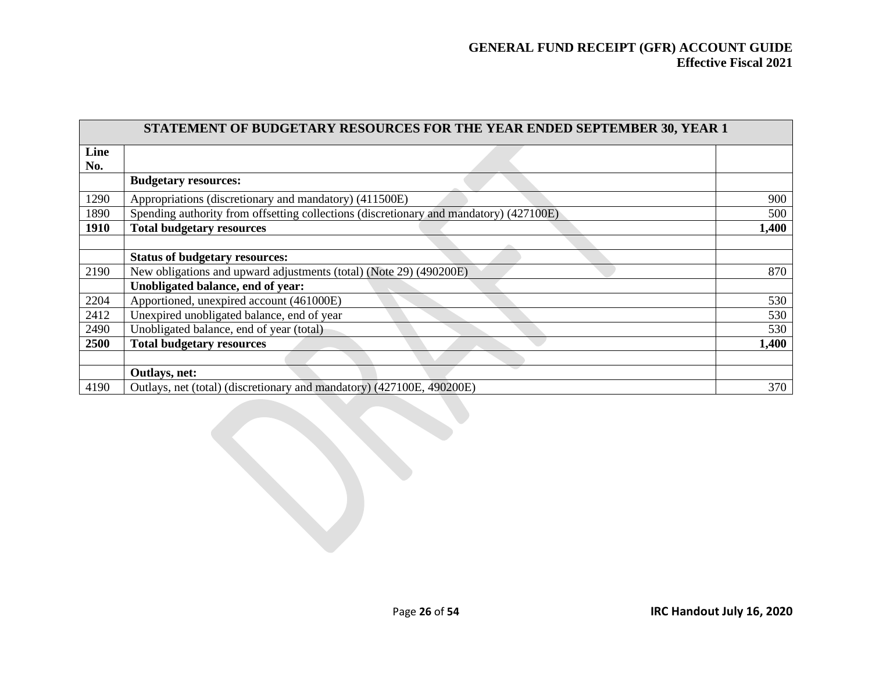|             | <b>STATEMENT OF BUDGETARY RESOURCES FOR THE YEAR ENDED SEPTEMBER 30, YEAR 1</b>        |       |
|-------------|----------------------------------------------------------------------------------------|-------|
| Line        |                                                                                        |       |
| No.         |                                                                                        |       |
|             | <b>Budgetary resources:</b>                                                            |       |
| 1290        | Appropriations (discretionary and mandatory) (411500E)                                 | 900   |
| 1890        | Spending authority from offsetting collections (discretionary and mandatory) (427100E) | 500   |
| <b>1910</b> | <b>Total budgetary resources</b>                                                       | 1,400 |
|             |                                                                                        |       |
|             | <b>Status of budgetary resources:</b>                                                  |       |
| 2190        | New obligations and upward adjustments (total) (Note 29) (490200E)                     | 870   |
|             | Unobligated balance, end of year:                                                      |       |
| 2204        | Apportioned, unexpired account (461000E)                                               | 530   |
| 2412        | Unexpired unobligated balance, end of year                                             | 530   |
| 2490        | Unobligated balance, end of year (total)                                               | 530   |
| 2500        | <b>Total budgetary resources</b>                                                       | 1,400 |
|             |                                                                                        |       |
|             | Outlays, net:                                                                          |       |
| 4190        | Outlays, net (total) (discretionary and mandatory) (427100E, 490200E)                  | 370   |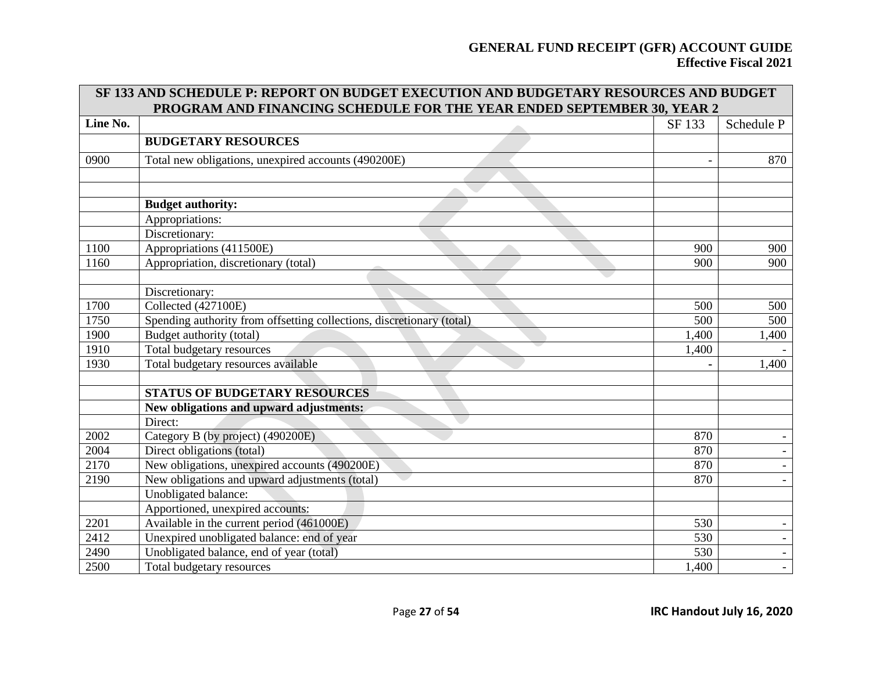|          | SF 133 AND SCHEDULE P: REPORT ON BUDGET EXECUTION AND BUDGETARY RESOURCES AND BUDGET<br>PROGRAM AND FINANCING SCHEDULE FOR THE YEAR ENDED SEPTEMBER 30, YEAR 2 |        |                          |
|----------|----------------------------------------------------------------------------------------------------------------------------------------------------------------|--------|--------------------------|
| Line No. |                                                                                                                                                                | SF 133 | Schedule P               |
|          | <b>BUDGETARY RESOURCES</b>                                                                                                                                     |        |                          |
| 0900     | Total new obligations, unexpired accounts (490200E)                                                                                                            |        | 870                      |
|          |                                                                                                                                                                |        |                          |
|          | <b>Budget authority:</b>                                                                                                                                       |        |                          |
|          | Appropriations:                                                                                                                                                |        |                          |
|          | Discretionary:                                                                                                                                                 |        |                          |
| 1100     | Appropriations (411500E)                                                                                                                                       | 900    | 900                      |
| 1160     | Appropriation, discretionary (total)                                                                                                                           | 900    | 900                      |
|          |                                                                                                                                                                |        |                          |
|          | Discretionary:                                                                                                                                                 |        |                          |
| 1700     | Collected (427100E)                                                                                                                                            | 500    | 500                      |
| 1750     | Spending authority from offsetting collections, discretionary (total)                                                                                          | 500    | 500                      |
| 1900     | Budget authority (total)                                                                                                                                       | 1,400  | 1,400                    |
| 1910     | Total budgetary resources                                                                                                                                      | 1,400  |                          |
| 1930     | Total budgetary resources available                                                                                                                            |        | 1,400                    |
|          |                                                                                                                                                                |        |                          |
|          | <b>STATUS OF BUDGETARY RESOURCES</b>                                                                                                                           |        |                          |
|          | New obligations and upward adjustments:                                                                                                                        |        |                          |
|          | Direct:                                                                                                                                                        |        |                          |
| 2002     | Category B (by project) (490200E)                                                                                                                              | 870    |                          |
| 2004     | Direct obligations (total)                                                                                                                                     | 870    |                          |
| 2170     | New obligations, unexpired accounts (490200E)                                                                                                                  | 870    |                          |
| 2190     | New obligations and upward adjustments (total)                                                                                                                 | 870    |                          |
|          | Unobligated balance:                                                                                                                                           |        |                          |
|          | Apportioned, unexpired accounts:                                                                                                                               |        |                          |
| 2201     | Available in the current period (461000E)                                                                                                                      | 530    |                          |
| 2412     | Unexpired unobligated balance: end of year                                                                                                                     | 530    | $\overline{\phantom{a}}$ |
| 2490     | Unobligated balance, end of year (total)                                                                                                                       | 530    |                          |
| 2500     | Total budgetary resources                                                                                                                                      | 1,400  | $\overline{\phantom{a}}$ |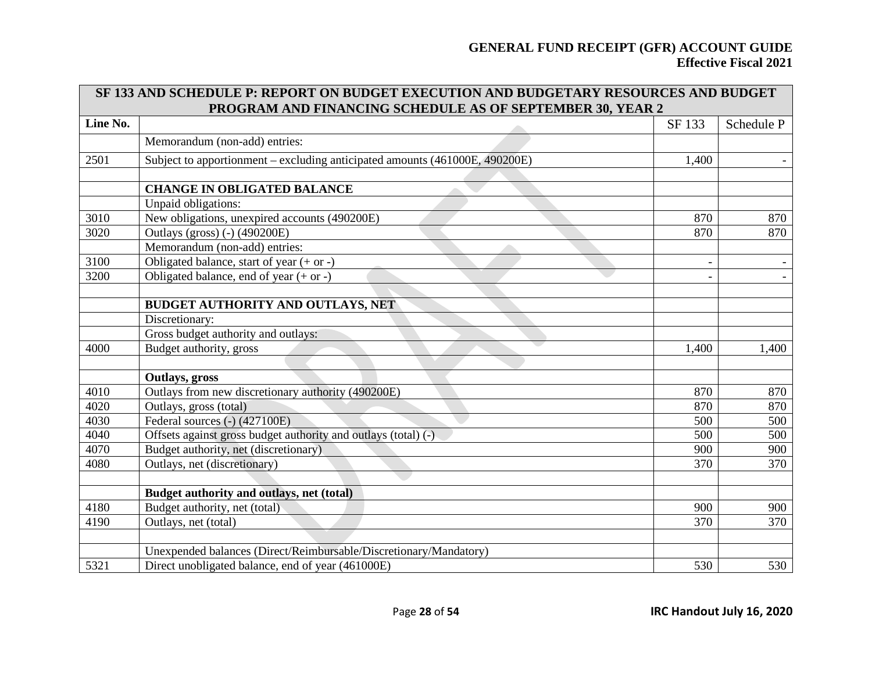|          | <b>SF 133 AND SCHEDULE P: REPORT ON BUDGET EXECUTION AND BUDGETARY RESOURCES AND BUDGET</b> |        |            |
|----------|---------------------------------------------------------------------------------------------|--------|------------|
|          | PROGRAM AND FINANCING SCHEDULE AS OF SEPTEMBER 30, YEAR 2                                   |        |            |
| Line No. |                                                                                             | SF 133 | Schedule P |
|          | Memorandum (non-add) entries:                                                               |        |            |
| 2501     | Subject to apportionment – excluding anticipated amounts (461000E, 490200E)                 | 1,400  |            |
|          |                                                                                             |        |            |
|          | <b>CHANGE IN OBLIGATED BALANCE</b>                                                          |        |            |
|          | Unpaid obligations:                                                                         |        |            |
| 3010     | New obligations, unexpired accounts (490200E)                                               | 870    | 870        |
| 3020     | <b>Outlays (gross) (-) (490200E)</b>                                                        | 870    | 870        |
|          | Memorandum (non-add) entries:                                                               |        |            |
| 3100     | Obligated balance, start of year $(+ or -)$                                                 |        |            |
| 3200     | Obligated balance, end of year $(+ or -)$                                                   |        |            |
|          |                                                                                             |        |            |
|          | BUDGET AUTHORITY AND OUTLAYS, NET                                                           |        |            |
|          | Discretionary:                                                                              |        |            |
|          | Gross budget authority and outlays:                                                         |        |            |
| 4000     | Budget authority, gross                                                                     | 1,400  | 1,400      |
|          |                                                                                             |        |            |
|          | Outlays, gross                                                                              |        |            |
| 4010     | Outlays from new discretionary authority (490200E)                                          | 870    | 870        |
| 4020     | Outlays, gross (total)                                                                      | 870    | 870        |
| 4030     | Federal sources (-) (427100E)                                                               | 500    | 500        |
| 4040     | Offsets against gross budget authority and outlays (total) (-)                              | 500    | 500        |
| 4070     | Budget authority, net (discretionary)                                                       | 900    | 900        |
| 4080     | Outlays, net (discretionary)                                                                | 370    | 370        |
|          |                                                                                             |        |            |
|          | Budget authority and outlays, net (total)                                                   |        |            |
| 4180     | Budget authority, net (total)                                                               | 900    | 900        |
| 4190     | Outlays, net (total)                                                                        | 370    | 370        |
|          |                                                                                             |        |            |
|          | Unexpended balances (Direct/Reimbursable/Discretionary/Mandatory)                           |        |            |
| 5321     | Direct unobligated balance, end of year (461000E)                                           | 530    | 530        |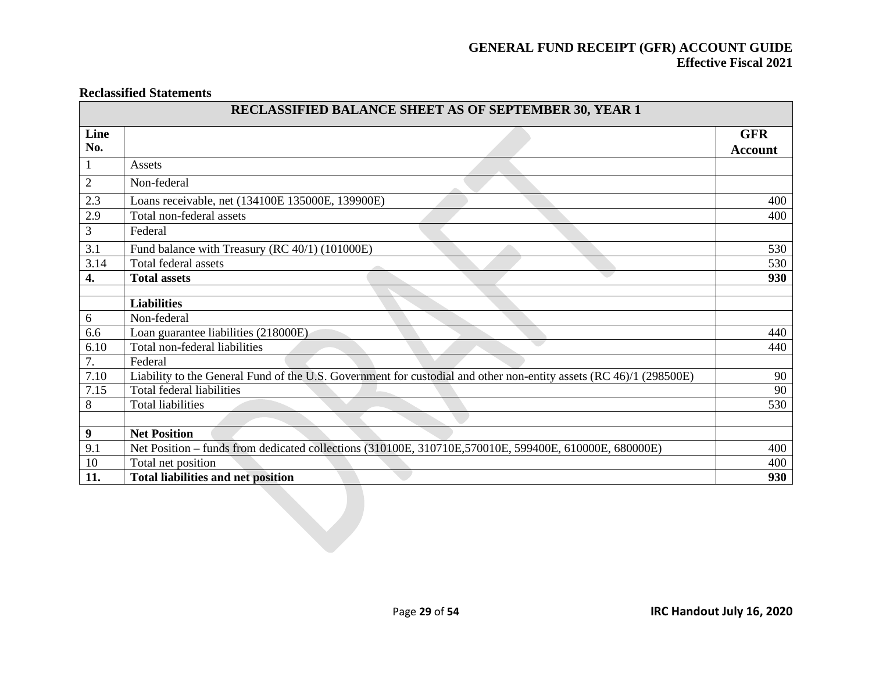#### **Reclassified Statements**

| Line             |                                                                                                                    | <b>GFR</b>     |
|------------------|--------------------------------------------------------------------------------------------------------------------|----------------|
| No.              |                                                                                                                    | <b>Account</b> |
| $\mathbf{1}$     | Assets                                                                                                             |                |
| $\overline{2}$   | Non-federal                                                                                                        |                |
| 2.3              | Loans receivable, net (134100E 135000E, 139900E)                                                                   | 400            |
| 2.9              | Total non-federal assets                                                                                           | 400            |
| 3                | Federal                                                                                                            |                |
| 3.1              | Fund balance with Treasury (RC 40/1) (101000E)                                                                     | 530            |
| 3.14             | Total federal assets                                                                                               | 530            |
| 4.               | <b>Total assets</b>                                                                                                | 930            |
|                  |                                                                                                                    |                |
|                  | <b>Liabilities</b>                                                                                                 |                |
| 6<br>6.6         | Non-federal                                                                                                        |                |
| 6.10             | Loan guarantee liabilities (218000E)<br>Total non-federal liabilities                                              | 440<br>440     |
| 7.               | Federal                                                                                                            |                |
| 7.10             | Liability to the General Fund of the U.S. Government for custodial and other non-entity assets (RC 46)/1 (298500E) | 90             |
| 7.15             | Total federal liabilities                                                                                          | 90             |
| $8\,$            | <b>Total liabilities</b>                                                                                           | 530            |
|                  |                                                                                                                    |                |
| $\boldsymbol{9}$ | <b>Net Position</b>                                                                                                |                |
| 9.1              | Net Position - funds from dedicated collections (310100E, 310710E, 570010E, 599400E, 610000E, 680000E)             | 400            |
| 10               | Total net position                                                                                                 | 400            |
| 11.              | <b>Total liabilities and net position</b>                                                                          | 930            |
|                  |                                                                                                                    |                |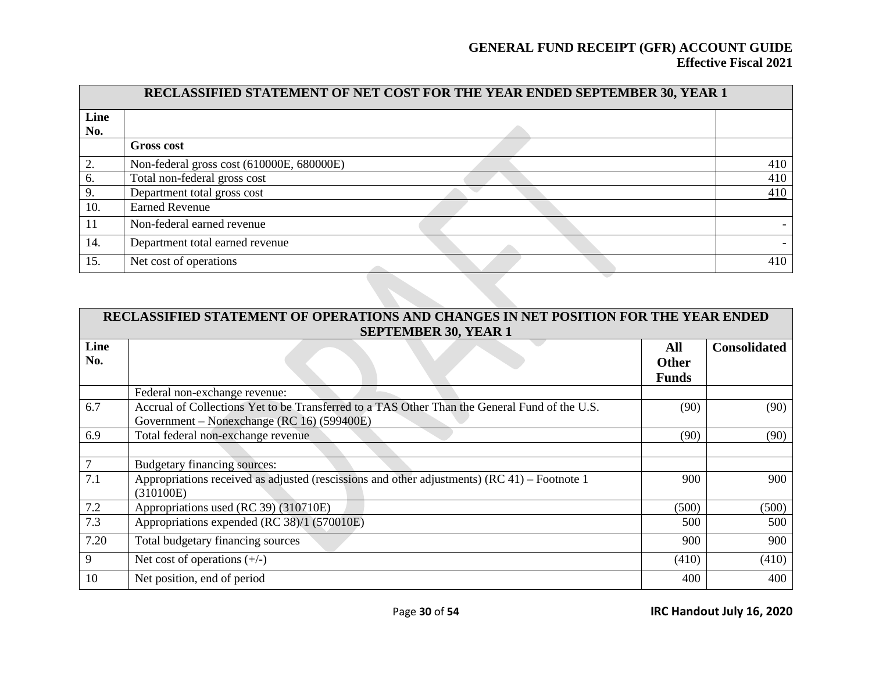| RECLASSIFIED STATEMENT OF NET COST FOR THE YEAR ENDED SEPTEMBER 30, YEAR 1 |                                           |     |  |  |  |  |  |
|----------------------------------------------------------------------------|-------------------------------------------|-----|--|--|--|--|--|
| Line<br>No.                                                                |                                           |     |  |  |  |  |  |
|                                                                            | <b>Gross cost</b>                         |     |  |  |  |  |  |
| 2.                                                                         | Non-federal gross cost (610000E, 680000E) | 410 |  |  |  |  |  |
| 6.                                                                         | Total non-federal gross cost              | 410 |  |  |  |  |  |
| 9.                                                                         | Department total gross cost               | 410 |  |  |  |  |  |
| 10.                                                                        | <b>Earned Revenue</b>                     |     |  |  |  |  |  |
| 11                                                                         | Non-federal earned revenue                |     |  |  |  |  |  |
| 14.                                                                        | Department total earned revenue           |     |  |  |  |  |  |
| 15.                                                                        | Net cost of operations                    | 410 |  |  |  |  |  |
|                                                                            |                                           |     |  |  |  |  |  |

|      | RECLASSIFIED STATEMENT OF OPERATIONS AND CHANGES IN NET POSITION FOR THE YEAR ENDED<br><b>SEPTEMBER 30, YEAR 1</b> |              |                     |  |  |  |  |  |
|------|--------------------------------------------------------------------------------------------------------------------|--------------|---------------------|--|--|--|--|--|
| Line |                                                                                                                    | All          | <b>Consolidated</b> |  |  |  |  |  |
| No.  |                                                                                                                    | <b>Other</b> |                     |  |  |  |  |  |
|      |                                                                                                                    | <b>Funds</b> |                     |  |  |  |  |  |
|      | Federal non-exchange revenue:                                                                                      |              |                     |  |  |  |  |  |
| 6.7  | Accrual of Collections Yet to be Transferred to a TAS Other Than the General Fund of the U.S.                      | (90)         | (90)                |  |  |  |  |  |
|      | Government – Nonexchange (RC 16) (599400E)                                                                         |              |                     |  |  |  |  |  |
| 6.9  | Total federal non-exchange revenue                                                                                 | (90)         | (90)                |  |  |  |  |  |
|      |                                                                                                                    |              |                     |  |  |  |  |  |
|      | Budgetary financing sources:                                                                                       |              |                     |  |  |  |  |  |
| 7.1  | Appropriations received as adjusted (rescissions and other adjustments) (RC 41) – Footnote 1                       | 900          | 900                 |  |  |  |  |  |
|      | (310100E)                                                                                                          |              |                     |  |  |  |  |  |
| 7.2  | Appropriations used (RC 39) (310710E)                                                                              | (500)        | (500)               |  |  |  |  |  |
| 7.3  | Appropriations expended (RC 38)/1 (570010E)                                                                        | 500          | 500                 |  |  |  |  |  |
| 7.20 | Total budgetary financing sources                                                                                  | 900          | 900                 |  |  |  |  |  |
| 9    | Net cost of operations $(+/-)$                                                                                     | (410)        | (410)               |  |  |  |  |  |
| 10   | Net position, end of period                                                                                        | 400          | 400                 |  |  |  |  |  |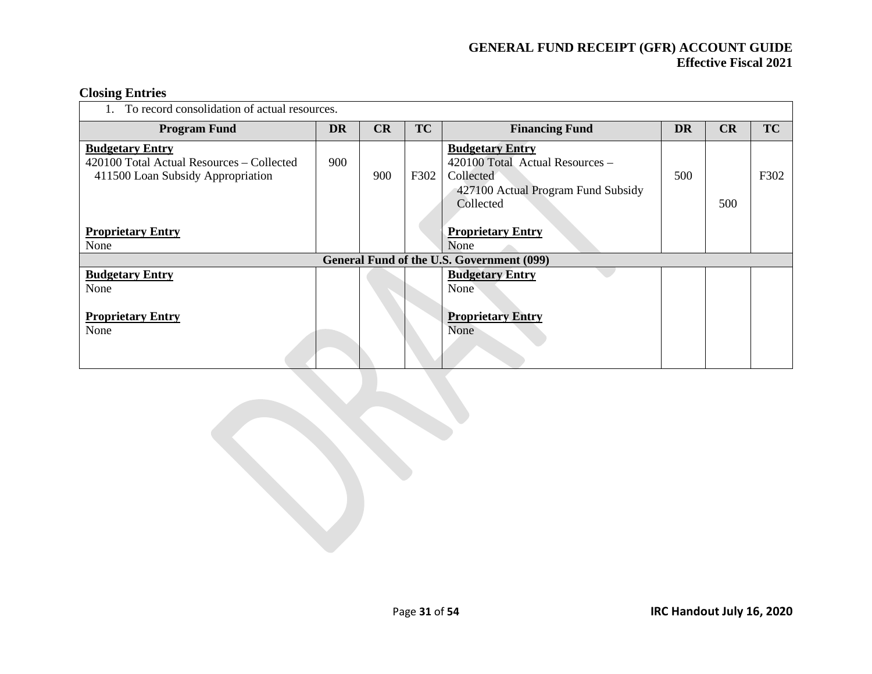#### **Closing Entries**

| To record consolidation of actual resources.                                   |           |     |           |                                                  |           |     |           |  |  |  |
|--------------------------------------------------------------------------------|-----------|-----|-----------|--------------------------------------------------|-----------|-----|-----------|--|--|--|
| <b>Program Fund</b>                                                            | <b>DR</b> | CR  | <b>TC</b> | <b>Financing Fund</b>                            | <b>DR</b> | CR  | <b>TC</b> |  |  |  |
| <b>Budgetary Entry</b>                                                         |           |     |           | <b>Budgetary Entry</b>                           |           |     |           |  |  |  |
| 420100 Total Actual Resources – Collected<br>411500 Loan Subsidy Appropriation | 900       | 900 | F302      | 420100 Total Actual Resources -<br>Collected     | 500       |     | F302      |  |  |  |
|                                                                                |           |     |           | 427100 Actual Program Fund Subsidy               |           |     |           |  |  |  |
|                                                                                |           |     |           | Collected                                        |           | 500 |           |  |  |  |
| <b>Proprietary Entry</b>                                                       |           |     |           | <b>Proprietary Entry</b>                         |           |     |           |  |  |  |
| None                                                                           |           |     |           | None                                             |           |     |           |  |  |  |
|                                                                                |           |     |           | <b>General Fund of the U.S. Government (099)</b> |           |     |           |  |  |  |
| <b>Budgetary Entry</b>                                                         |           |     |           | <b>Budgetary Entry</b>                           |           |     |           |  |  |  |
| None                                                                           |           |     |           | None                                             |           |     |           |  |  |  |
| <b>Proprietary Entry</b><br>None                                               |           |     |           | <b>Proprietary Entry</b><br>None                 |           |     |           |  |  |  |
|                                                                                |           |     |           |                                                  |           |     |           |  |  |  |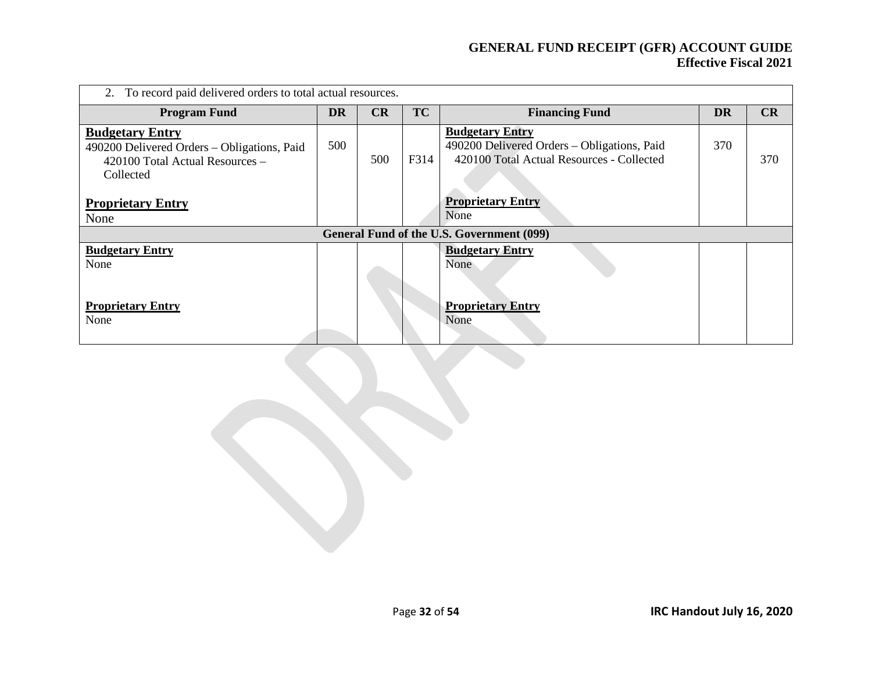| 2. To record paid delivered orders to total actual resources.                                                         |     |     |           |                                                                                                                    |           |     |  |  |  |
|-----------------------------------------------------------------------------------------------------------------------|-----|-----|-----------|--------------------------------------------------------------------------------------------------------------------|-----------|-----|--|--|--|
| <b>Program Fund</b>                                                                                                   | DR  | CR  | <b>TC</b> | <b>Financing Fund</b>                                                                                              | <b>DR</b> | CR  |  |  |  |
| <b>Budgetary Entry</b><br>490200 Delivered Orders - Obligations, Paid<br>420100 Total Actual Resources -<br>Collected | 500 | 500 | F314      | <b>Budgetary Entry</b><br>490200 Delivered Orders - Obligations, Paid<br>420100 Total Actual Resources - Collected | 370       | 370 |  |  |  |
| <b>Proprietary Entry</b><br>None                                                                                      |     |     |           | <b>Proprietary Entry</b><br>None                                                                                   |           |     |  |  |  |
|                                                                                                                       |     |     |           | General Fund of the U.S. Government (099)                                                                          |           |     |  |  |  |
| <b>Budgetary Entry</b><br>None                                                                                        |     |     |           | <b>Budgetary Entry</b><br>None                                                                                     |           |     |  |  |  |
| <b>Proprietary Entry</b><br>None                                                                                      |     |     |           | <b>Proprietary Entry</b><br>None                                                                                   |           |     |  |  |  |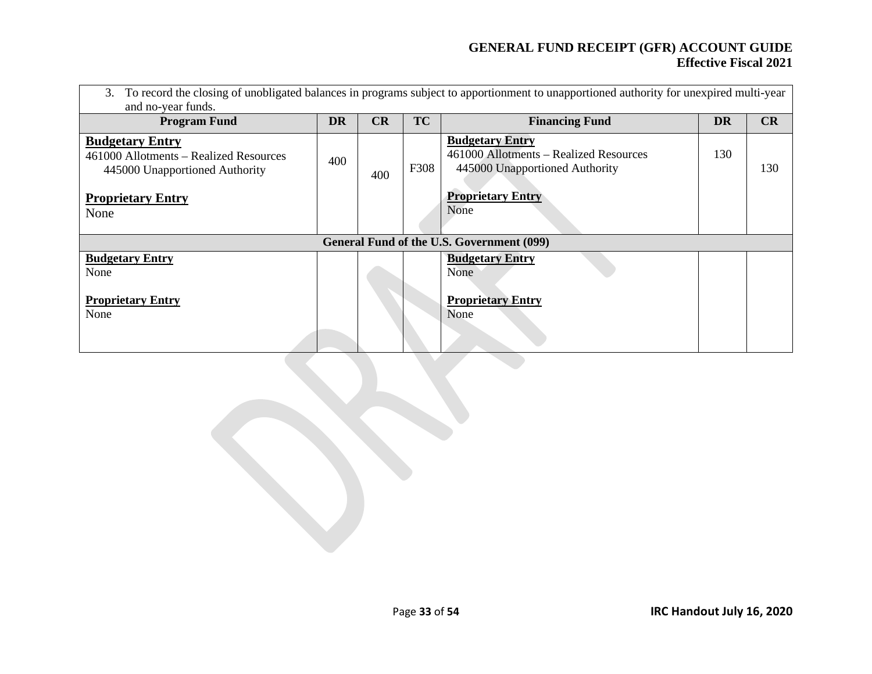| To record the closing of unobligated balances in programs subject to apportionment to unapportioned authority for unexpired multi-year<br>3.<br>and no-year funds. |           |     |           |                                                                                                    |           |     |  |  |  |  |
|--------------------------------------------------------------------------------------------------------------------------------------------------------------------|-----------|-----|-----------|----------------------------------------------------------------------------------------------------|-----------|-----|--|--|--|--|
| <b>Program Fund</b>                                                                                                                                                | <b>DR</b> | CR  | <b>TC</b> | <b>Financing Fund</b>                                                                              | <b>DR</b> | CR  |  |  |  |  |
| <b>Budgetary Entry</b><br>461000 Allotments – Realized Resources<br>445000 Unapportioned Authority                                                                 | 400       | 400 | F308      | <b>Budgetary Entry</b><br>461000 Allotments – Realized Resources<br>445000 Unapportioned Authority | 130       | 130 |  |  |  |  |
| <b>Proprietary Entry</b><br>None                                                                                                                                   |           |     |           | <b>Proprietary Entry</b><br>None                                                                   |           |     |  |  |  |  |
|                                                                                                                                                                    |           |     |           | General Fund of the U.S. Government (099)                                                          |           |     |  |  |  |  |
| <b>Budgetary Entry</b><br>None                                                                                                                                     |           |     |           | <b>Budgetary Entry</b><br>None                                                                     |           |     |  |  |  |  |
| <b>Proprietary Entry</b><br>None                                                                                                                                   |           |     |           | <b>Proprietary Entry</b><br>None                                                                   |           |     |  |  |  |  |
|                                                                                                                                                                    |           |     |           |                                                                                                    |           |     |  |  |  |  |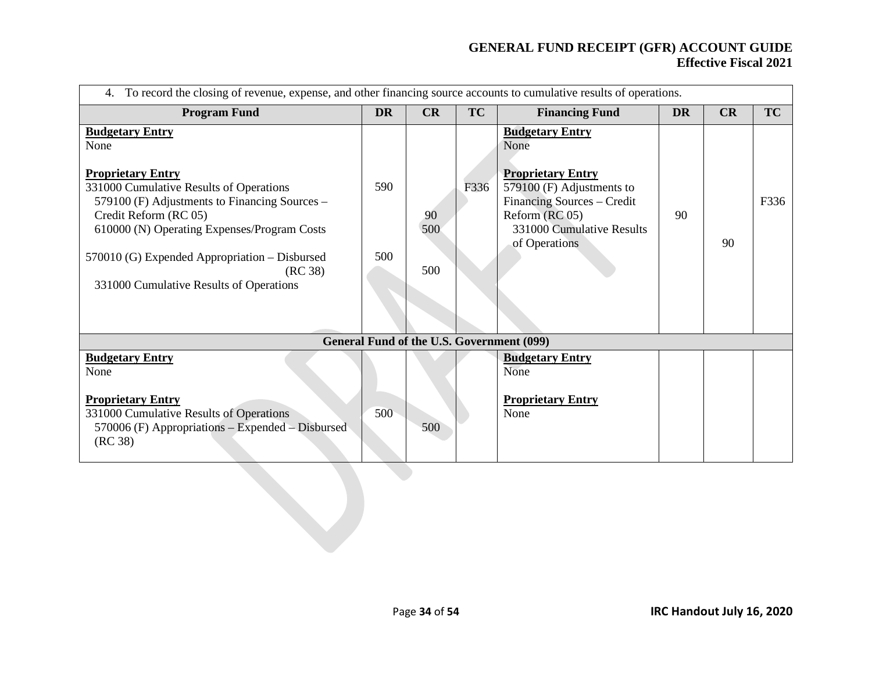| To record the closing of revenue, expense, and other financing source accounts to cumulative results of operations.<br>4.                                                                                                                                                                                                             |            |                  |      |                                                                                                                                                                                         |           |    |           |  |  |  |
|---------------------------------------------------------------------------------------------------------------------------------------------------------------------------------------------------------------------------------------------------------------------------------------------------------------------------------------|------------|------------------|------|-----------------------------------------------------------------------------------------------------------------------------------------------------------------------------------------|-----------|----|-----------|--|--|--|
| <b>Program Fund</b>                                                                                                                                                                                                                                                                                                                   | <b>DR</b>  | CR               | TC   | <b>Financing Fund</b>                                                                                                                                                                   | <b>DR</b> | CR | <b>TC</b> |  |  |  |
| <b>Budgetary Entry</b><br>None<br><b>Proprietary Entry</b><br>331000 Cumulative Results of Operations<br>579100 (F) Adjustments to Financing Sources –<br>Credit Reform (RC 05)<br>610000 (N) Operating Expenses/Program Costs<br>570010 (G) Expended Appropriation – Disbursed<br>(RC 38)<br>331000 Cumulative Results of Operations | 590<br>500 | 90<br>500<br>500 | F336 | <b>Budgetary Entry</b><br>None<br><b>Proprietary Entry</b><br>$579100$ (F) Adjustments to<br>Financing Sources - Credit<br>Reform (RC 05)<br>331000 Cumulative Results<br>of Operations | 90        | 90 | F336      |  |  |  |
|                                                                                                                                                                                                                                                                                                                                       |            |                  |      | General Fund of the U.S. Government (099)                                                                                                                                               |           |    |           |  |  |  |
| <b>Budgetary Entry</b><br>None<br><b>Proprietary Entry</b><br>331000 Cumulative Results of Operations<br>570006 (F) Appropriations – Expended – Disbursed<br>(RC 38)                                                                                                                                                                  | 500        | 500              |      | <b>Budgetary Entry</b><br>None<br><b>Proprietary Entry</b><br>None                                                                                                                      |           |    |           |  |  |  |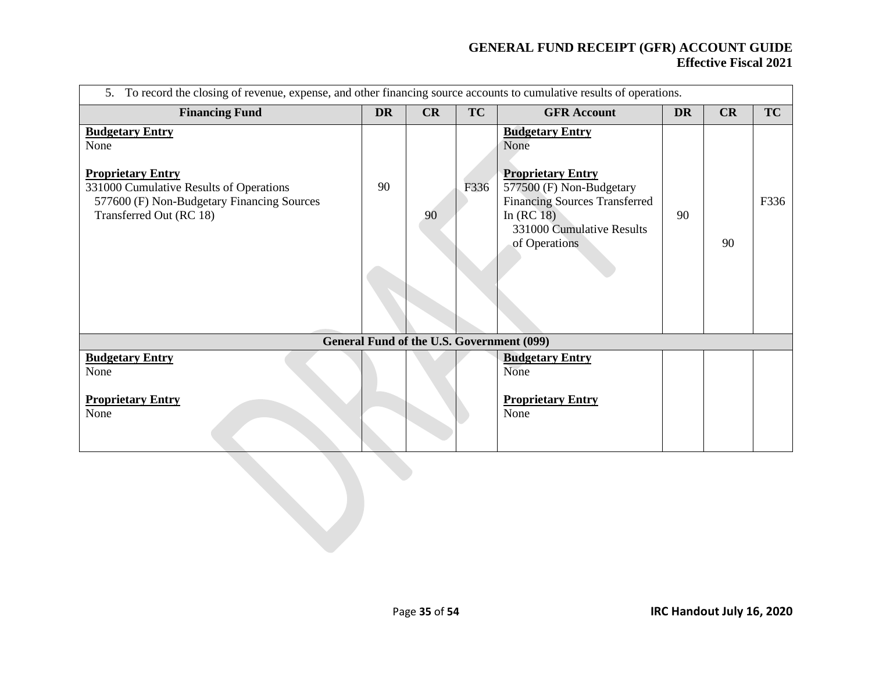| 5. To record the closing of revenue, expense, and other financing source accounts to cumulative results of operations.                                                         |           |    |      |                                                                                                                                                                                             |           |    |           |  |  |
|--------------------------------------------------------------------------------------------------------------------------------------------------------------------------------|-----------|----|------|---------------------------------------------------------------------------------------------------------------------------------------------------------------------------------------------|-----------|----|-----------|--|--|
| <b>Financing Fund</b>                                                                                                                                                          | <b>DR</b> | CR | TC   | <b>GFR</b> Account                                                                                                                                                                          | <b>DR</b> | CR | <b>TC</b> |  |  |
| <b>Budgetary Entry</b><br>None<br><b>Proprietary Entry</b><br>331000 Cumulative Results of Operations<br>577600 (F) Non-Budgetary Financing Sources<br>Transferred Out (RC 18) | 90        | 90 | F336 | <b>Budgetary Entry</b><br>None<br><b>Proprietary Entry</b><br>577500 (F) Non-Budgetary<br><b>Financing Sources Transferred</b><br>In $(RC18)$<br>331000 Cumulative Results<br>of Operations | 90        | 90 | F336      |  |  |
|                                                                                                                                                                                |           |    |      | General Fund of the U.S. Government (099)                                                                                                                                                   |           |    |           |  |  |
| <b>Budgetary Entry</b><br>None<br><b>Proprietary Entry</b><br>None                                                                                                             |           |    |      | <b>Budgetary Entry</b><br>None<br><b>Proprietary Entry</b><br>None                                                                                                                          |           |    |           |  |  |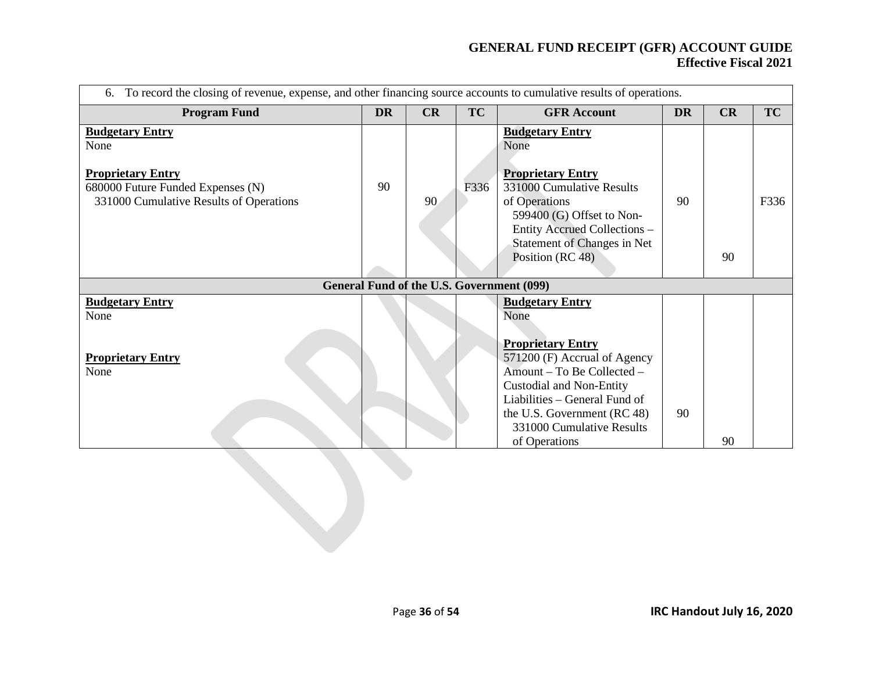| To record the closing of revenue, expense, and other financing source accounts to cumulative results of operations.<br>6.                  |           |    |           |                                                                                                                                                                                                                                                                           |           |    |           |  |
|--------------------------------------------------------------------------------------------------------------------------------------------|-----------|----|-----------|---------------------------------------------------------------------------------------------------------------------------------------------------------------------------------------------------------------------------------------------------------------------------|-----------|----|-----------|--|
| <b>Program Fund</b>                                                                                                                        | <b>DR</b> | CR | <b>TC</b> | <b>GFR Account</b>                                                                                                                                                                                                                                                        | <b>DR</b> | CR | <b>TC</b> |  |
| <b>Budgetary Entry</b><br>None<br><b>Proprietary Entry</b><br>680000 Future Funded Expenses (N)<br>331000 Cumulative Results of Operations | 90        | 90 | F336      | <b>Budgetary Entry</b><br>None<br><b>Proprietary Entry</b><br>331000 Cumulative Results<br>of Operations<br>599400 (G) Offset to Non-<br>Entity Accrued Collections -<br>Statement of Changes in Net<br>Position (RC 48)                                                  | 90        | 90 | F336      |  |
|                                                                                                                                            |           |    |           | General Fund of the U.S. Government (099)                                                                                                                                                                                                                                 |           |    |           |  |
| <b>Budgetary Entry</b><br>None<br><b>Proprietary Entry</b><br>None                                                                         |           |    |           | <b>Budgetary Entry</b><br>None<br><b>Proprietary Entry</b><br>571200 (F) Accrual of Agency<br>Amount - To Be Collected -<br><b>Custodial and Non-Entity</b><br>Liabilities – General Fund of<br>the U.S. Government (RC 48)<br>331000 Cumulative Results<br>of Operations | 90        | 90 |           |  |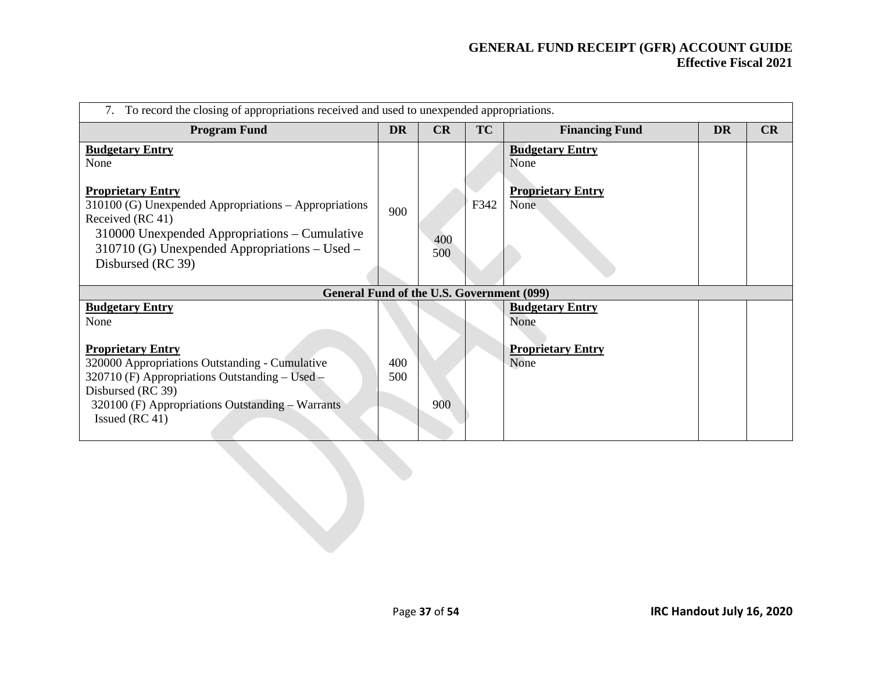| To record the closing of appropriations received and used to unexpended appropriations.                                                                                                                                                                            |            |            |           |                                                                           |           |    |  |  |
|--------------------------------------------------------------------------------------------------------------------------------------------------------------------------------------------------------------------------------------------------------------------|------------|------------|-----------|---------------------------------------------------------------------------|-----------|----|--|--|
| <b>Program Fund</b>                                                                                                                                                                                                                                                | <b>DR</b>  | CR         | <b>TC</b> | <b>Financing Fund</b>                                                     | <b>DR</b> | CR |  |  |
| <b>Budgetary Entry</b><br>None<br><b>Proprietary Entry</b><br>$310100$ (G) Unexpended Appropriations – Appropriations<br>Received (RC 41)<br>$310000$ Unexpended Appropriations – Cumulative<br>310710 (G) Unexpended Appropriations – Used –<br>Disbursed (RC 39) | 900        | 400<br>500 | F342      | <b>Budgetary Entry</b><br>None<br><b>Proprietary Entry</b><br><b>None</b> |           |    |  |  |
| General Fund of the U.S. Government (099)                                                                                                                                                                                                                          |            |            |           |                                                                           |           |    |  |  |
| <b>Budgetary Entry</b><br>None<br><b>Proprietary Entry</b><br>320000 Appropriations Outstanding - Cumulative<br>320710 (F) Appropriations Outstanding – Used –<br>Disbursed (RC 39)<br>320100 (F) Appropriations Outstanding - Warrants<br>Issued (RC 41)          | 400<br>500 | 900        |           | <b>Budgetary Entry</b><br>None<br><b>Proprietary Entry</b><br>None        |           |    |  |  |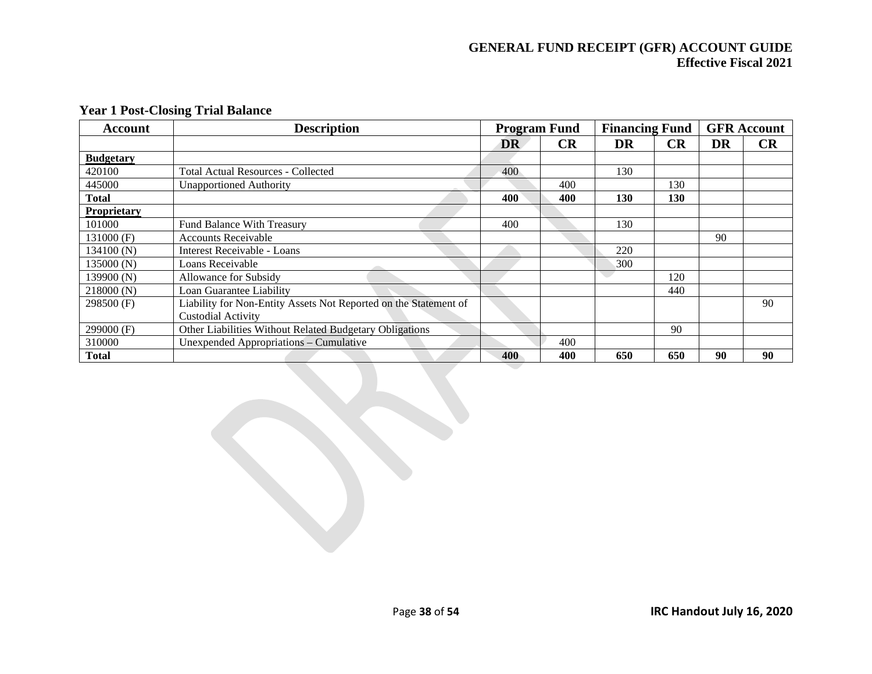| <b>Account</b>   | <b>Description</b>                                               | <b>Program Fund</b> |           | <b>Financing Fund</b> |           |    | <b>GFR Account</b> |
|------------------|------------------------------------------------------------------|---------------------|-----------|-----------------------|-----------|----|--------------------|
|                  |                                                                  | <b>DR</b>           | <b>CR</b> | DR                    | <b>CR</b> | DR | <b>CR</b>          |
| <b>Budgetary</b> |                                                                  |                     |           |                       |           |    |                    |
| 420100           | Total Actual Resources - Collected                               | 400                 |           | 130                   |           |    |                    |
| 445000           | <b>Unapportioned Authority</b>                                   |                     | 400       |                       | 130       |    |                    |
| <b>Total</b>     |                                                                  | 400                 | 400       | <b>130</b>            | 130       |    |                    |
| Proprietary      |                                                                  |                     |           |                       |           |    |                    |
| 101000           | <b>Fund Balance With Treasury</b>                                | 400                 |           | 130                   |           |    |                    |
| $131000$ (F)     | <b>Accounts Receivable</b>                                       |                     |           |                       |           | 90 |                    |
| 134100(N)        | Interest Receivable - Loans                                      |                     |           | 220                   |           |    |                    |
| 135000 (N)       | Loans Receivable                                                 |                     |           | 300                   |           |    |                    |
| 139900 (N)       | Allowance for Subsidy                                            |                     |           |                       | 120       |    |                    |
| 218000(N)        | Loan Guarantee Liability                                         |                     |           |                       | 440       |    |                    |
| $298500$ (F)     | Liability for Non-Entity Assets Not Reported on the Statement of |                     |           |                       |           |    | 90                 |
|                  | <b>Custodial Activity</b>                                        |                     |           |                       |           |    |                    |
| $299000$ (F)     | <b>Other Liabilities Without Related Budgetary Obligations</b>   |                     |           |                       | 90        |    |                    |
| 310000           | Unexpended Appropriations – Cumulative                           |                     | 400       |                       |           |    |                    |
| <b>Total</b>     |                                                                  | 400                 | 400       | 650                   | 650       | 90 | 90                 |

#### **Year 1 Post-Closing Trial Balance**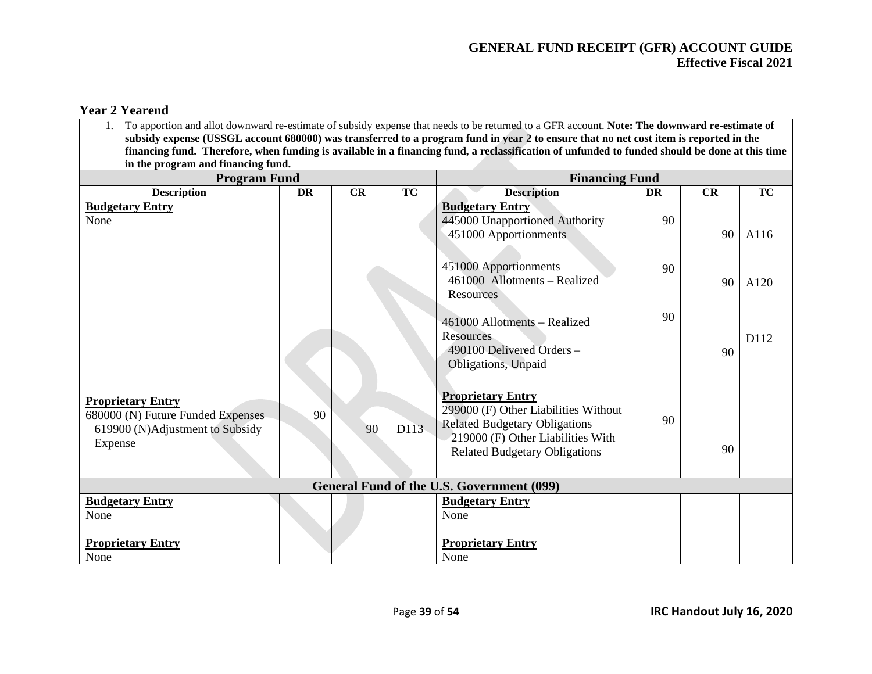#### **Year 2 Yearend**

| To apportion and allot downward re-estimate of subsidy expense that needs to be returned to a GFR account. Note: The downward re-estimate of<br>subsidy expense (USSGL account 680000) was transferred to a program fund in year 2 to ensure that no net cost item is reported in the |           |    |           |                                                                                                                                                                                       |           |    |           |  |  |
|---------------------------------------------------------------------------------------------------------------------------------------------------------------------------------------------------------------------------------------------------------------------------------------|-----------|----|-----------|---------------------------------------------------------------------------------------------------------------------------------------------------------------------------------------|-----------|----|-----------|--|--|
|                                                                                                                                                                                                                                                                                       |           |    |           | financing fund. Therefore, when funding is available in a financing fund, a reclassification of unfunded to funded should be done at this time                                        |           |    |           |  |  |
| in the program and financing fund.                                                                                                                                                                                                                                                    |           |    |           |                                                                                                                                                                                       |           |    |           |  |  |
| <b>Program Fund</b>                                                                                                                                                                                                                                                                   |           |    |           | <b>Financing Fund</b>                                                                                                                                                                 |           |    |           |  |  |
| <b>Description</b>                                                                                                                                                                                                                                                                    | <b>DR</b> | CR | <b>TC</b> | <b>Description</b>                                                                                                                                                                    | <b>DR</b> | CR | <b>TC</b> |  |  |
| <b>Budgetary Entry</b><br>None                                                                                                                                                                                                                                                        |           |    |           | <b>Budgetary Entry</b><br>445000 Unapportioned Authority<br>451000 Apportionments                                                                                                     | 90        | 90 | A116      |  |  |
|                                                                                                                                                                                                                                                                                       |           |    |           | 451000 Apportionments<br>461000 Allotments - Realized<br><b>Resources</b>                                                                                                             | 90        | 90 | A120      |  |  |
|                                                                                                                                                                                                                                                                                       |           |    |           | 461000 Allotments - Realized<br><b>Resources</b><br>490100 Delivered Orders -<br>Obligations, Unpaid                                                                                  | 90        | 90 | D112      |  |  |
| <b>Proprietary Entry</b><br>680000 (N) Future Funded Expenses<br>619900 (N)Adjustment to Subsidy<br>Expense                                                                                                                                                                           | 90        | 90 | D113      | <b>Proprietary Entry</b><br>299000 (F) Other Liabilities Without<br><b>Related Budgetary Obligations</b><br>219000 (F) Other Liabilities With<br><b>Related Budgetary Obligations</b> | 90        | 90 |           |  |  |
|                                                                                                                                                                                                                                                                                       |           |    |           | <b>General Fund of the U.S. Government (099)</b>                                                                                                                                      |           |    |           |  |  |
| <b>Budgetary Entry</b><br>None                                                                                                                                                                                                                                                        |           |    |           | <b>Budgetary Entry</b><br>None                                                                                                                                                        |           |    |           |  |  |
| <b>Proprietary Entry</b><br>None                                                                                                                                                                                                                                                      |           |    |           | <b>Proprietary Entry</b><br>None                                                                                                                                                      |           |    |           |  |  |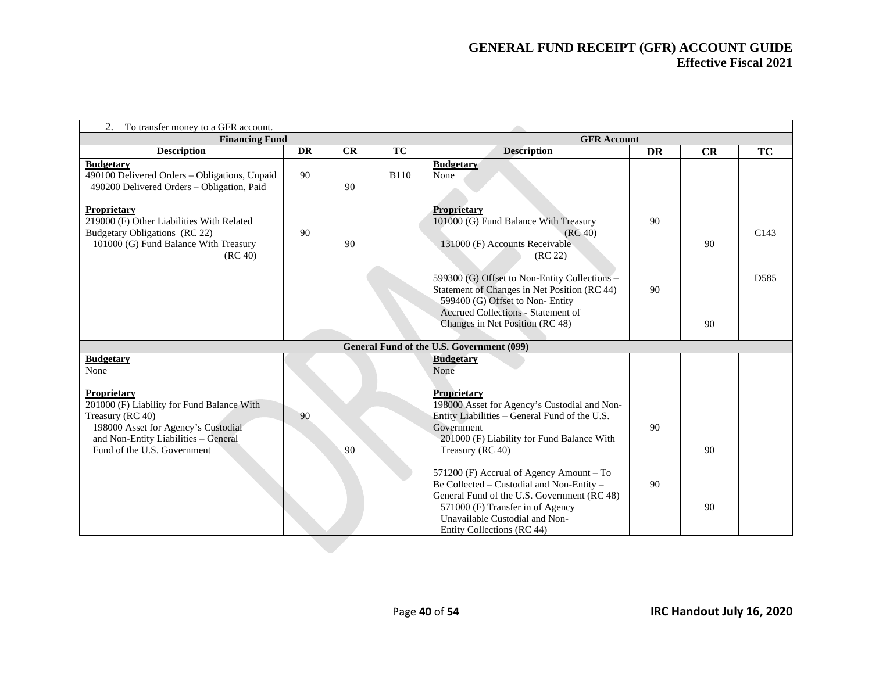| 2.<br>To transfer money to a GFR account.                                                                                                                                                          |           |    |             |                                                                                                                                                                                                                                          |           |    |                  |  |
|----------------------------------------------------------------------------------------------------------------------------------------------------------------------------------------------------|-----------|----|-------------|------------------------------------------------------------------------------------------------------------------------------------------------------------------------------------------------------------------------------------------|-----------|----|------------------|--|
| <b>Financing Fund</b>                                                                                                                                                                              |           |    |             | <b>GFR</b> Account                                                                                                                                                                                                                       |           |    |                  |  |
| <b>Description</b>                                                                                                                                                                                 | <b>DR</b> | CR | TC          | <b>Description</b>                                                                                                                                                                                                                       | <b>DR</b> | CR | TC               |  |
| <b>Budgetary</b><br>490100 Delivered Orders - Obligations, Unpaid<br>490200 Delivered Orders - Obligation, Paid                                                                                    | 90        | 90 | <b>B110</b> | <b>Budgetary</b><br>None                                                                                                                                                                                                                 |           |    |                  |  |
| Proprietary<br>219000 (F) Other Liabilities With Related<br>Budgetary Obligations (RC 22)<br>101000 (G) Fund Balance With Treasury<br>(RC 40)                                                      | 90        | 90 |             | <b>Proprietary</b><br>101000 (G) Fund Balance With Treasury<br>(RC 40)<br>131000 (F) Accounts Receivable<br>(RC 22)                                                                                                                      | 90        | 90 | C <sub>143</sub> |  |
|                                                                                                                                                                                                    |           |    |             | 599300 (G) Offset to Non-Entity Collections -<br>Statement of Changes in Net Position (RC 44)<br>599400 (G) Offset to Non-Entity<br>Accrued Collections - Statement of                                                                   | 90        |    | D <sub>585</sub> |  |
|                                                                                                                                                                                                    |           |    |             | Changes in Net Position (RC 48)                                                                                                                                                                                                          |           | 90 |                  |  |
|                                                                                                                                                                                                    |           |    |             | General Fund of the U.S. Government (099)                                                                                                                                                                                                |           |    |                  |  |
| <b>Budgetary</b><br>None                                                                                                                                                                           |           |    |             | <b>Budgetary</b><br>None                                                                                                                                                                                                                 |           |    |                  |  |
| <b>Proprietary</b><br>201000 (F) Liability for Fund Balance With<br>Treasury (RC 40)<br>198000 Asset for Agency's Custodial<br>and Non-Entity Liabilities - General<br>Fund of the U.S. Government | 90        | 90 |             | <b>Proprietary</b><br>198000 Asset for Agency's Custodial and Non-<br>Entity Liabilities – General Fund of the U.S.<br>Government<br>201000 (F) Liability for Fund Balance With<br>Treasury (RC 40)                                      | 90        | 90 |                  |  |
|                                                                                                                                                                                                    |           |    |             | 571200 (F) Accrual of Agency Amount – To<br>Be Collected - Custodial and Non-Entity -<br>General Fund of the U.S. Government (RC 48)<br>571000 (F) Transfer in of Agency<br>Unavailable Custodial and Non-<br>Entity Collections (RC 44) | 90        | 90 |                  |  |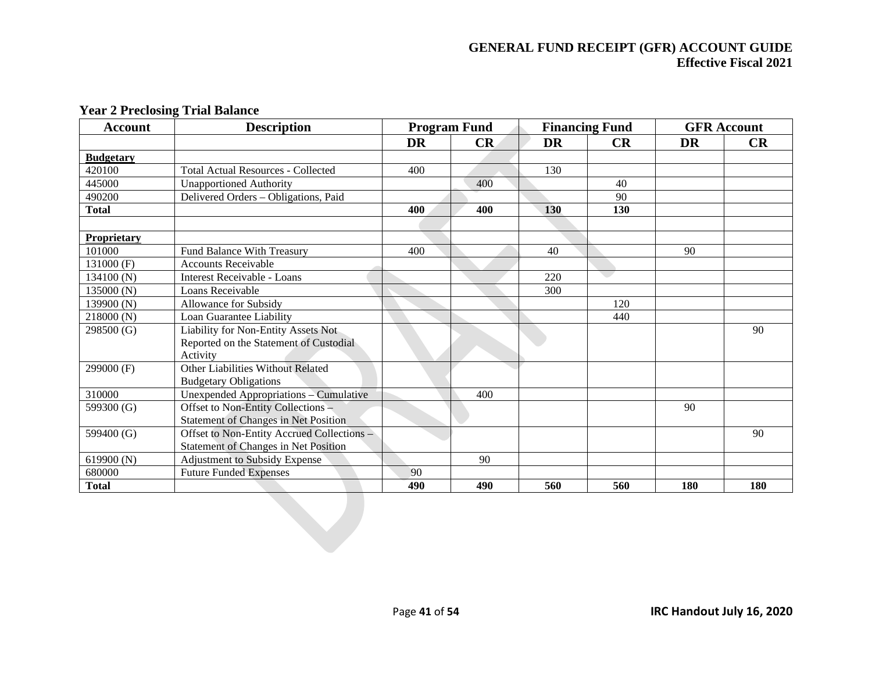| <b>Account</b>   | <b>Description</b>                          |           | <b>Program Fund</b> |           | <b>Financing Fund</b> |           | <b>GFR Account</b> |
|------------------|---------------------------------------------|-----------|---------------------|-----------|-----------------------|-----------|--------------------|
|                  |                                             | <b>DR</b> | CR                  | <b>DR</b> | CR                    | <b>DR</b> | CR                 |
| <b>Budgetary</b> |                                             |           |                     |           |                       |           |                    |
| 420100           | <b>Total Actual Resources - Collected</b>   | 400       |                     | 130       |                       |           |                    |
| 445000           | <b>Unapportioned Authority</b>              |           | 400                 |           | 40                    |           |                    |
| 490200           | Delivered Orders - Obligations, Paid        |           |                     |           | 90                    |           |                    |
| <b>Total</b>     |                                             | 400       | 400                 | 130       | <b>130</b>            |           |                    |
|                  |                                             |           |                     |           |                       |           |                    |
| Proprietary      |                                             |           |                     |           |                       |           |                    |
| 101000           | <b>Fund Balance With Treasury</b>           | 400       |                     | 40        |                       | 90        |                    |
| 131000 (F)       | <b>Accounts Receivable</b>                  |           |                     |           |                       |           |                    |
| 134100 (N)       | Interest Receivable - Loans                 |           |                     | 220       | e i                   |           |                    |
| 135000 (N)       | Loans Receivable                            |           |                     | 300       |                       |           |                    |
| 139900 (N)       | Allowance for Subsidy                       |           |                     |           | 120                   |           |                    |
| 218000 (N)       | Loan Guarantee Liability                    |           |                     |           | 440                   |           |                    |
| 298500 (G)       | Liability for Non-Entity Assets Not         |           |                     |           |                       |           | 90                 |
|                  | Reported on the Statement of Custodial      |           |                     |           |                       |           |                    |
|                  | Activity                                    |           |                     |           |                       |           |                    |
| 299000 (F)       | Other Liabilities Without Related           |           |                     |           |                       |           |                    |
|                  | <b>Budgetary Obligations</b>                |           |                     |           |                       |           |                    |
| 310000           | Unexpended Appropriations - Cumulative      |           | 400                 |           |                       |           |                    |
| 599300 (G)       | Offset to Non-Entity Collections -          |           |                     |           |                       | 90        |                    |
|                  | <b>Statement of Changes in Net Position</b> |           |                     |           |                       |           |                    |
| 599400 (G)       | Offset to Non-Entity Accrued Collections -  |           |                     |           |                       |           | 90                 |
|                  | <b>Statement of Changes in Net Position</b> |           |                     |           |                       |           |                    |
| 619900 (N)       | <b>Adjustment to Subsidy Expense</b>        |           | 90                  |           |                       |           |                    |
| 680000           | <b>Future Funded Expenses</b>               | 90        |                     |           |                       |           |                    |
| <b>Total</b>     |                                             | 490       | 490                 | 560       | 560                   | 180       | 180                |
|                  |                                             |           |                     |           |                       |           |                    |
|                  |                                             |           |                     |           |                       |           |                    |
|                  |                                             |           |                     |           |                       |           |                    |

#### **Year 2 Preclosing Trial Balance**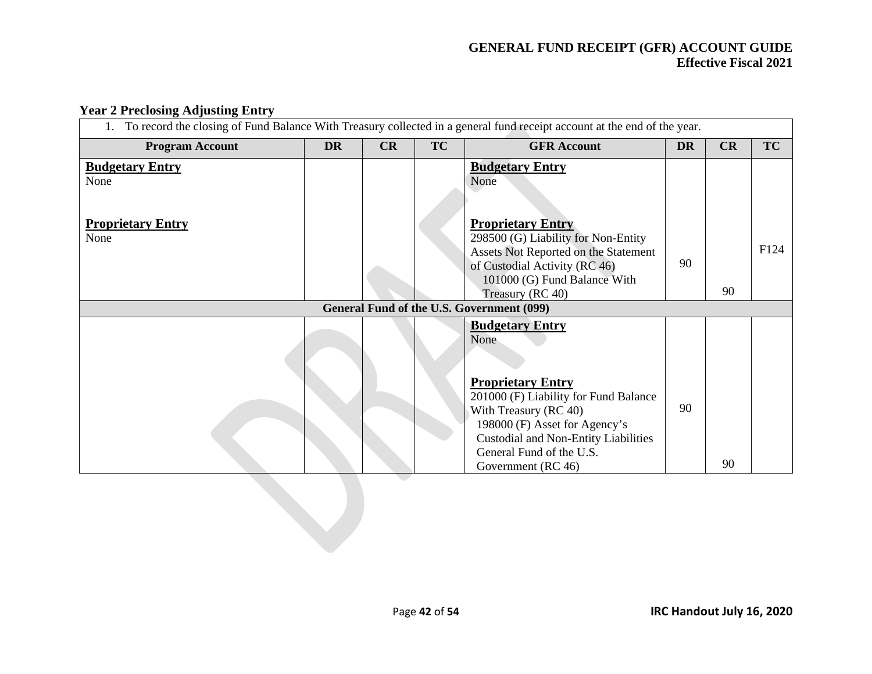#### **Year 2 Preclosing Adjusting Entry**

| To record the closing of Fund Balance With Treasury collected in a general fund receipt account at the end of the year. |           |    |           |                                                                             |           |    |      |  |  |  |
|-------------------------------------------------------------------------------------------------------------------------|-----------|----|-----------|-----------------------------------------------------------------------------|-----------|----|------|--|--|--|
| <b>Program Account</b>                                                                                                  | <b>DR</b> | CR | <b>TC</b> | <b>GFR Account</b>                                                          | <b>DR</b> | CR | TC   |  |  |  |
| <b>Budgetary Entry</b>                                                                                                  |           |    |           | <b>Budgetary Entry</b>                                                      |           |    |      |  |  |  |
| None                                                                                                                    |           |    |           | None                                                                        |           |    |      |  |  |  |
|                                                                                                                         |           |    |           |                                                                             |           |    |      |  |  |  |
| <b>Proprietary Entry</b>                                                                                                |           |    |           | <b>Proprietary Entry</b>                                                    |           |    |      |  |  |  |
| None                                                                                                                    |           |    |           | 298500 (G) Liability for Non-Entity<br>Assets Not Reported on the Statement |           |    | F124 |  |  |  |
|                                                                                                                         |           |    |           | of Custodial Activity (RC 46)                                               | 90        |    |      |  |  |  |
|                                                                                                                         |           |    |           | 101000 (G) Fund Balance With<br>Treasury (RC 40)                            |           | 90 |      |  |  |  |
| General Fund of the U.S. Government (099)                                                                               |           |    |           |                                                                             |           |    |      |  |  |  |
|                                                                                                                         |           |    |           | <b>Budgetary Entry</b>                                                      |           |    |      |  |  |  |
|                                                                                                                         |           |    |           | None                                                                        |           |    |      |  |  |  |
|                                                                                                                         |           |    |           |                                                                             |           |    |      |  |  |  |
|                                                                                                                         |           |    |           | <b>Proprietary Entry</b>                                                    |           |    |      |  |  |  |
|                                                                                                                         |           |    |           | 201000 (F) Liability for Fund Balance<br>With Treasury (RC 40)              | 90        |    |      |  |  |  |
|                                                                                                                         |           |    |           | 198000 (F) Asset for Agency's                                               |           |    |      |  |  |  |
|                                                                                                                         |           |    |           | <b>Custodial and Non-Entity Liabilities</b><br>General Fund of the U.S.     |           |    |      |  |  |  |
|                                                                                                                         |           |    |           | Government (RC 46)                                                          |           | 90 |      |  |  |  |
|                                                                                                                         |           |    |           |                                                                             |           |    |      |  |  |  |
|                                                                                                                         |           |    |           |                                                                             |           |    |      |  |  |  |
|                                                                                                                         |           |    |           |                                                                             |           |    |      |  |  |  |
|                                                                                                                         |           |    |           |                                                                             |           |    |      |  |  |  |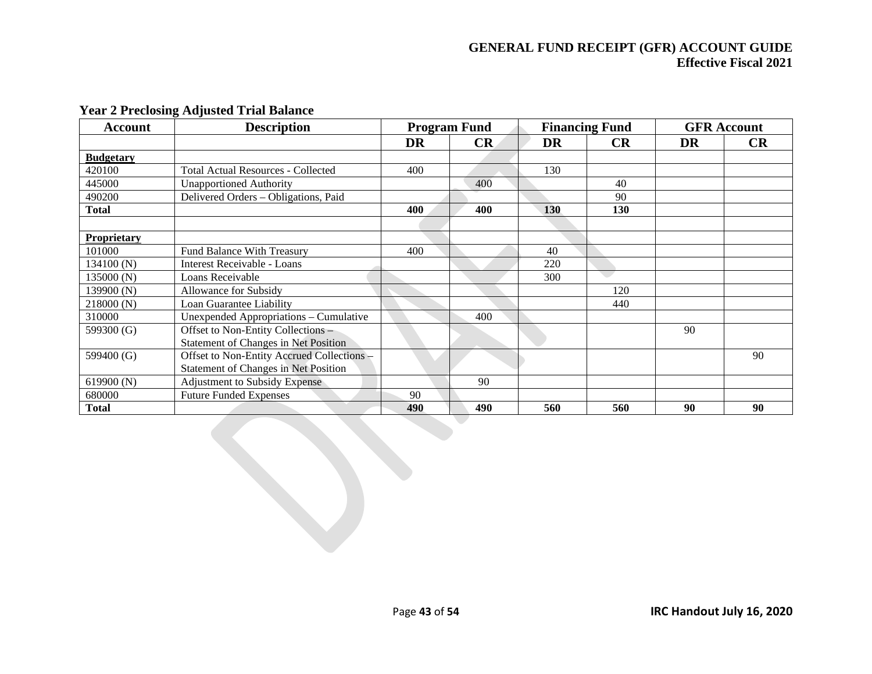| <b>Account</b>   | <b>Description</b>                          | <b>Program Fund</b> |     | <b>Financing Fund</b> |           |    | <b>GFR</b> Account |
|------------------|---------------------------------------------|---------------------|-----|-----------------------|-----------|----|--------------------|
|                  |                                             | DR                  | CR  | DR                    | <b>CR</b> | DR | <b>CR</b>          |
| <b>Budgetary</b> |                                             |                     |     |                       |           |    |                    |
| 420100           | <b>Total Actual Resources - Collected</b>   | 400                 |     | 130                   |           |    |                    |
| 445000           | <b>Unapportioned Authority</b>              |                     | 400 |                       | 40        |    |                    |
| 490200           | Delivered Orders - Obligations, Paid        |                     |     |                       | 90        |    |                    |
| <b>Total</b>     |                                             | 400                 | 400 | <b>130</b>            | 130       |    |                    |
|                  |                                             |                     |     |                       |           |    |                    |
| Proprietary      |                                             |                     |     |                       |           |    |                    |
| 101000           | <b>Fund Balance With Treasury</b>           | 400                 |     | 40                    |           |    |                    |
| 134100(N)        | Interest Receivable - Loans                 |                     |     | 220                   |           |    |                    |
| 135000 (N)       | Loans Receivable                            |                     |     | 300                   |           |    |                    |
| 139900 (N)       | <b>Allowance for Subsidy</b>                |                     |     |                       | 120       |    |                    |
| 218000(N)        | Loan Guarantee Liability                    |                     |     |                       | 440       |    |                    |
| 310000           | Unexpended Appropriations - Cumulative      |                     | 400 |                       |           |    |                    |
| 599300 (G)       | Offset to Non-Entity Collections -          |                     |     |                       |           | 90 |                    |
|                  | <b>Statement of Changes in Net Position</b> |                     |     |                       |           |    |                    |
| 599400 (G)       | Offset to Non-Entity Accrued Collections -  |                     |     |                       |           |    | 90                 |
|                  | <b>Statement of Changes in Net Position</b> |                     |     |                       |           |    |                    |
| 619900 (N)       | <b>Adjustment to Subsidy Expense</b>        |                     | 90  |                       |           |    |                    |
| 680000           | <b>Future Funded Expenses</b>               | 90                  |     |                       |           |    |                    |
| <b>Total</b>     |                                             | 490                 | 490 | 560                   | 560       | 90 | 90                 |

# **Year 2 Preclosing Adjusted Trial Balance**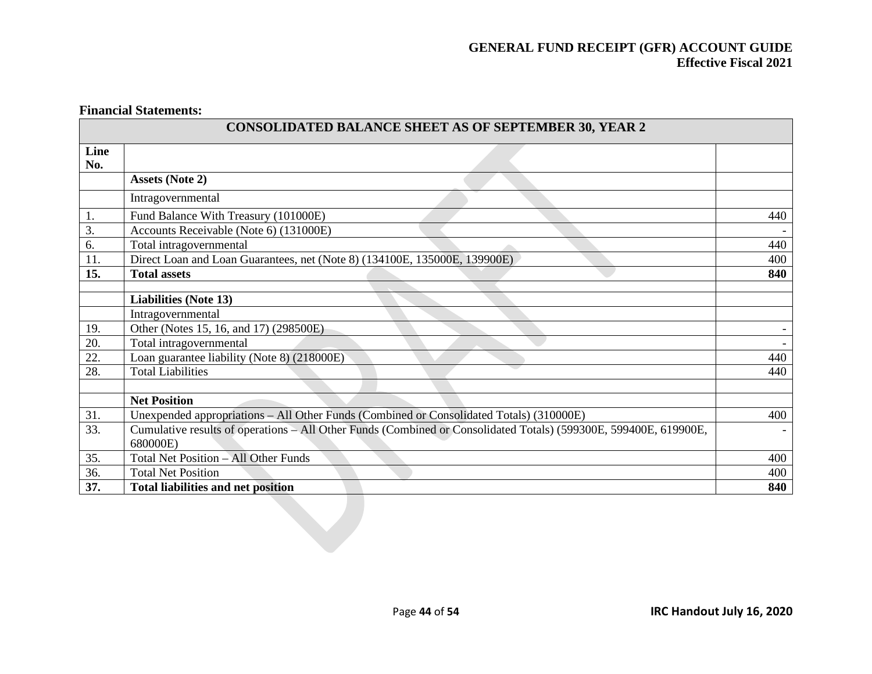#### **Financial Statements:**

| <b>CONSOLIDATED BALANCE SHEET AS OF SEPTEMBER 30, YEAR 2</b> |                                                                                                                  |     |  |  |  |  |
|--------------------------------------------------------------|------------------------------------------------------------------------------------------------------------------|-----|--|--|--|--|
| Line<br>No.                                                  |                                                                                                                  |     |  |  |  |  |
|                                                              | <b>Assets (Note 2)</b>                                                                                           |     |  |  |  |  |
|                                                              | Intragovernmental                                                                                                |     |  |  |  |  |
| 1.                                                           | Fund Balance With Treasury (101000E)                                                                             | 440 |  |  |  |  |
| 3.                                                           | Accounts Receivable (Note 6) (131000E)                                                                           |     |  |  |  |  |
| 6.                                                           | Total intragovernmental                                                                                          | 440 |  |  |  |  |
| $\overline{11}$ .                                            | Direct Loan and Loan Guarantees, net (Note 8) (134100E, 135000E, 139900E)                                        | 400 |  |  |  |  |
| 15.                                                          | <b>Total assets</b>                                                                                              | 840 |  |  |  |  |
|                                                              |                                                                                                                  |     |  |  |  |  |
|                                                              | <b>Liabilities (Note 13)</b>                                                                                     |     |  |  |  |  |
|                                                              | Intragovernmental                                                                                                |     |  |  |  |  |
| 19.                                                          | Other (Notes 15, 16, and 17) (298500E)                                                                           |     |  |  |  |  |
| 20.                                                          | Total intragovernmental                                                                                          |     |  |  |  |  |
| 22.                                                          | Loan guarantee liability (Note 8) (218000E)                                                                      | 440 |  |  |  |  |
| 28.                                                          | <b>Total Liabilities</b>                                                                                         | 440 |  |  |  |  |
|                                                              | <b>Net Position</b>                                                                                              |     |  |  |  |  |
|                                                              |                                                                                                                  |     |  |  |  |  |
| 31.                                                          | Unexpended appropriations – All Other Funds (Combined or Consolidated Totals) (310000E)                          | 400 |  |  |  |  |
| 33.                                                          | Cumulative results of operations - All Other Funds (Combined or Consolidated Totals) (599300E, 599400E, 619900E, |     |  |  |  |  |
|                                                              | 680000E)                                                                                                         |     |  |  |  |  |
| 35.                                                          | Total Net Position - All Other Funds                                                                             | 400 |  |  |  |  |
| 36.                                                          | <b>Total Net Position</b>                                                                                        | 400 |  |  |  |  |
| 37.                                                          | <b>Total liabilities and net position</b>                                                                        | 840 |  |  |  |  |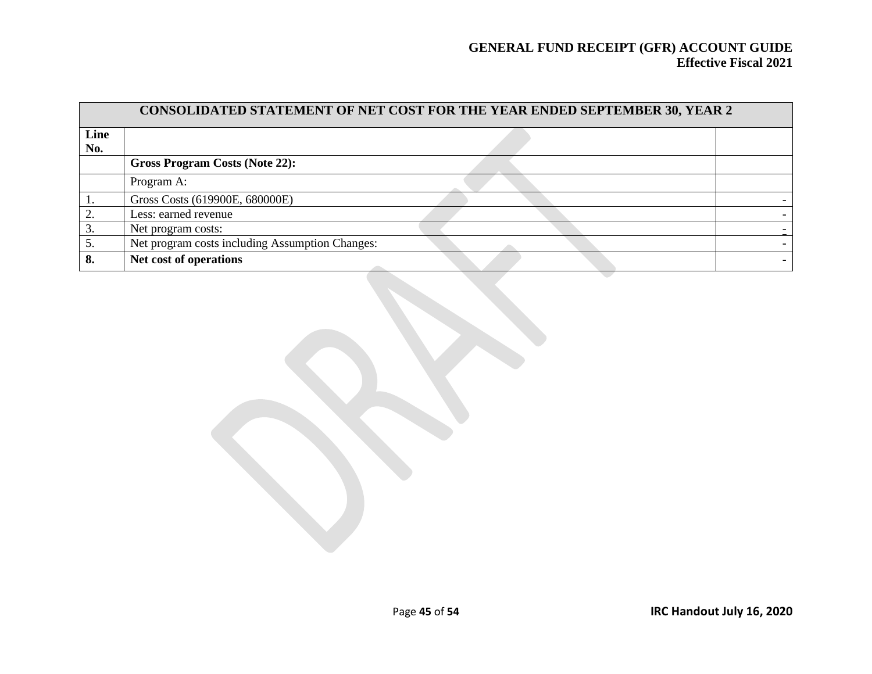| CONSOLIDATED STATEMENT OF NET COST FOR THE YEAR ENDED SEPTEMBER 30, YEAR 2 |                                                 |  |  |  |  |  |  |  |
|----------------------------------------------------------------------------|-------------------------------------------------|--|--|--|--|--|--|--|
| Line                                                                       |                                                 |  |  |  |  |  |  |  |
| No.                                                                        |                                                 |  |  |  |  |  |  |  |
|                                                                            | <b>Gross Program Costs (Note 22):</b>           |  |  |  |  |  |  |  |
|                                                                            | Program A:                                      |  |  |  |  |  |  |  |
|                                                                            | Gross Costs (619900E, 680000E)                  |  |  |  |  |  |  |  |
|                                                                            | Less: earned revenue                            |  |  |  |  |  |  |  |
| 3.                                                                         | Net program costs:                              |  |  |  |  |  |  |  |
|                                                                            | Net program costs including Assumption Changes: |  |  |  |  |  |  |  |
| 8.                                                                         | Net cost of operations                          |  |  |  |  |  |  |  |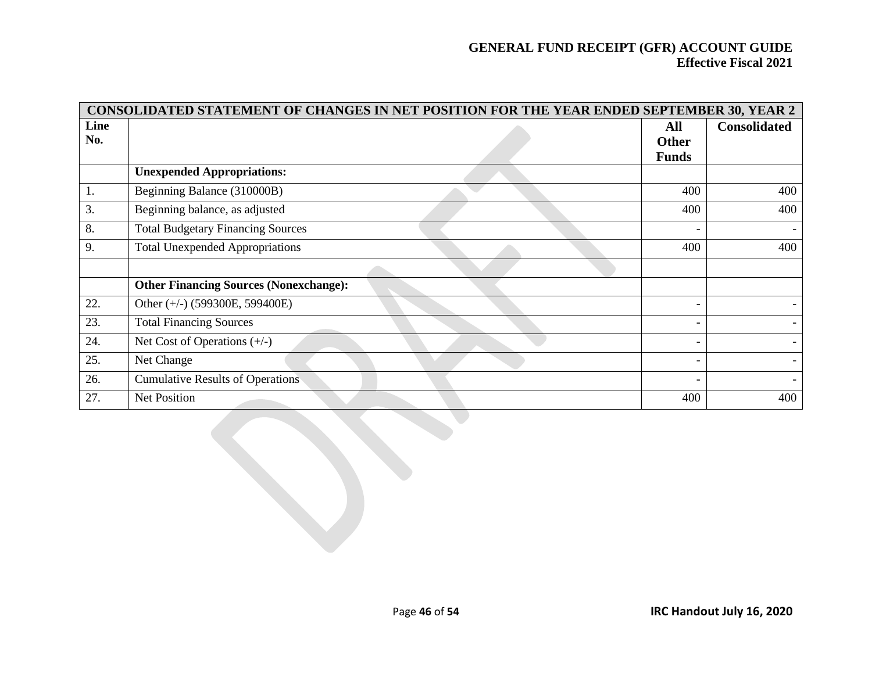| CONSOLIDATED STATEMENT OF CHANGES IN NET POSITION FOR THE YEAR ENDED SEPTEMBER 30, YEAR 2 |                                               |              |                     |  |  |  |  |  |
|-------------------------------------------------------------------------------------------|-----------------------------------------------|--------------|---------------------|--|--|--|--|--|
| Line                                                                                      |                                               | All          | <b>Consolidated</b> |  |  |  |  |  |
| No.                                                                                       |                                               | <b>Other</b> |                     |  |  |  |  |  |
|                                                                                           |                                               | <b>Funds</b> |                     |  |  |  |  |  |
|                                                                                           | <b>Unexpended Appropriations:</b>             |              |                     |  |  |  |  |  |
| 1.                                                                                        | Beginning Balance (310000B)                   | 400          | 400                 |  |  |  |  |  |
| 3.                                                                                        | Beginning balance, as adjusted                | 400          | 400                 |  |  |  |  |  |
| 8.                                                                                        | <b>Total Budgetary Financing Sources</b>      |              |                     |  |  |  |  |  |
| 9.                                                                                        | <b>Total Unexpended Appropriations</b>        | 400          | 400                 |  |  |  |  |  |
|                                                                                           |                                               |              |                     |  |  |  |  |  |
|                                                                                           | <b>Other Financing Sources (Nonexchange):</b> |              |                     |  |  |  |  |  |
| 22.                                                                                       | Other $(+/-)$ (599300E, 599400E)              |              |                     |  |  |  |  |  |
| 23.                                                                                       | <b>Total Financing Sources</b>                |              |                     |  |  |  |  |  |
| 24.                                                                                       | Net Cost of Operations $(+/-)$                |              |                     |  |  |  |  |  |
| 25.                                                                                       | Net Change                                    |              |                     |  |  |  |  |  |
| 26.                                                                                       | <b>Cumulative Results of Operations</b>       |              |                     |  |  |  |  |  |
| 27.                                                                                       | <b>Net Position</b>                           | 400          | 400                 |  |  |  |  |  |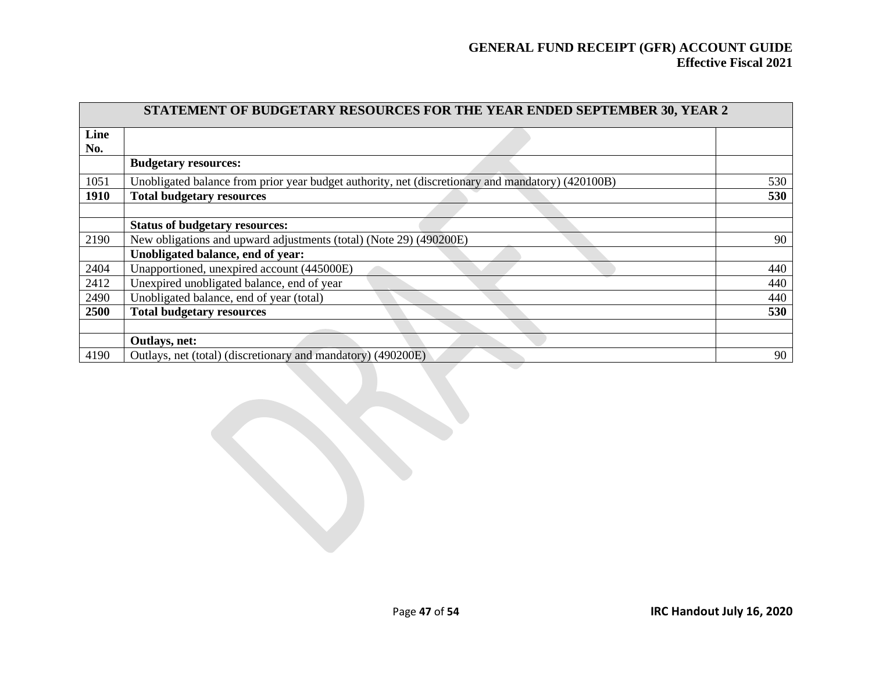|      | STATEMENT OF BUDGETARY RESOURCES FOR THE YEAR ENDED SEPTEMBER 30, YEAR 2                          |     |  |  |  |  |
|------|---------------------------------------------------------------------------------------------------|-----|--|--|--|--|
| Line |                                                                                                   |     |  |  |  |  |
| No.  |                                                                                                   |     |  |  |  |  |
|      | <b>Budgetary resources:</b>                                                                       |     |  |  |  |  |
| 1051 | Unobligated balance from prior year budget authority, net (discretionary and mandatory) (420100B) | 530 |  |  |  |  |
| 1910 | <b>Total budgetary resources</b>                                                                  | 530 |  |  |  |  |
|      |                                                                                                   |     |  |  |  |  |
|      | <b>Status of budgetary resources:</b>                                                             |     |  |  |  |  |
| 2190 | New obligations and upward adjustments (total) (Note 29) (490200E)                                | 90  |  |  |  |  |
|      | Unobligated balance, end of year:                                                                 |     |  |  |  |  |
| 2404 | Unapportioned, unexpired account (445000E)                                                        | 440 |  |  |  |  |
| 2412 | Unexpired unobligated balance, end of year                                                        | 440 |  |  |  |  |
| 2490 | Unobligated balance, end of year (total)                                                          | 440 |  |  |  |  |
| 2500 | <b>Total budgetary resources</b>                                                                  | 530 |  |  |  |  |
|      |                                                                                                   |     |  |  |  |  |
|      | Outlays, net:                                                                                     |     |  |  |  |  |
| 4190 | Outlays, net (total) (discretionary and mandatory) (490200E)                                      | 90  |  |  |  |  |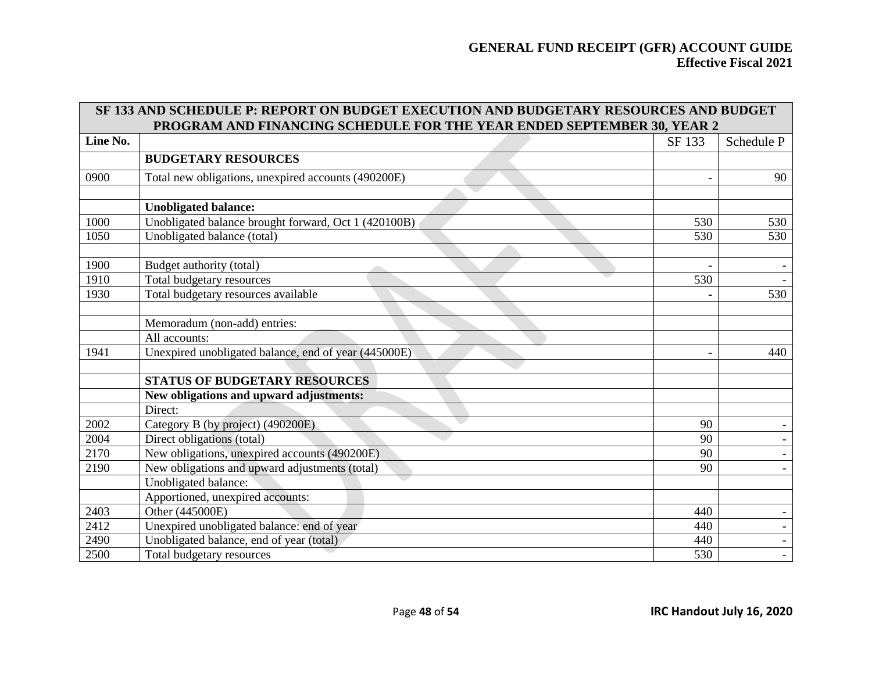|          | SF 133 AND SCHEDULE P: REPORT ON BUDGET EXECUTION AND BUDGETARY RESOURCES AND BUDGET |        |            |  |  |  |  |
|----------|--------------------------------------------------------------------------------------|--------|------------|--|--|--|--|
|          | PROGRAM AND FINANCING SCHEDULE FOR THE YEAR ENDED SEPTEMBER 30, YEAR 2               |        |            |  |  |  |  |
| Line No. |                                                                                      | SF 133 | Schedule P |  |  |  |  |
|          | <b>BUDGETARY RESOURCES</b>                                                           |        |            |  |  |  |  |
| 0900     | Total new obligations, unexpired accounts (490200E)                                  |        | 90         |  |  |  |  |
|          |                                                                                      |        |            |  |  |  |  |
|          | <b>Unobligated balance:</b>                                                          |        |            |  |  |  |  |
| 1000     | Unobligated balance brought forward, Oct 1 (420100B)                                 | 530    | 530        |  |  |  |  |
| 1050     | Unobligated balance (total)                                                          | 530    | 530        |  |  |  |  |
|          |                                                                                      |        |            |  |  |  |  |
| 1900     | Budget authority (total)                                                             |        |            |  |  |  |  |
| 1910     | Total budgetary resources                                                            | 530    |            |  |  |  |  |
| 1930     | Total budgetary resources available                                                  |        | 530        |  |  |  |  |
|          |                                                                                      |        |            |  |  |  |  |
|          | Memoradum (non-add) entries:                                                         |        |            |  |  |  |  |
|          | All accounts:                                                                        |        |            |  |  |  |  |
| 1941     | Unexpired unobligated balance, end of year (445000E)                                 |        | 440        |  |  |  |  |
|          |                                                                                      |        |            |  |  |  |  |
|          | <b>STATUS OF BUDGETARY RESOURCES</b>                                                 |        |            |  |  |  |  |
|          | New obligations and upward adjustments:                                              |        |            |  |  |  |  |
|          | Direct:                                                                              |        |            |  |  |  |  |
| 2002     | Category B (by project) (490200E)                                                    | 90     |            |  |  |  |  |
| 2004     | Direct obligations (total)                                                           | 90     |            |  |  |  |  |
| 2170     | New obligations, unexpired accounts (490200E)                                        | 90     |            |  |  |  |  |
| 2190     | New obligations and upward adjustments (total)                                       | 90     |            |  |  |  |  |
|          | Unobligated balance:                                                                 |        |            |  |  |  |  |
|          | Apportioned, unexpired accounts:                                                     |        |            |  |  |  |  |
| 2403     | Other (445000E)                                                                      | 440    |            |  |  |  |  |
| 2412     | Unexpired unobligated balance: end of year                                           | 440    |            |  |  |  |  |
| 2490     | Unobligated balance, end of year (total)                                             | 440    |            |  |  |  |  |
| 2500     | Total budgetary resources                                                            | 530    |            |  |  |  |  |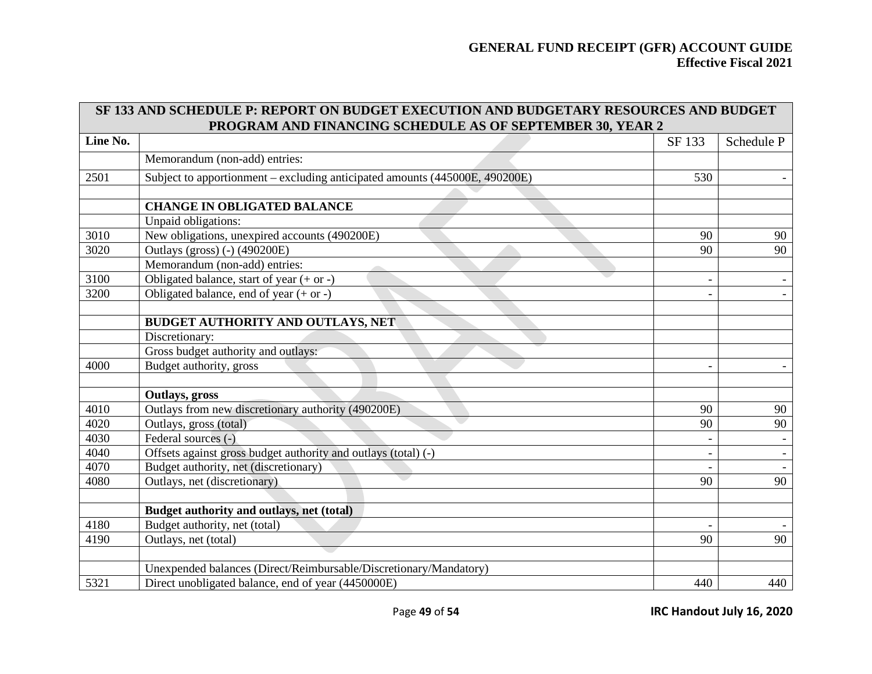|          | SF 133 AND SCHEDULE P: REPORT ON BUDGET EXECUTION AND BUDGETARY RESOURCES AND BUDGET |                          |            |
|----------|--------------------------------------------------------------------------------------|--------------------------|------------|
|          | PROGRAM AND FINANCING SCHEDULE AS OF SEPTEMBER 30, YEAR 2                            |                          |            |
| Line No. |                                                                                      | SF 133                   | Schedule P |
|          | Memorandum (non-add) entries:                                                        |                          |            |
| 2501     | Subject to apportionment – excluding anticipated amounts (445000E, 490200E)          | 530                      |            |
|          |                                                                                      |                          |            |
|          | <b>CHANGE IN OBLIGATED BALANCE</b>                                                   |                          |            |
|          | Unpaid obligations:                                                                  |                          |            |
| 3010     | New obligations, unexpired accounts (490200E)                                        | 90                       | 90         |
| 3020     | Outlays (gross) (-) (490200E)                                                        | 90                       | 90         |
|          | Memorandum (non-add) entries:                                                        |                          |            |
| 3100     | Obligated balance, start of year $(+ or -)$                                          | $\overline{\phantom{a}}$ |            |
| 3200     | Obligated balance, end of year $(+ or -)$                                            |                          |            |
|          |                                                                                      |                          |            |
|          | BUDGET AUTHORITY AND OUTLAYS, NET                                                    |                          |            |
|          | Discretionary:                                                                       |                          |            |
|          | Gross budget authority and outlays:                                                  |                          |            |
| 4000     | Budget authority, gross                                                              | $\overline{\phantom{a}}$ |            |
|          |                                                                                      |                          |            |
|          | Outlays, gross                                                                       |                          |            |
| 4010     | Outlays from new discretionary authority (490200E)                                   | 90                       | 90         |
| 4020     | Outlays, gross (total)                                                               | 90                       | 90         |
| 4030     | Federal sources (-)                                                                  |                          |            |
| 4040     | Offsets against gross budget authority and outlays (total) (-)                       |                          |            |
| 4070     | Budget authority, net (discretionary)                                                |                          |            |
| 4080     | Outlays, net (discretionary)                                                         | 90                       | 90         |
|          |                                                                                      |                          |            |
|          | Budget authority and outlays, net (total)                                            |                          |            |
| 4180     | Budget authority, net (total)                                                        |                          |            |
| 4190     | Outlays, net (total)                                                                 | 90                       | 90         |
|          |                                                                                      |                          |            |
|          | Unexpended balances (Direct/Reimbursable/Discretionary/Mandatory)                    |                          |            |
| 5321     | Direct unobligated balance, end of year (4450000E)                                   | 440                      | 440        |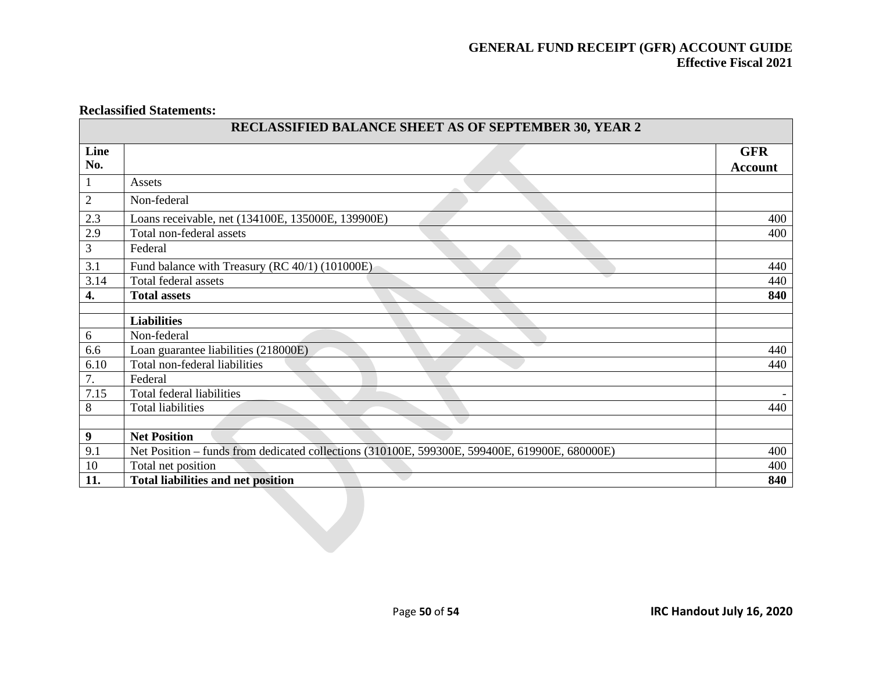#### **Reclassified Statements:**

|                | <b>RECLASSIFIED BALANCE SHEET AS OF SEPTEMBER 30, YEAR 2</b>                                  |                |
|----------------|-----------------------------------------------------------------------------------------------|----------------|
| Line           |                                                                                               | <b>GFR</b>     |
| No.            |                                                                                               | <b>Account</b> |
|                | Assets                                                                                        |                |
| $\overline{2}$ | Non-federal                                                                                   |                |
| 2.3            | Loans receivable, net (134100E, 135000E, 139900E)                                             | 400            |
| 2.9            | Total non-federal assets                                                                      | 400            |
| 3              | Federal                                                                                       |                |
| 3.1            | Fund balance with Treasury (RC 40/1) (101000E)                                                | 440            |
| 3.14           | Total federal assets                                                                          | 440            |
| 4.             | <b>Total assets</b>                                                                           | 840            |
|                |                                                                                               |                |
|                | <b>Liabilities</b>                                                                            |                |
| 6              | Non-federal                                                                                   |                |
| 6.6            | Loan guarantee liabilities (218000E)                                                          | 440            |
| 6.10           | Total non-federal liabilities                                                                 | 440            |
| 7.             | Federal                                                                                       |                |
| 7.15           | Total federal liabilities                                                                     |                |
| 8              | <b>Total liabilities</b>                                                                      | 440            |
|                |                                                                                               |                |
| 9              | <b>Net Position</b>                                                                           |                |
| 9.1            | Net Position – funds from dedicated collections (310100E, 599300E, 599400E, 619900E, 680000E) | 400            |
| 10             | Total net position                                                                            | 400            |
| 11.            | <b>Total liabilities and net position</b>                                                     | 840            |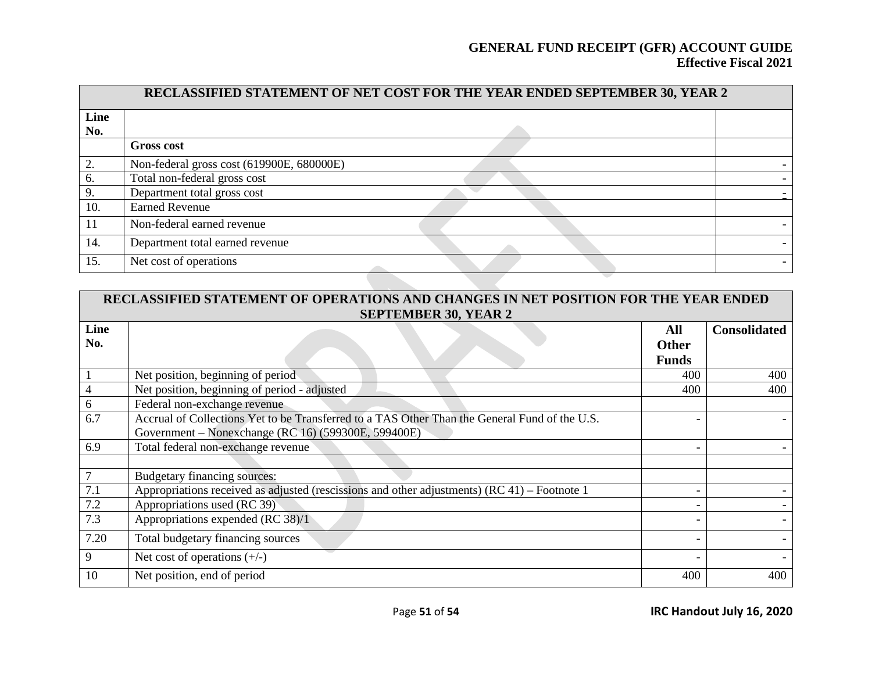| RECLASSIFIED STATEMENT OF NET COST FOR THE YEAR ENDED SEPTEMBER 30, YEAR 2 |                                           |  |  |  |  |  |
|----------------------------------------------------------------------------|-------------------------------------------|--|--|--|--|--|
| Line                                                                       |                                           |  |  |  |  |  |
| No.                                                                        |                                           |  |  |  |  |  |
|                                                                            | <b>Gross cost</b>                         |  |  |  |  |  |
|                                                                            | Non-federal gross cost (619900E, 680000E) |  |  |  |  |  |
| 6.                                                                         | Total non-federal gross cost              |  |  |  |  |  |
| 9.                                                                         | Department total gross cost               |  |  |  |  |  |
| 10.                                                                        | <b>Earned Revenue</b>                     |  |  |  |  |  |
| 11                                                                         | Non-federal earned revenue                |  |  |  |  |  |
| 14.                                                                        | Department total earned revenue           |  |  |  |  |  |
| 15.                                                                        | Net cost of operations                    |  |  |  |  |  |

| RECLASSIFIED STATEMENT OF OPERATIONS AND CHANGES IN NET POSITION FOR THE YEAR ENDED |                                                                                               |              |                     |  |  |  |  |  |  |
|-------------------------------------------------------------------------------------|-----------------------------------------------------------------------------------------------|--------------|---------------------|--|--|--|--|--|--|
|                                                                                     | <b>SEPTEMBER 30, YEAR 2</b>                                                                   |              |                     |  |  |  |  |  |  |
| Line                                                                                |                                                                                               | All          | <b>Consolidated</b> |  |  |  |  |  |  |
| No.                                                                                 |                                                                                               | <b>Other</b> |                     |  |  |  |  |  |  |
|                                                                                     |                                                                                               | <b>Funds</b> |                     |  |  |  |  |  |  |
|                                                                                     | Net position, beginning of period                                                             | 400          | 400                 |  |  |  |  |  |  |
|                                                                                     | Net position, beginning of period - adjusted                                                  | 400          | 400                 |  |  |  |  |  |  |
| 6                                                                                   | Federal non-exchange revenue                                                                  |              |                     |  |  |  |  |  |  |
| 6.7                                                                                 | Accrual of Collections Yet to be Transferred to a TAS Other Than the General Fund of the U.S. |              |                     |  |  |  |  |  |  |
|                                                                                     | Government – Nonexchange (RC 16) (599300E, 599400E)                                           |              |                     |  |  |  |  |  |  |
| 6.9                                                                                 | Total federal non-exchange revenue                                                            |              |                     |  |  |  |  |  |  |
|                                                                                     |                                                                                               |              |                     |  |  |  |  |  |  |
| $\tau$                                                                              | Budgetary financing sources:                                                                  |              |                     |  |  |  |  |  |  |
| 7.1                                                                                 | Appropriations received as adjusted (rescissions and other adjustments) (RC 41) – Footnote 1  |              |                     |  |  |  |  |  |  |
| 7.2                                                                                 | Appropriations used (RC 39)                                                                   |              |                     |  |  |  |  |  |  |
| 7.3                                                                                 | Appropriations expended (RC 38)/1                                                             |              |                     |  |  |  |  |  |  |
| 7.20                                                                                | Total budgetary financing sources                                                             |              |                     |  |  |  |  |  |  |
| 9                                                                                   | Net cost of operations $(+/-)$                                                                |              |                     |  |  |  |  |  |  |
| 10                                                                                  | Net position, end of period                                                                   | 400          | 400                 |  |  |  |  |  |  |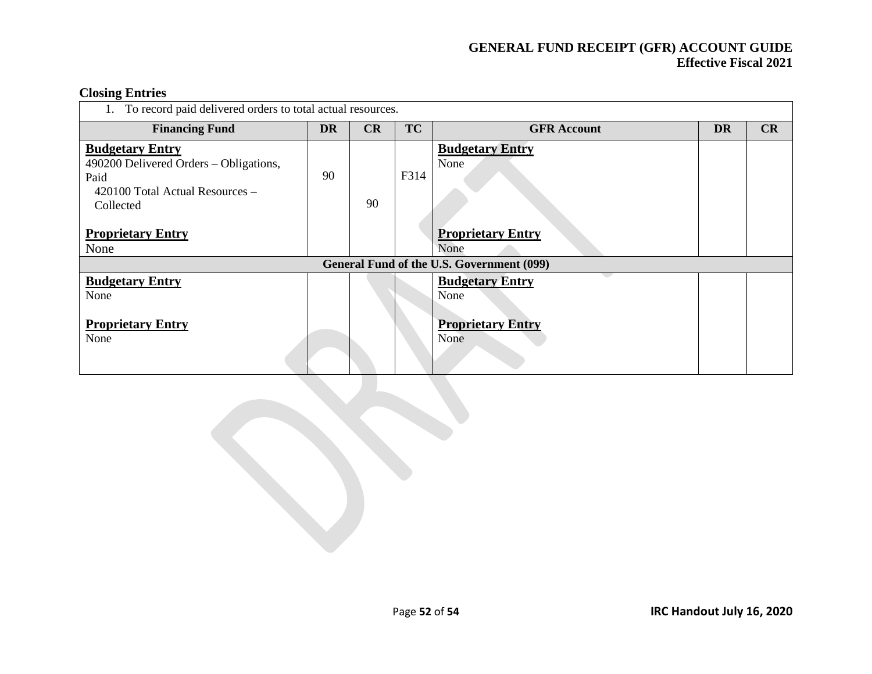# **Closing Entries**

| To record paid delivered orders to total actual resources.                                                                                                   |           |    |           |                                                                    |           |    |  |  |
|--------------------------------------------------------------------------------------------------------------------------------------------------------------|-----------|----|-----------|--------------------------------------------------------------------|-----------|----|--|--|
| <b>Financing Fund</b>                                                                                                                                        | <b>DR</b> | CR | <b>TC</b> | <b>GFR Account</b>                                                 | <b>DR</b> | CR |  |  |
| <b>Budgetary Entry</b><br>490200 Delivered Orders – Obligations,<br>Paid<br>420100 Total Actual Resources -<br>Collected<br><b>Proprietary Entry</b><br>None | 90        | 90 | F314      | <b>Budgetary Entry</b><br>None<br><b>Proprietary Entry</b><br>None |           |    |  |  |
|                                                                                                                                                              |           |    |           | General Fund of the U.S. Government (099)                          |           |    |  |  |
| <b>Budgetary Entry</b><br>None<br><b>Proprietary Entry</b><br>None                                                                                           |           |    |           | <b>Budgetary Entry</b><br>None<br><b>Proprietary Entry</b><br>None |           |    |  |  |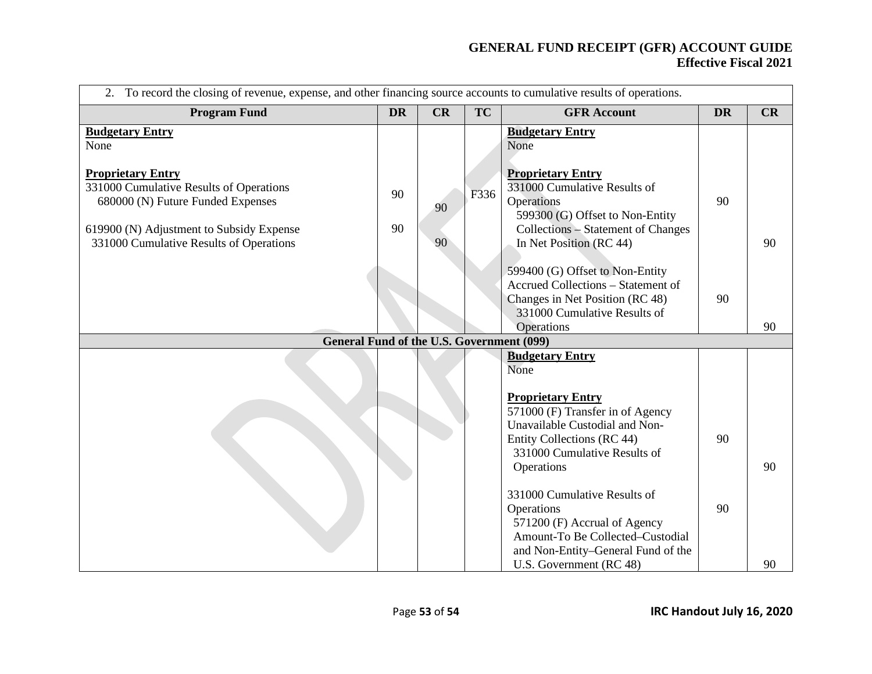| 2. To record the closing of revenue, expense, and other financing source accounts to cumulative results of operations.                                                                                                            |           |          |           |                                                                                                                                                                                                                                  |           |    |  |  |
|-----------------------------------------------------------------------------------------------------------------------------------------------------------------------------------------------------------------------------------|-----------|----------|-----------|----------------------------------------------------------------------------------------------------------------------------------------------------------------------------------------------------------------------------------|-----------|----|--|--|
| <b>Program Fund</b>                                                                                                                                                                                                               | <b>DR</b> | CR       | <b>TC</b> | <b>GFR Account</b>                                                                                                                                                                                                               | <b>DR</b> | CR |  |  |
| <b>Budgetary Entry</b><br>None<br><b>Proprietary Entry</b><br>331000 Cumulative Results of Operations<br>680000 (N) Future Funded Expenses<br>619900 (N) Adjustment to Subsidy Expense<br>331000 Cumulative Results of Operations | 90<br>90  | 90<br>90 | F336      | <b>Budgetary Entry</b><br>None<br><b>Proprietary Entry</b><br>331000 Cumulative Results of<br>Operations<br>599300 (G) Offset to Non-Entity<br><b>Collections - Statement of Changes</b><br>In Net Position (RC 44)              | 90        | 90 |  |  |
|                                                                                                                                                                                                                                   |           |          |           | 599400 (G) Offset to Non-Entity<br>Accrued Collections - Statement of<br>Changes in Net Position (RC 48)<br>331000 Cumulative Results of<br>Operations                                                                           | 90        | 90 |  |  |
| <b>General Fund of the U.S. Government (099)</b>                                                                                                                                                                                  |           |          |           | <b>Budgetary Entry</b>                                                                                                                                                                                                           |           |    |  |  |
|                                                                                                                                                                                                                                   |           |          |           | None<br><b>Proprietary Entry</b><br>571000 (F) Transfer in of Agency<br>Unavailable Custodial and Non-<br>Entity Collections (RC 44)<br>331000 Cumulative Results of<br>Operations<br>331000 Cumulative Results of<br>Operations | 90<br>90  | 90 |  |  |
|                                                                                                                                                                                                                                   |           |          |           | 571200 (F) Accrual of Agency<br>Amount-To Be Collected-Custodial<br>and Non-Entity-General Fund of the<br>U.S. Government (RC 48)                                                                                                |           | 90 |  |  |